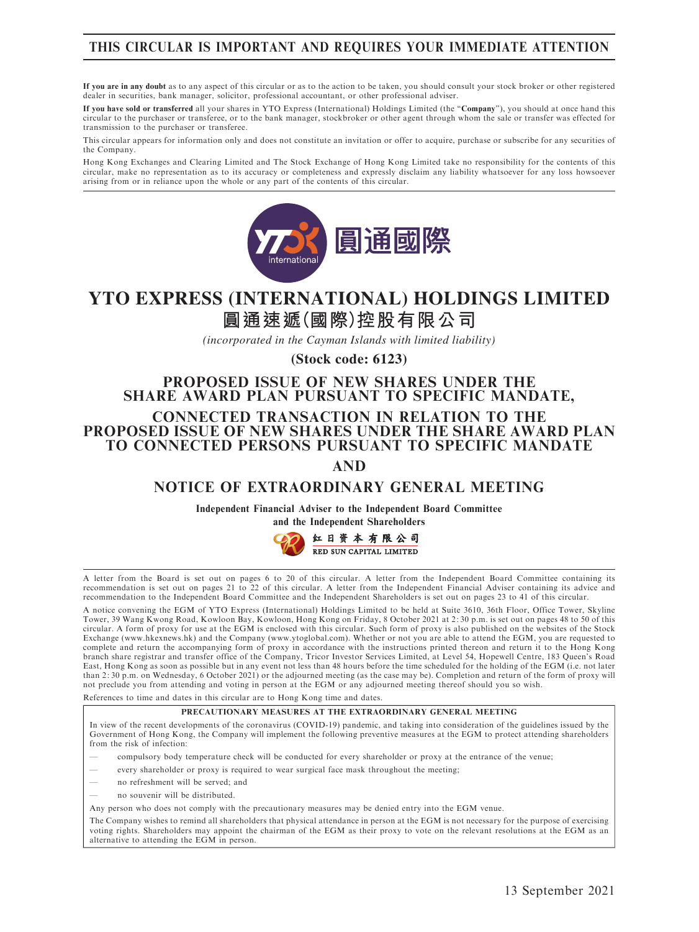# THIS CIRCULAR IS IMPORTANT AND REQUIRES YOUR IMMEDIATE ATTENTION

If you are in any doubt as to any aspect of this circular or as to the action to be taken, you should consult your stock broker or other registered dealer in securities, bank manager, solicitor, professional accountant, or other professional adviser.

If you have sold or transferred all your shares in YTO Express (International) Holdings Limited (the ''Company''), you should at once hand this circular to the purchaser or transferee, or to the bank manager, stockbroker or other agent through whom the sale or transfer was effected for transmission to the purchaser or transferee.

This circular appears for information only and does not constitute an invitation or offer to acquire, purchase or subscribe for any securities of the Company.

Hong Kong Exchanges and Clearing Limited and The Stock Exchange of Hong Kong Limited take no responsibility for the contents of this<br>circular, make no representation as to its accuracy or completeness and expressly disclai arising from or in reliance upon the whole or any part of the contents of this circular.



# **圓通速遞(國際)控股有限公司 YTO EXPRESS (INTERNATIONAL) HOLDINGS LIMITED**

*(incorporated in the Cayman Islands with limited liability)*

**(Stock code: 6123)**

# PROPOSED ISSUE OF NEW SHARES UNDER THE SHARE AWARD PLAN PURSUANT TO SPECIFIC MANDATE,

CONNECTED TRANSACTION IN RELATION TO THE PROPOSED ISSUE OF NEW SHARES UNDER THE SHARE AWARD PLAN TO CONNECTED PERSONS PURSUANT TO SPECIFIC MANDATE

AND

# NOTICE OF EXTRAORDINARY GENERAL MEETING

Independent Financial Adviser to the Independent Board Committee



A letter from the Board is set out on pages 6 to 20 of this circular. A letter from the Independent Board Committee containing its recommendation is set out on pages 21 to 22 of this circular. A letter from the Independent Financial Adviser containing its advice and recommendation to the Independent Board Committee and the Independent Shareholders is set out on pages 23 to 41 of this circular.

A notice convening the EGM of YTO Express (International) Holdings Limited to be held at Suite 3610, 36th Floor, Office Tower, Skyline Tower, 39 Wang Kwong Road, Kowloon Bay, Kowloon, Hong Kong on Friday, 8 October 2021 at 2: 30 p.m. is set out on pages 48 to 50 of this circular. A form of proxy for use at the EGM is enclosed with this circular. Such form of proxy is also published on the websites of the Stock<br>Exchange (www.hkexnews.hk) and the Company (www.ytoglobal.com). Whether or not complete and return the accompanying form of proxy in accordance with the instructions printed thereon and return it to the Hong Kong<br>branch share registrar and transfer office of the Company, Tricor Investor Services Limi East, Hong Kong as soon as possible but in any event not less than 48 hours before the time scheduled for the holding of the EGM (i.e. not later than 2: 30 p.m. on Wednesday, 6 October 2021) or the adjourned meeting (as the case may be). Completion and return of the form of proxy will not preclude you from attending and voting in person at the EGM or any adjourned meeting thereof should you so wish.

References to time and dates in this circular are to Hong Kong time and dates.

#### PRECAUTIONARY MEASURES AT THE EXTRAORDINARY GENERAL MEETING

In view of the recent developments of the coronavirus (COVID-19) pandemic, and taking into consideration of the guidelines issued by the Government of Hong Kong, the Company will implement the following preventive measures at the EGM to protect attending shareholders from the risk of infection:

- compulsory body temperature check will be conducted for every shareholder or proxy at the entrance of the venue;
- every shareholder or proxy is required to wear surgical face mask throughout the meeting;
- no refreshment will be served; and
- no souvenir will be distributed.
- Any person who does not comply with the precautionary measures may be denied entry into the EGM venue.

The Company wishes to remind all shareholders that physical attendance in person at the EGM is not necessary for the purpose of exercising voting rights. Shareholders may appoint the chairman of the EGM as their proxy to vote on the relevant resolutions at the EGM as an alternative to attending the EGM in person.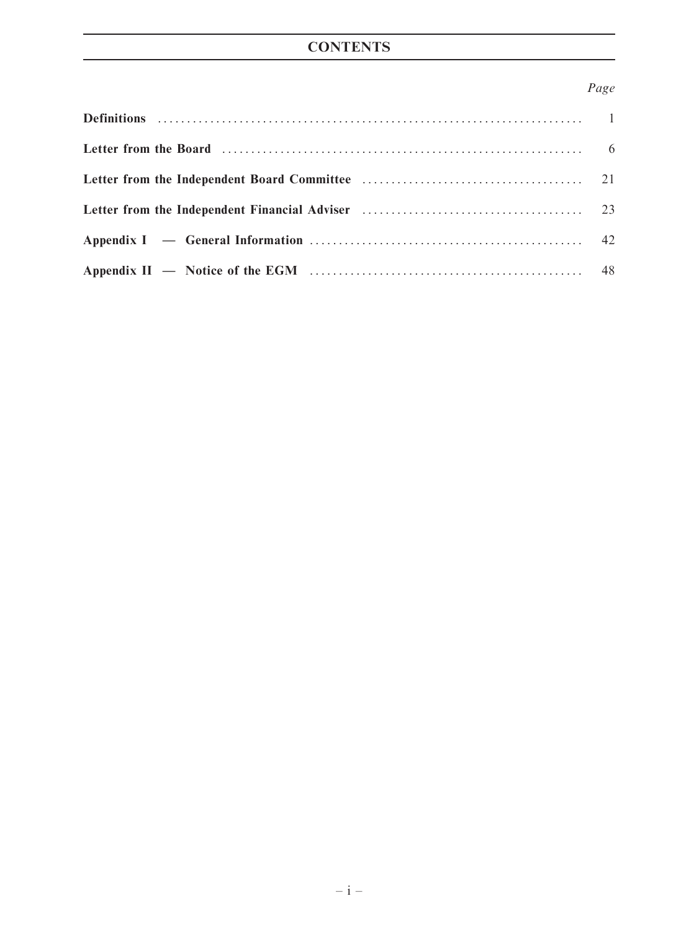# **CONTENTS**

# Page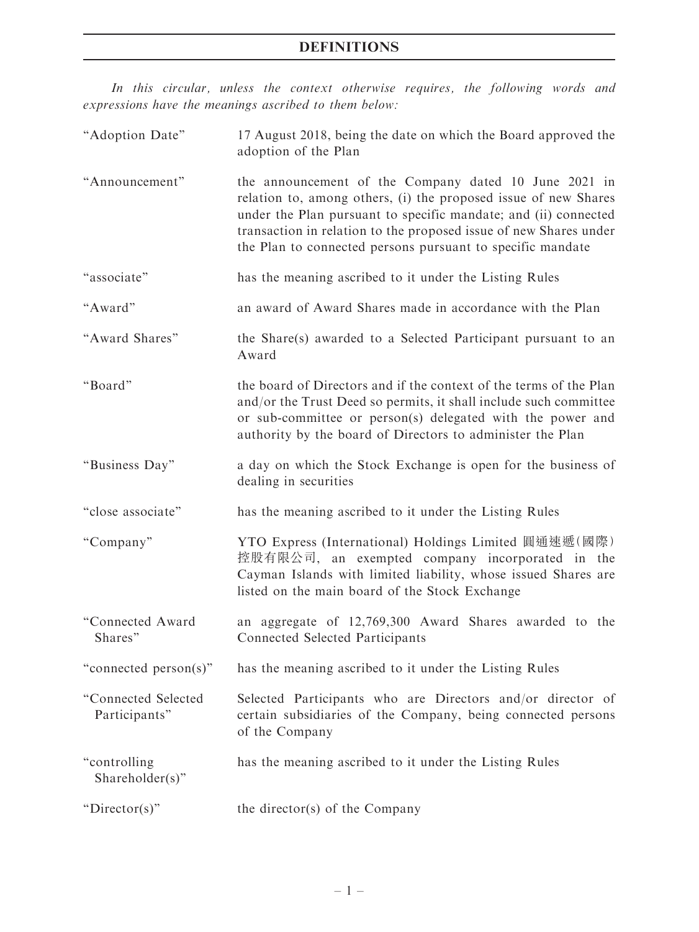In this circular, unless the context otherwise requires, the following words and expressions have the meanings ascribed to them below:

| "Adoption Date"                      | 17 August 2018, being the date on which the Board approved the<br>adoption of the Plan                                                                                                                                                                                                                                         |
|--------------------------------------|--------------------------------------------------------------------------------------------------------------------------------------------------------------------------------------------------------------------------------------------------------------------------------------------------------------------------------|
| "Announcement"                       | the announcement of the Company dated 10 June 2021 in<br>relation to, among others, (i) the proposed issue of new Shares<br>under the Plan pursuant to specific mandate; and (ii) connected<br>transaction in relation to the proposed issue of new Shares under<br>the Plan to connected persons pursuant to specific mandate |
| "associate"                          | has the meaning ascribed to it under the Listing Rules                                                                                                                                                                                                                                                                         |
| "Award"                              | an award of Award Shares made in accordance with the Plan                                                                                                                                                                                                                                                                      |
| "Award Shares"                       | the Share(s) awarded to a Selected Participant pursuant to an<br>Award                                                                                                                                                                                                                                                         |
| "Board"                              | the board of Directors and if the context of the terms of the Plan<br>and/or the Trust Deed so permits, it shall include such committee<br>or sub-committee or person(s) delegated with the power and<br>authority by the board of Directors to administer the Plan                                                            |
| "Business Day"                       | a day on which the Stock Exchange is open for the business of<br>dealing in securities                                                                                                                                                                                                                                         |
| "close associate"                    | has the meaning ascribed to it under the Listing Rules                                                                                                                                                                                                                                                                         |
| "Company"                            | YTO Express (International) Holdings Limited 圓通速遞(國際)<br>控股有限公司, an exempted company incorporated in the<br>Cayman Islands with limited liability, whose issued Shares are<br>listed on the main board of the Stock Exchange                                                                                                   |
| "Connected Award<br>Shares"          | an aggregate of 12,769,300 Award Shares awarded to the<br><b>Connected Selected Participants</b>                                                                                                                                                                                                                               |
| "connected person(s)"                | has the meaning ascribed to it under the Listing Rules                                                                                                                                                                                                                                                                         |
| "Connected Selected<br>Participants" | Selected Participants who are Directors and/or director of<br>certain subsidiaries of the Company, being connected persons<br>of the Company                                                                                                                                                                                   |
| "controlling<br>Shareholder(s)"      | has the meaning ascribed to it under the Listing Rules                                                                                                                                                                                                                                                                         |
| "Director(s)"                        | the director(s) of the Company                                                                                                                                                                                                                                                                                                 |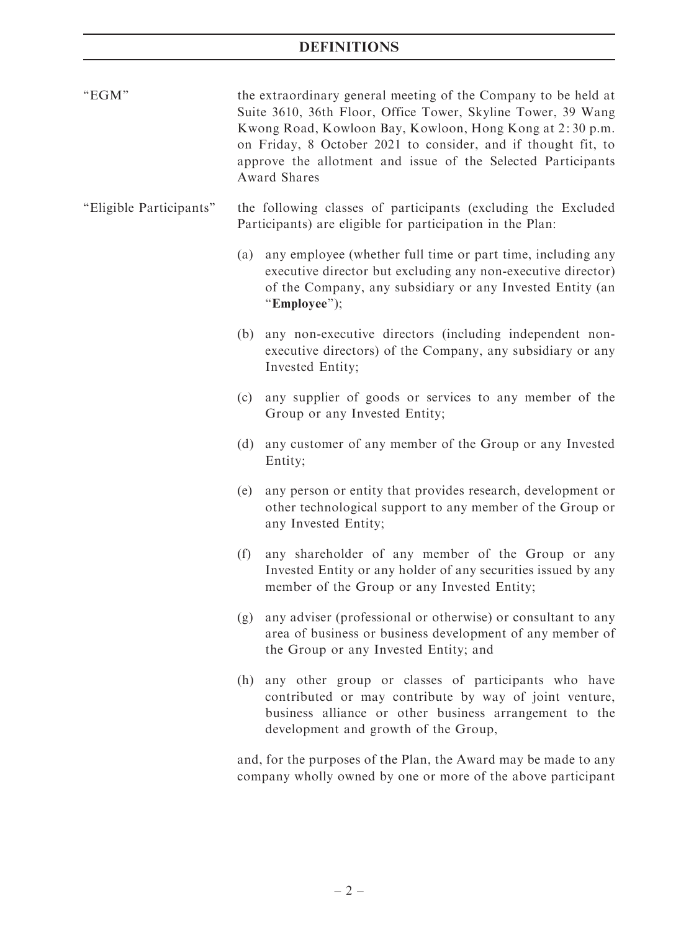| "EGM"                   |     | the extraordinary general meeting of the Company to be held at<br>Suite 3610, 36th Floor, Office Tower, Skyline Tower, 39 Wang<br>Kwong Road, Kowloon Bay, Kowloon, Hong Kong at 2:30 p.m.<br>on Friday, 8 October 2021 to consider, and if thought fit, to<br>approve the allotment and issue of the Selected Participants<br>Award Shares |  |  |  |  |
|-------------------------|-----|---------------------------------------------------------------------------------------------------------------------------------------------------------------------------------------------------------------------------------------------------------------------------------------------------------------------------------------------|--|--|--|--|
| "Eligible Participants" |     | the following classes of participants (excluding the Excluded<br>Participants) are eligible for participation in the Plan:                                                                                                                                                                                                                  |  |  |  |  |
|                         |     | (a) any employee (whether full time or part time, including any<br>executive director but excluding any non-executive director)<br>of the Company, any subsidiary or any Invested Entity (an<br>"Employee");                                                                                                                                |  |  |  |  |
|                         | (b) | any non-executive directors (including independent non-<br>executive directors) of the Company, any subsidiary or any<br>Invested Entity;                                                                                                                                                                                                   |  |  |  |  |
|                         | (c) | any supplier of goods or services to any member of the<br>Group or any Invested Entity;                                                                                                                                                                                                                                                     |  |  |  |  |
|                         | (d) | any customer of any member of the Group or any Invested<br>Entity;                                                                                                                                                                                                                                                                          |  |  |  |  |
|                         | (e) | any person or entity that provides research, development or<br>other technological support to any member of the Group or<br>any Invested Entity;                                                                                                                                                                                            |  |  |  |  |
|                         | (f) | any shareholder of any member of the Group or any<br>Invested Entity or any holder of any securities issued by any<br>member of the Group or any Invested Entity;                                                                                                                                                                           |  |  |  |  |
|                         | (g) | any adviser (professional or otherwise) or consultant to any<br>area of business or business development of any member of<br>the Group or any Invested Entity; and                                                                                                                                                                          |  |  |  |  |
|                         | (h) | any other group or classes of participants who have<br>contributed or may contribute by way of joint venture,<br>business alliance or other business arrangement to the<br>development and growth of the Group,                                                                                                                             |  |  |  |  |
|                         |     | and, for the purposes of the Plan, the Award may be made to any                                                                                                                                                                                                                                                                             |  |  |  |  |

company wholly owned by one or more of the above participant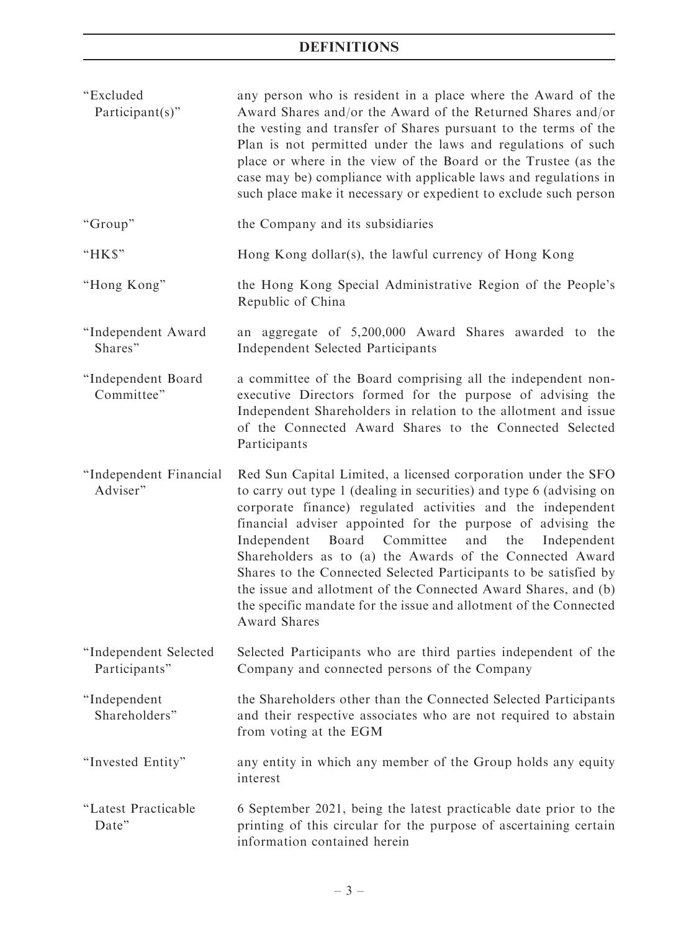| "Excluded<br>Participant(s)"           | any person who is resident in a place where the Award of the<br>Award Shares and/or the Award of the Returned Shares and/or<br>the vesting and transfer of Shares pursuant to the terms of the<br>Plan is not permitted under the laws and regulations of such<br>place or where in the view of the Board or the Trustee (as the<br>case may be) compliance with applicable laws and regulations in<br>such place make it necessary or expedient to exclude such person                                                                                                                                                     |
|----------------------------------------|-----------------------------------------------------------------------------------------------------------------------------------------------------------------------------------------------------------------------------------------------------------------------------------------------------------------------------------------------------------------------------------------------------------------------------------------------------------------------------------------------------------------------------------------------------------------------------------------------------------------------------|
| "Group"                                | the Company and its subsidiaries                                                                                                                                                                                                                                                                                                                                                                                                                                                                                                                                                                                            |
| "HK\$"                                 | Hong Kong dollar(s), the lawful currency of Hong Kong                                                                                                                                                                                                                                                                                                                                                                                                                                                                                                                                                                       |
| "Hong Kong"                            | the Hong Kong Special Administrative Region of the People's<br>Republic of China                                                                                                                                                                                                                                                                                                                                                                                                                                                                                                                                            |
| "Independent Award<br>Shares"          | an aggregate of 5,200,000 Award Shares awarded to the<br><b>Independent Selected Participants</b>                                                                                                                                                                                                                                                                                                                                                                                                                                                                                                                           |
| "Independent Board<br>Committee"       | a committee of the Board comprising all the independent non-<br>executive Directors formed for the purpose of advising the<br>Independent Shareholders in relation to the allotment and issue<br>of the Connected Award Shares to the Connected Selected<br>Participants                                                                                                                                                                                                                                                                                                                                                    |
| "Independent Financial<br>Adviser"     | Red Sun Capital Limited, a licensed corporation under the SFO<br>to carry out type 1 (dealing in securities) and type 6 (advising on<br>corporate finance) regulated activities and the independent<br>financial adviser appointed for the purpose of advising the<br>Independent<br>Board<br>Committee<br>and<br>the<br>Independent<br>Shareholders as to (a) the Awards of the Connected Award<br>Shares to the Connected Selected Participants to be satisfied by<br>the issue and allotment of the Connected Award Shares, and (b)<br>the specific mandate for the issue and allotment of the Connected<br>Award Shares |
| "Independent Selected<br>Participants" | Selected Participants who are third parties independent of the<br>Company and connected persons of the Company                                                                                                                                                                                                                                                                                                                                                                                                                                                                                                              |
| "Independent<br>Shareholders"          | the Shareholders other than the Connected Selected Participants<br>and their respective associates who are not required to abstain<br>from voting at the EGM                                                                                                                                                                                                                                                                                                                                                                                                                                                                |
| "Invested Entity"                      | any entity in which any member of the Group holds any equity<br>interest                                                                                                                                                                                                                                                                                                                                                                                                                                                                                                                                                    |
| "Latest Practicable<br>Date"           | 6 September 2021, being the latest practicable date prior to the<br>printing of this circular for the purpose of ascertaining certain<br>information contained herein                                                                                                                                                                                                                                                                                                                                                                                                                                                       |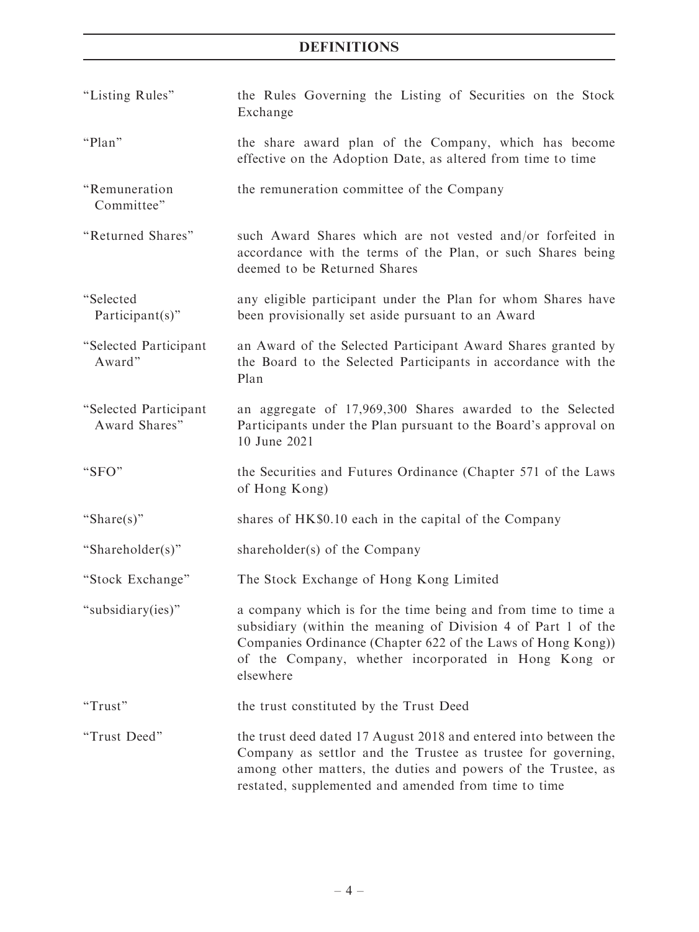| "Listing Rules"                        | the Rules Governing the Listing of Securities on the Stock<br>Exchange                                                                                                                                                                                             |
|----------------------------------------|--------------------------------------------------------------------------------------------------------------------------------------------------------------------------------------------------------------------------------------------------------------------|
| "Plan"                                 | the share award plan of the Company, which has become<br>effective on the Adoption Date, as altered from time to time                                                                                                                                              |
| "Remuneration<br>Committee"            | the remuneration committee of the Company                                                                                                                                                                                                                          |
| "Returned Shares"                      | such Award Shares which are not vested and/or forfeited in<br>accordance with the terms of the Plan, or such Shares being<br>deemed to be Returned Shares                                                                                                          |
| "Selected<br>Participant $(s)$ "       | any eligible participant under the Plan for whom Shares have<br>been provisionally set aside pursuant to an Award                                                                                                                                                  |
| "Selected Participant<br>Award"        | an Award of the Selected Participant Award Shares granted by<br>the Board to the Selected Participants in accordance with the<br>Plan                                                                                                                              |
| "Selected Participant<br>Award Shares" | an aggregate of 17,969,300 Shares awarded to the Selected<br>Participants under the Plan pursuant to the Board's approval on<br>10 June 2021                                                                                                                       |
| "SFO"                                  | the Securities and Futures Ordinance (Chapter 571 of the Laws<br>of Hong Kong)                                                                                                                                                                                     |
| "Share $(s)$ "                         | shares of HK\$0.10 each in the capital of the Company                                                                                                                                                                                                              |
| "Shareholder(s)"                       | shareholder(s) of the Company                                                                                                                                                                                                                                      |
| "Stock Exchange"                       | The Stock Exchange of Hong Kong Limited                                                                                                                                                                                                                            |
| "subsidiary(ies)"                      | a company which is for the time being and from time to time a<br>subsidiary (within the meaning of Division 4 of Part 1 of the<br>Companies Ordinance (Chapter 622 of the Laws of Hong Kong))<br>of the Company, whether incorporated in Hong Kong or<br>elsewhere |
| "Trust"                                | the trust constituted by the Trust Deed                                                                                                                                                                                                                            |
| "Trust Deed"                           | the trust deed dated 17 August 2018 and entered into between the<br>Company as settlor and the Trustee as trustee for governing,<br>among other matters, the duties and powers of the Trustee, as<br>restated, supplemented and amended from time to time          |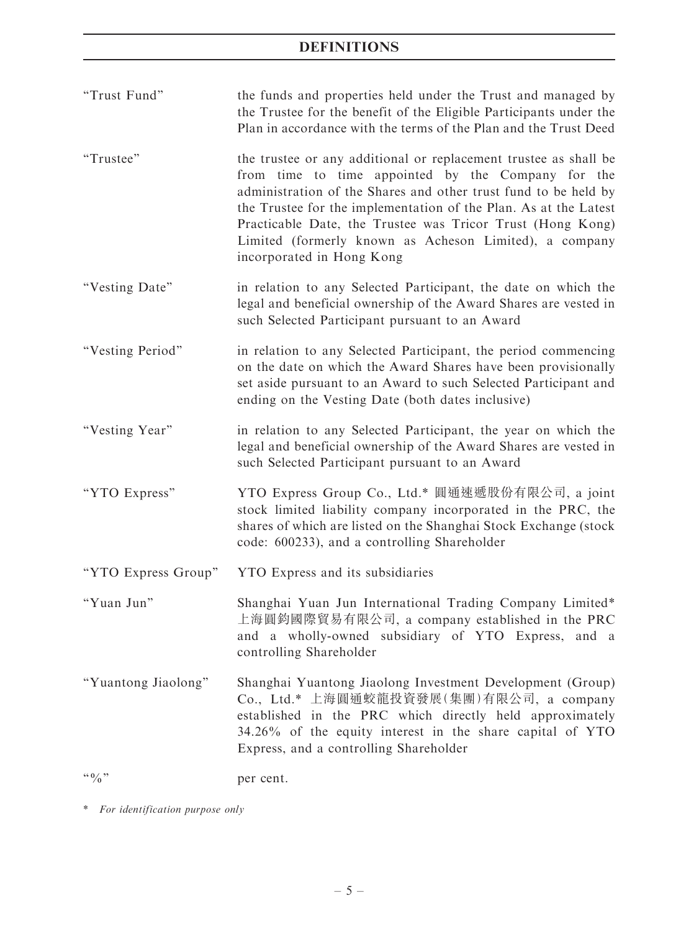| "Trust Fund"        | the funds and properties held under the Trust and managed by<br>the Trustee for the benefit of the Eligible Participants under the<br>Plan in accordance with the terms of the Plan and the Trust Deed                                                                                                                                                                                                             |
|---------------------|--------------------------------------------------------------------------------------------------------------------------------------------------------------------------------------------------------------------------------------------------------------------------------------------------------------------------------------------------------------------------------------------------------------------|
| "Trustee"           | the trustee or any additional or replacement trustee as shall be<br>from time to time appointed by the Company for the<br>administration of the Shares and other trust fund to be held by<br>the Trustee for the implementation of the Plan. As at the Latest<br>Practicable Date, the Trustee was Tricor Trust (Hong Kong)<br>Limited (formerly known as Acheson Limited), a company<br>incorporated in Hong Kong |
| "Vesting Date"      | in relation to any Selected Participant, the date on which the<br>legal and beneficial ownership of the Award Shares are vested in<br>such Selected Participant pursuant to an Award                                                                                                                                                                                                                               |
| "Vesting Period"    | in relation to any Selected Participant, the period commencing<br>on the date on which the Award Shares have been provisionally<br>set aside pursuant to an Award to such Selected Participant and<br>ending on the Vesting Date (both dates inclusive)                                                                                                                                                            |
| "Vesting Year"      | in relation to any Selected Participant, the year on which the<br>legal and beneficial ownership of the Award Shares are vested in<br>such Selected Participant pursuant to an Award                                                                                                                                                                                                                               |
| "YTO Express"       | YTO Express Group Co., Ltd.* 圓通速遞股份有限公司, a joint<br>stock limited liability company incorporated in the PRC, the<br>shares of which are listed on the Shanghai Stock Exchange (stock<br>code: 600233), and a controlling Shareholder                                                                                                                                                                               |
| "YTO Express Group" | YTO Express and its subsidiaries                                                                                                                                                                                                                                                                                                                                                                                   |
| "Yuan Jun"          | Shanghai Yuan Jun International Trading Company Limited*<br>上海圓鈞國際貿易有限公司, a company established in the PRC<br>and a wholly-owned subsidiary of YTO Express, and a<br>controlling Shareholder                                                                                                                                                                                                                       |
| "Yuantong Jiaolong" | Shanghai Yuantong Jiaolong Investment Development (Group)<br>Co., Ltd.* 上海圓通蛟龍投資發展(集團)有限公司, a company<br>established in the PRC which directly held approximately<br>34.26% of the equity interest in the share capital of YTO<br>Express, and a controlling Shareholder                                                                                                                                           |
| $\lq\lq 0$ "        | per cent.                                                                                                                                                                                                                                                                                                                                                                                                          |

\* For identification purpose only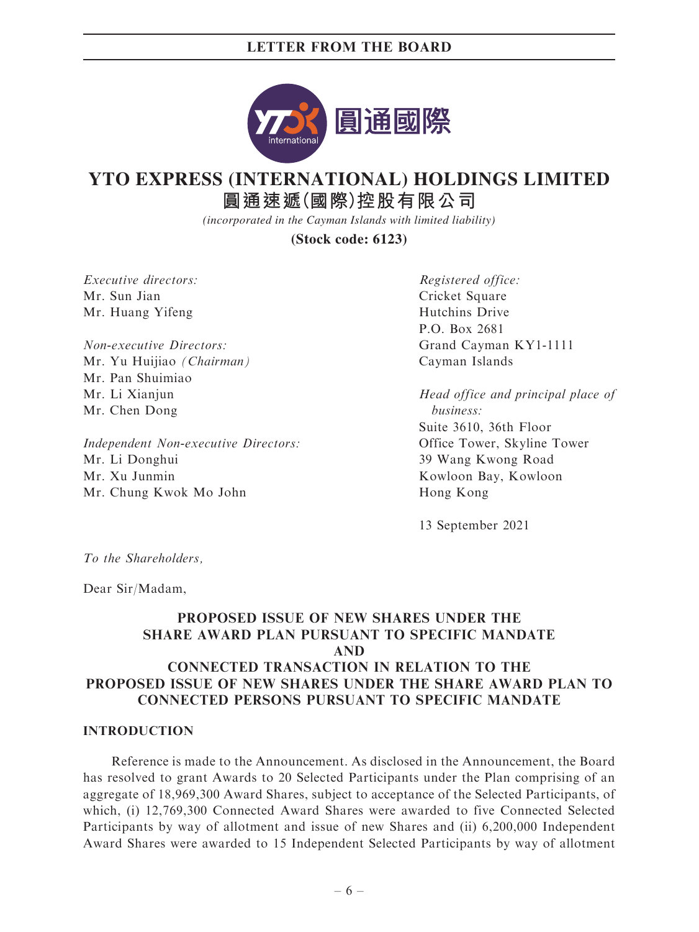

# **YTO EXPRESS (INTERNATIONAL) HOLDINGS LIMITED**

**圓通速遞(國際)控股有限公司**

*(incorporated in the Cayman Islands with limited liability)*

**(Stock code: 6123)**

Executive directors: Mr. Sun Jian Mr. Huang Yifeng

Non-executive Directors: Mr. Yu Huijiao (Chairman) Mr. Pan Shuimiao Mr. Li Xianjun Mr. Chen Dong

Independent Non-executive Directors: Mr. Li Donghui Mr. Xu Junmin Mr. Chung Kwok Mo John

Registered office: Cricket Square Hutchins Drive P.O. Box 2681 Grand Cayman KY1-1111 Cayman Islands

Head office and principal place of business: Suite 3610, 36th Floor Office Tower, Skyline Tower 39 Wang Kwong Road Kowloon Bay, Kowloon Hong Kong

13 September 2021

To the Shareholders,

Dear Sir/Madam,

# PROPOSED ISSUE OF NEW SHARES UNDER THE SHARE AWARD PLAN PURSUANT TO SPECIFIC MANDATE AND CONNECTED TRANSACTION IN RELATION TO THE PROPOSED ISSUE OF NEW SHARES UNDER THE SHARE AWARD PLAN TO CONNECTED PERSONS PURSUANT TO SPECIFIC MANDATE

#### INTRODUCTION

Reference is made to the Announcement. As disclosed in the Announcement, the Board has resolved to grant Awards to 20 Selected Participants under the Plan comprising of an aggregate of 18,969,300 Award Shares, subject to acceptance of the Selected Participants, of which, (i) 12,769,300 Connected Award Shares were awarded to five Connected Selected Participants by way of allotment and issue of new Shares and (ii) 6,200,000 Independent Award Shares were awarded to 15 Independent Selected Participants by way of allotment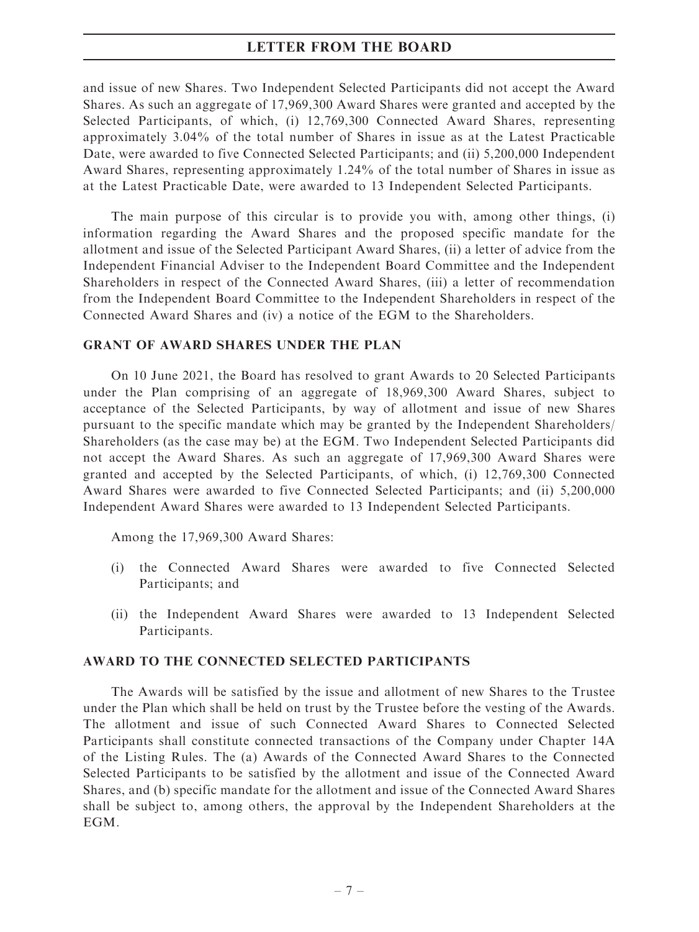and issue of new Shares. Two Independent Selected Participants did not accept the Award Shares. As such an aggregate of 17,969,300 Award Shares were granted and accepted by the Selected Participants, of which, (i) 12,769,300 Connected Award Shares, representing approximately 3.04% of the total number of Shares in issue as at the Latest Practicable Date, were awarded to five Connected Selected Participants; and (ii) 5,200,000 Independent Award Shares, representing approximately 1.24% of the total number of Shares in issue as at the Latest Practicable Date, were awarded to 13 Independent Selected Participants.

The main purpose of this circular is to provide you with, among other things, (i) information regarding the Award Shares and the proposed specific mandate for the allotment and issue of the Selected Participant Award Shares, (ii) a letter of advice from the Independent Financial Adviser to the Independent Board Committee and the Independent Shareholders in respect of the Connected Award Shares, (iii) a letter of recommendation from the Independent Board Committee to the Independent Shareholders in respect of the Connected Award Shares and (iv) a notice of the EGM to the Shareholders.

#### GRANT OF AWARD SHARES UNDER THE PLAN

On 10 June 2021, the Board has resolved to grant Awards to 20 Selected Participants under the Plan comprising of an aggregate of 18,969,300 Award Shares, subject to acceptance of the Selected Participants, by way of allotment and issue of new Shares pursuant to the specific mandate which may be granted by the Independent Shareholders/ Shareholders (as the case may be) at the EGM. Two Independent Selected Participants did not accept the Award Shares. As such an aggregate of 17,969,300 Award Shares were granted and accepted by the Selected Participants, of which, (i) 12,769,300 Connected Award Shares were awarded to five Connected Selected Participants; and (ii) 5,200,000 Independent Award Shares were awarded to 13 Independent Selected Participants.

Among the 17,969,300 Award Shares:

- (i) the Connected Award Shares were awarded to five Connected Selected Participants; and
- (ii) the Independent Award Shares were awarded to 13 Independent Selected Participants.

#### AWARD TO THE CONNECTED SELECTED PARTICIPANTS

The Awards will be satisfied by the issue and allotment of new Shares to the Trustee under the Plan which shall be held on trust by the Trustee before the vesting of the Awards. The allotment and issue of such Connected Award Shares to Connected Selected Participants shall constitute connected transactions of the Company under Chapter 14A of the Listing Rules. The (a) Awards of the Connected Award Shares to the Connected Selected Participants to be satisfied by the allotment and issue of the Connected Award Shares, and (b) specific mandate for the allotment and issue of the Connected Award Shares shall be subject to, among others, the approval by the Independent Shareholders at the EGM.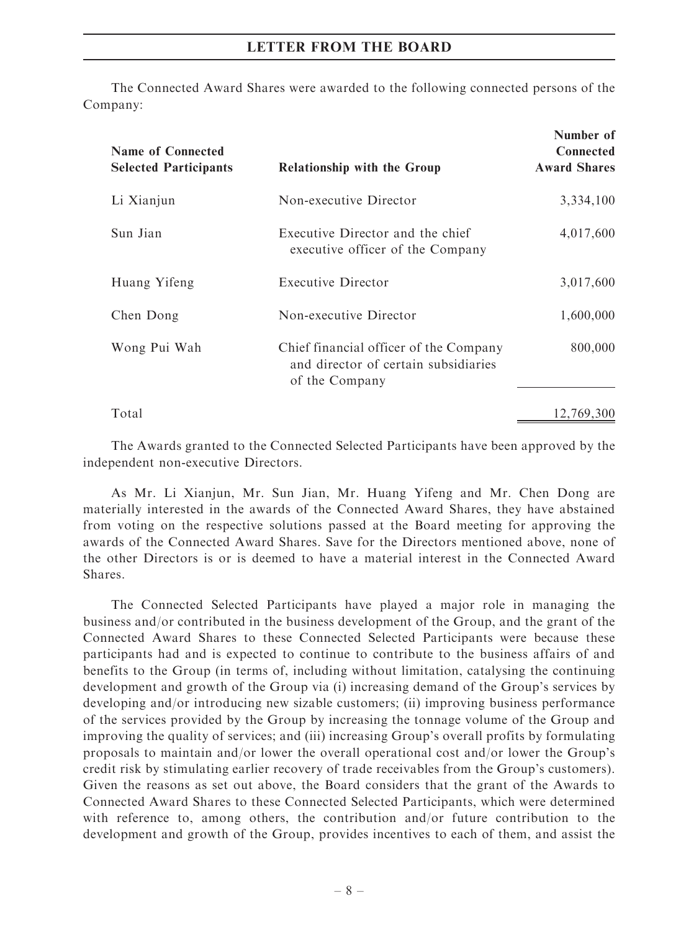The Connected Award Shares were awarded to the following connected persons of the Company:

| <b>Name of Connected</b><br><b>Selected Participants</b> | <b>Relationship with the Group</b>                                                               | Number of<br><b>Connected</b><br><b>Award Shares</b> |
|----------------------------------------------------------|--------------------------------------------------------------------------------------------------|------------------------------------------------------|
| Li Xianjun                                               | Non-executive Director                                                                           | 3,334,100                                            |
| Sun Jian                                                 | Executive Director and the chief<br>executive officer of the Company                             | 4,017,600                                            |
| Huang Yifeng                                             | Executive Director                                                                               | 3,017,600                                            |
| Chen Dong                                                | Non-executive Director                                                                           | 1,600,000                                            |
| Wong Pui Wah                                             | Chief financial officer of the Company<br>and director of certain subsidiaries<br>of the Company | 800,000                                              |
| Total                                                    |                                                                                                  | 12,769,300                                           |

The Awards granted to the Connected Selected Participants have been approved by the independent non-executive Directors.

As Mr. Li Xianjun, Mr. Sun Jian, Mr. Huang Yifeng and Mr. Chen Dong are materially interested in the awards of the Connected Award Shares, they have abstained from voting on the respective solutions passed at the Board meeting for approving the awards of the Connected Award Shares. Save for the Directors mentioned above, none of the other Directors is or is deemed to have a material interest in the Connected Award Shares.

The Connected Selected Participants have played a major role in managing the business and/or contributed in the business development of the Group, and the grant of the Connected Award Shares to these Connected Selected Participants were because these participants had and is expected to continue to contribute to the business affairs of and benefits to the Group (in terms of, including without limitation, catalysing the continuing development and growth of the Group via (i) increasing demand of the Group's services by developing and/or introducing new sizable customers; (ii) improving business performance of the services provided by the Group by increasing the tonnage volume of the Group and improving the quality of services; and (iii) increasing Group's overall profits by formulating proposals to maintain and/or lower the overall operational cost and/or lower the Group's credit risk by stimulating earlier recovery of trade receivables from the Group's customers). Given the reasons as set out above, the Board considers that the grant of the Awards to Connected Award Shares to these Connected Selected Participants, which were determined with reference to, among others, the contribution and/or future contribution to the development and growth of the Group, provides incentives to each of them, and assist the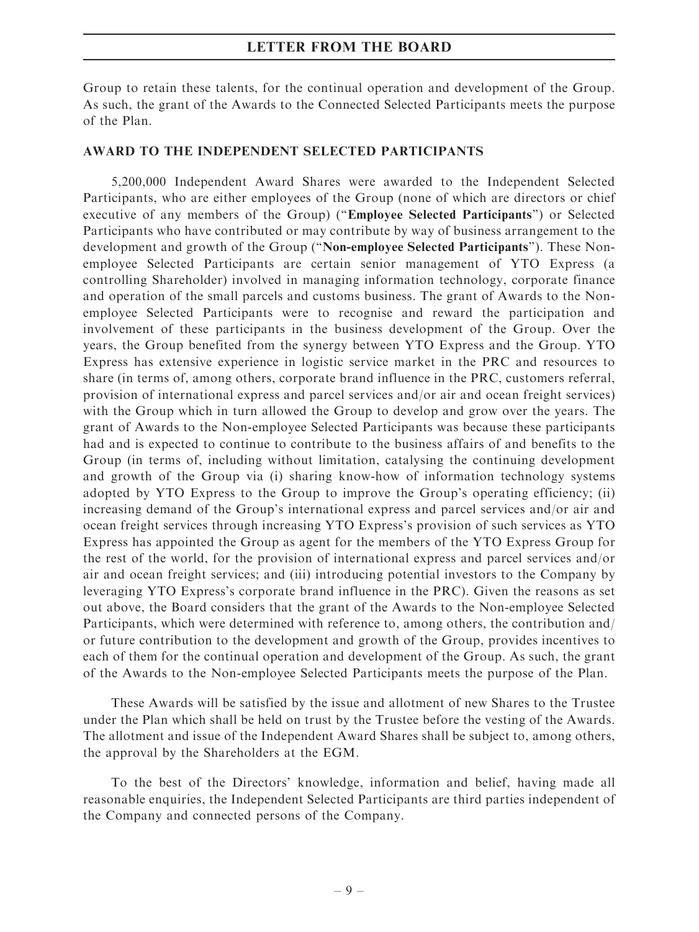Group to retain these talents, for the continual operation and development of the Group. As such, the grant of the Awards to the Connected Selected Participants meets the purpose of the Plan.

#### AWARD TO THE INDEPENDENT SELECTED PARTICIPANTS

5,200,000 Independent Award Shares were awarded to the Independent Selected Participants, who are either employees of the Group (none of which are directors or chief executive of any members of the Group) (''Employee Selected Participants'') or Selected Participants who have contributed or may contribute by way of business arrangement to the development and growth of the Group ("Non-employee Selected Participants"). These Nonemployee Selected Participants are certain senior management of YTO Express (a controlling Shareholder) involved in managing information technology, corporate finance and operation of the small parcels and customs business. The grant of Awards to the Nonemployee Selected Participants were to recognise and reward the participation and involvement of these participants in the business development of the Group. Over the years, the Group benefited from the synergy between YTO Express and the Group. YTO Express has extensive experience in logistic service market in the PRC and resources to share (in terms of, among others, corporate brand influence in the PRC, customers referral, provision of international express and parcel services and/or air and ocean freight services) with the Group which in turn allowed the Group to develop and grow over the years. The grant of Awards to the Non-employee Selected Participants was because these participants had and is expected to continue to contribute to the business affairs of and benefits to the Group (in terms of, including without limitation, catalysing the continuing development and growth of the Group via (i) sharing know-how of information technology systems adopted by YTO Express to the Group to improve the Group's operating efficiency; (ii) increasing demand of the Group's international express and parcel services and/or air and ocean freight services through increasing YTO Express's provision of such services as YTO Express has appointed the Group as agent for the members of the YTO Express Group for the rest of the world, for the provision of international express and parcel services and/or air and ocean freight services; and (iii) introducing potential investors to the Company by leveraging YTO Express's corporate brand influence in the PRC). Given the reasons as set out above, the Board considers that the grant of the Awards to the Non-employee Selected Participants, which were determined with reference to, among others, the contribution and/ or future contribution to the development and growth of the Group, provides incentives to each of them for the continual operation and development of the Group. As such, the grant of the Awards to the Non-employee Selected Participants meets the purpose of the Plan.

These Awards will be satisfied by the issue and allotment of new Shares to the Trustee under the Plan which shall be held on trust by the Trustee before the vesting of the Awards. The allotment and issue of the Independent Award Shares shall be subject to, among others, the approval by the Shareholders at the EGM.

To the best of the Directors' knowledge, information and belief, having made all reasonable enquiries, the Independent Selected Participants are third parties independent of the Company and connected persons of the Company.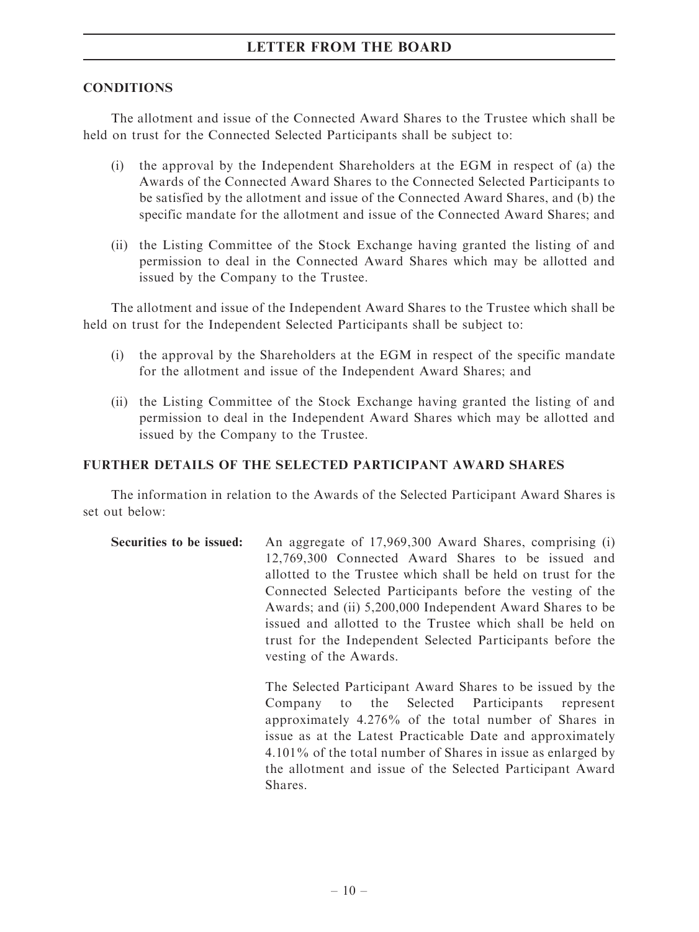#### **CONDITIONS**

The allotment and issue of the Connected Award Shares to the Trustee which shall be held on trust for the Connected Selected Participants shall be subject to:

- (i) the approval by the Independent Shareholders at the EGM in respect of (a) the Awards of the Connected Award Shares to the Connected Selected Participants to be satisfied by the allotment and issue of the Connected Award Shares, and (b) the specific mandate for the allotment and issue of the Connected Award Shares; and
- (ii) the Listing Committee of the Stock Exchange having granted the listing of and permission to deal in the Connected Award Shares which may be allotted and issued by the Company to the Trustee.

The allotment and issue of the Independent Award Shares to the Trustee which shall be held on trust for the Independent Selected Participants shall be subject to:

- (i) the approval by the Shareholders at the EGM in respect of the specific mandate for the allotment and issue of the Independent Award Shares; and
- (ii) the Listing Committee of the Stock Exchange having granted the listing of and permission to deal in the Independent Award Shares which may be allotted and issued by the Company to the Trustee.

# FURTHER DETAILS OF THE SELECTED PARTICIPANT AWARD SHARES

The information in relation to the Awards of the Selected Participant Award Shares is set out below:

Securities to be issued: An aggregate of 17,969,300 Award Shares, comprising (i) 12,769,300 Connected Award Shares to be issued and allotted to the Trustee which shall be held on trust for the Connected Selected Participants before the vesting of the Awards; and (ii) 5,200,000 Independent Award Shares to be issued and allotted to the Trustee which shall be held on trust for the Independent Selected Participants before the vesting of the Awards.

> The Selected Participant Award Shares to be issued by the Company to the Selected Participants represent approximately 4.276% of the total number of Shares in issue as at the Latest Practicable Date and approximately 4.101% of the total number of Shares in issue as enlarged by the allotment and issue of the Selected Participant Award Shares.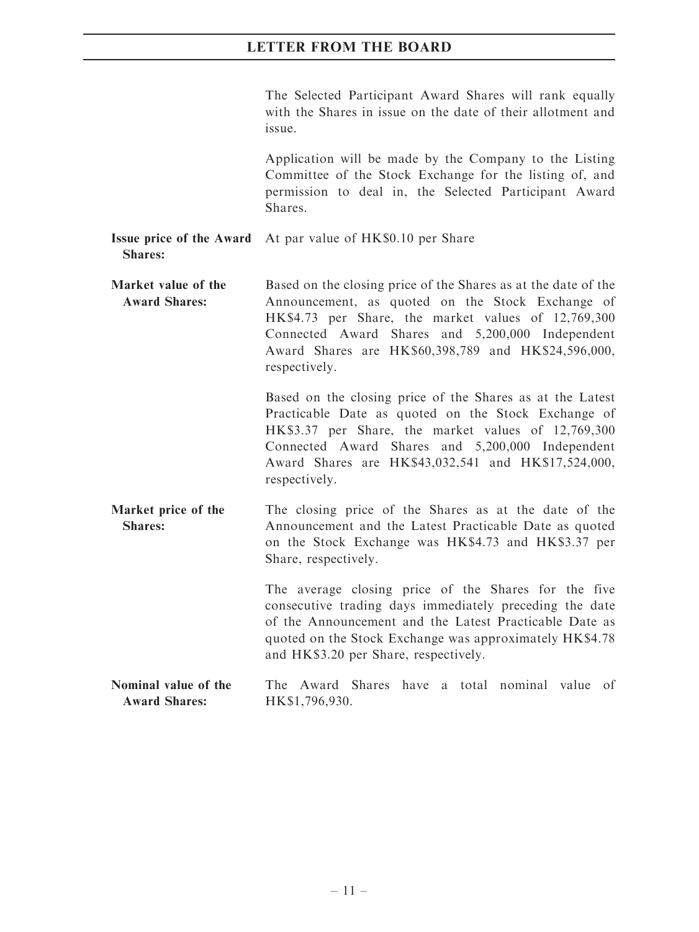The Selected Participant Award Shares will rank equally with the Shares in issue on the date of their allotment and issue.

Application will be made by the Company to the Listing Committee of the Stock Exchange for the listing of, and permission to deal in, the Selected Participant Award **Shares** 

- Issue price of the Award Shares: At par value of HK\$0.10 per Share
- Market value of the Award Shares: Based on the closing price of the Shares as at the date of the Announcement, as quoted on the Stock Exchange of HK\$4.73 per Share, the market values of 12,769,300 Connected Award Shares and 5,200,000 Independent Award Shares are HK\$60,398,789 and HK\$24,596,000, respectively.

Based on the closing price of the Shares as at the Latest Practicable Date as quoted on the Stock Exchange of HK\$3.37 per Share, the market values of 12,769,300 Connected Award Shares and 5,200,000 Independent Award Shares are HK\$43,032,541 and HK\$17,524,000, respectively.

Market price of the Shares: The closing price of the Shares as at the date of the Announcement and the Latest Practicable Date as quoted on the Stock Exchange was HK\$4.73 and HK\$3.37 per Share, respectively.

> The average closing price of the Shares for the five consecutive trading days immediately preceding the date of the Announcement and the Latest Practicable Date as quoted on the Stock Exchange was approximately HK\$4.78 and HK\$3.20 per Share, respectively.

Nominal value of the Award Shares: The Award Shares have a total nominal value of HK\$1,796,930.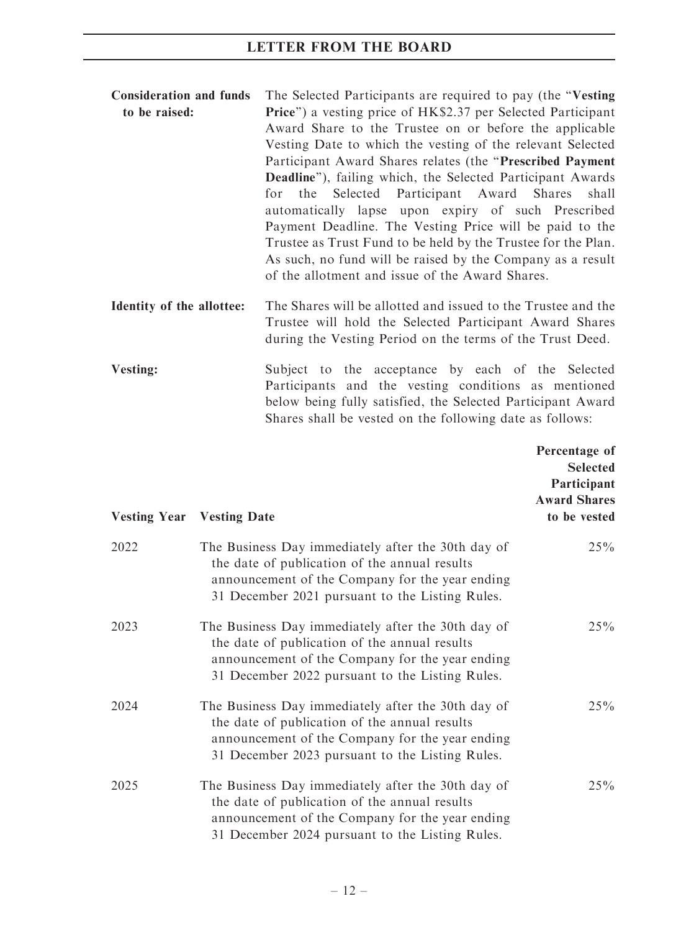| <b>Consideration and funds</b> | The Selected Participants are required to pay (the "Vesting")        |  |  |  |  |
|--------------------------------|----------------------------------------------------------------------|--|--|--|--|
| to be raised:                  | <b>Price</b> ") a vesting price of HK\$2.37 per Selected Participant |  |  |  |  |
|                                | Award Share to the Trustee on or before the applicable               |  |  |  |  |
|                                | Vesting Date to which the vesting of the relevant Selected           |  |  |  |  |
|                                | Participant Award Shares relates (the "Prescribed Payment"           |  |  |  |  |
|                                | Deadline"), failing which, the Selected Participant Awards           |  |  |  |  |
|                                | for the Selected Participant Award Shares shall                      |  |  |  |  |
|                                | automatically lapse upon expiry of such Prescribed                   |  |  |  |  |
|                                | Payment Deadline. The Vesting Price will be paid to the              |  |  |  |  |
|                                | Trustee as Trust Fund to be held by the Trustee for the Plan.        |  |  |  |  |
|                                | As such, no fund will be raised by the Company as a result           |  |  |  |  |
|                                | of the allotment and issue of the Award Shares.                      |  |  |  |  |
|                                |                                                                      |  |  |  |  |

Vesting: Subject to the acceptance by each of the Selected Participants and the vesting conditions as mentioned below being fully satisfied, the Selected Participant Award Shares shall be vested on the following date as follows:

|      | <b>Vesting Year</b> Vesting Date                                                                                                                                                                          | Percentage of<br><b>Selected</b><br>Participant<br><b>Award Shares</b><br>to be vested |
|------|-----------------------------------------------------------------------------------------------------------------------------------------------------------------------------------------------------------|----------------------------------------------------------------------------------------|
| 2022 | The Business Day immediately after the 30th day of<br>the date of publication of the annual results<br>announcement of the Company for the year ending<br>31 December 2021 pursuant to the Listing Rules. | 25%                                                                                    |
| 2023 | The Business Day immediately after the 30th day of<br>the date of publication of the annual results<br>announcement of the Company for the year ending<br>31 December 2022 pursuant to the Listing Rules. | 25%                                                                                    |
| 2024 | The Business Day immediately after the 30th day of<br>the date of publication of the annual results<br>announcement of the Company for the year ending<br>31 December 2023 pursuant to the Listing Rules. | 25%                                                                                    |
| 2025 | The Business Day immediately after the 30th day of<br>the date of publication of the annual results<br>announcement of the Company for the year ending<br>31 December 2024 pursuant to the Listing Rules. | 25%                                                                                    |

Identity of the allottee: The Shares will be allotted and issued to the Trustee and the Trustee will hold the Selected Participant Award Shares during the Vesting Period on the terms of the Trust Deed.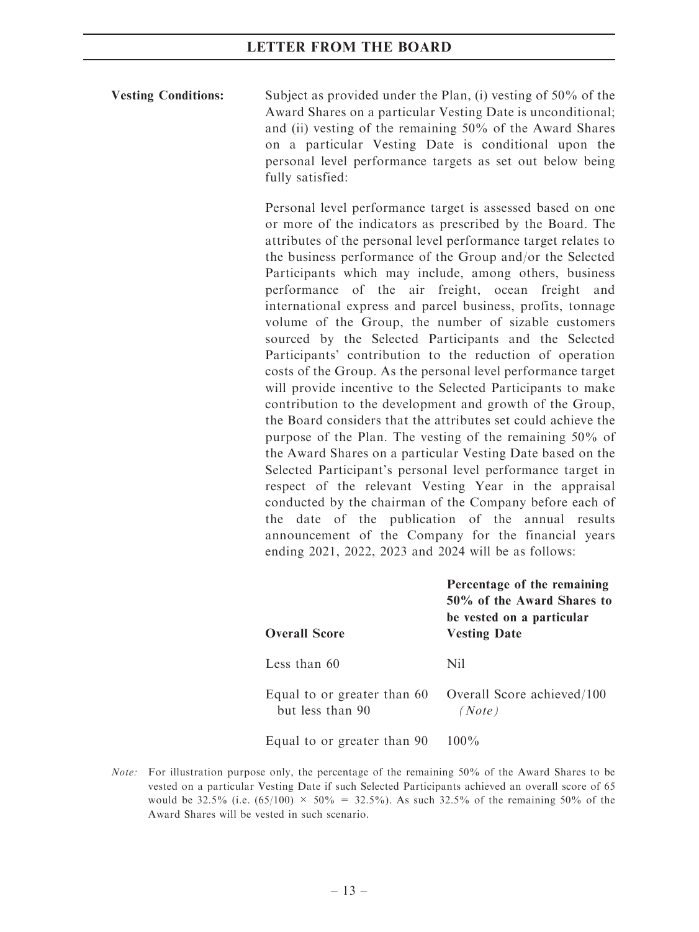Vesting Conditions: Subject as provided under the Plan, (i) vesting of 50% of the Award Shares on a particular Vesting Date is unconditional; and (ii) vesting of the remaining 50% of the Award Shares on a particular Vesting Date is conditional upon the personal level performance targets as set out below being fully satisfied:

> Personal level performance target is assessed based on one or more of the indicators as prescribed by the Board. The attributes of the personal level performance target relates to the business performance of the Group and/or the Selected Participants which may include, among others, business performance of the air freight, ocean freight and international express and parcel business, profits, tonnage volume of the Group, the number of sizable customers sourced by the Selected Participants and the Selected Participants' contribution to the reduction of operation costs of the Group. As the personal level performance target will provide incentive to the Selected Participants to make contribution to the development and growth of the Group, the Board considers that the attributes set could achieve the purpose of the Plan. The vesting of the remaining 50% of the Award Shares on a particular Vesting Date based on the Selected Participant's personal level performance target in respect of the relevant Vesting Year in the appraisal conducted by the chairman of the Company before each of the date of the publication of the annual results announcement of the Company for the financial years ending 2021, 2022, 2023 and 2024 will be as follows:

| <b>Overall Score</b>                            | Percentage of the remaining<br>50% of the Award Shares to<br>be vested on a particular<br><b>Vesting Date</b> |
|-------------------------------------------------|---------------------------------------------------------------------------------------------------------------|
| Less than 60                                    | Nil.                                                                                                          |
| Equal to or greater than 60<br>but less than 90 | Overall Score achieved/100<br>(Note)                                                                          |
| Equal to or greater than 90                     | $100\%$                                                                                                       |

Note: For illustration purpose only, the percentage of the remaining 50% of the Award Shares to be vested on a particular Vesting Date if such Selected Participants achieved an overall score of 65 would be 32.5% (i.e.  $(65/100) \times 50\% = 32.5\%$ ). As such 32.5% of the remaining 50% of the Award Shares will be vested in such scenario.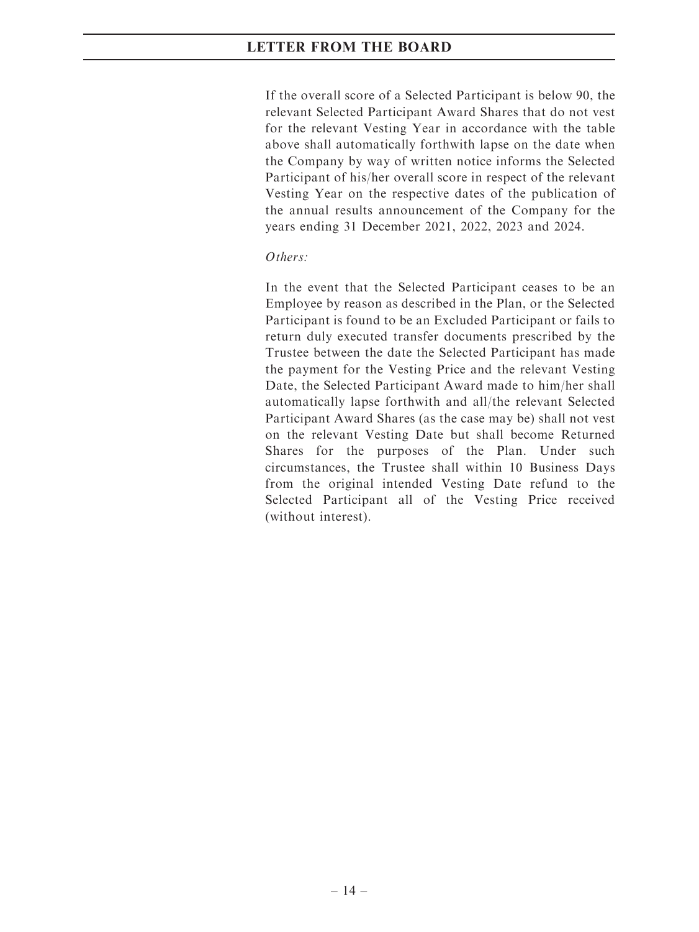If the overall score of a Selected Participant is below 90, the relevant Selected Participant Award Shares that do not vest for the relevant Vesting Year in accordance with the table above shall automatically forthwith lapse on the date when the Company by way of written notice informs the Selected Participant of his/her overall score in respect of the relevant Vesting Year on the respective dates of the publication of the annual results announcement of the Company for the years ending 31 December 2021, 2022, 2023 and 2024.

#### Others:

In the event that the Selected Participant ceases to be an Employee by reason as described in the Plan, or the Selected Participant is found to be an Excluded Participant or fails to return duly executed transfer documents prescribed by the Trustee between the date the Selected Participant has made the payment for the Vesting Price and the relevant Vesting Date, the Selected Participant Award made to him/her shall automatically lapse forthwith and all/the relevant Selected Participant Award Shares (as the case may be) shall not vest on the relevant Vesting Date but shall become Returned Shares for the purposes of the Plan. Under such circumstances, the Trustee shall within 10 Business Days from the original intended Vesting Date refund to the Selected Participant all of the Vesting Price received (without interest).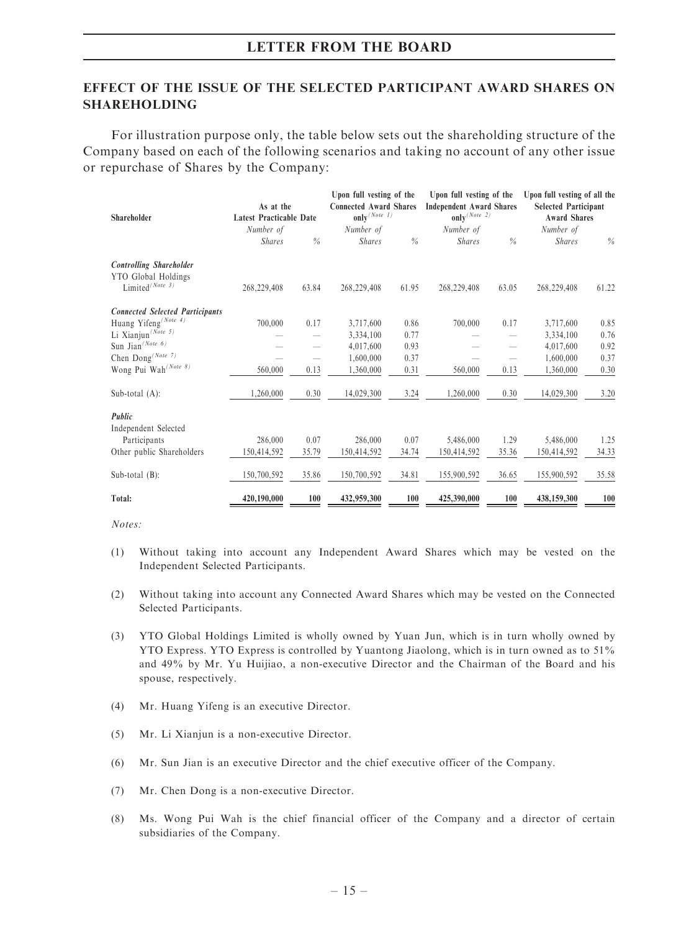### EFFECT OF THE ISSUE OF THE SELECTED PARTICIPANT AWARD SHARES ON SHAREHOLDING

For illustration purpose only, the table below sets out the shareholding structure of the Company based on each of the following scenarios and taking no account of any other issue or repurchase of Shares by the Company:

|                                        |                                |               | Upon full vesting of the      |               | Upon full vesting of the        |                          | Upon full vesting of all the |       |
|----------------------------------------|--------------------------------|---------------|-------------------------------|---------------|---------------------------------|--------------------------|------------------------------|-------|
|                                        | As at the                      |               | <b>Connected Award Shares</b> |               | <b>Independent Award Shares</b> |                          | <b>Selected Participant</b>  |       |
| Shareholder                            | <b>Latest Practicable Date</b> |               | only $(Note$ 1)               |               | only $(Note 2)$                 |                          | <b>Award Shares</b>          |       |
|                                        | Number of                      |               | Number of                     |               | Number of                       |                          | Number of                    |       |
|                                        | <b>Shares</b>                  | $\frac{0}{0}$ | <b>Shares</b>                 | $\frac{0}{0}$ | <b>Shares</b>                   | $\frac{0}{0}$            | <b>Shares</b>                | $\%$  |
| <b>Controlling Shareholder</b>         |                                |               |                               |               |                                 |                          |                              |       |
| YTO Global Holdings                    |                                |               |                               |               |                                 |                          |                              |       |
| Limited <sup>(Note 3)</sup>            | 268,229,408                    | 63.84         | 268,229,408                   | 61.95         | 268,229,408                     | 63.05                    | 268,229,408                  | 61.22 |
| <b>Connected Selected Participants</b> |                                |               |                               |               |                                 |                          |                              |       |
| Huang Yifeng <sup>(Note 4)</sup>       | 700,000                        | 0.17          | 3,717,600                     | 0.86          | 700,000                         | 0.17                     | 3,717,600                    | 0.85  |
| Li Xianjun <sup>(Note 5)</sup>         |                                |               | 3,334,100                     | 0.77          |                                 | $\overline{\phantom{0}}$ | 3,334,100                    | 0.76  |
| Sun Jian $^{(Note 6)}$                 |                                |               | 4,017,600                     | 0.93          |                                 | $\overline{\phantom{0}}$ | 4,017,600                    | 0.92  |
| Chen Dong <sup>(Note 7)</sup>          |                                |               | 1,600,000                     | 0.37          |                                 |                          | 1,600,000                    | 0.37  |
| Wong Pui Wah <sup>(Note 8)</sup>       | 560,000                        | 0.13          | 1,360,000                     | 0.31          | 560,000                         | 0.13                     | 1.360.000                    | 0.30  |
| Sub-total $(A)$ :                      | 1,260,000                      | 0.30          | 14,029,300                    | 3.24          | 1,260,000                       | 0.30                     | 14,029,300                   | 3.20  |
| Public                                 |                                |               |                               |               |                                 |                          |                              |       |
| Independent Selected                   |                                |               |                               |               |                                 |                          |                              |       |
| Participants                           | 286,000                        | 0.07          | 286,000                       | 0.07          | 5,486,000                       | 1.29                     | 5,486,000                    | 1.25  |
| Other public Shareholders              | 150,414,592                    | 35.79         | 150,414,592                   | 34.74         | 150,414,592                     | 35.36                    | 150,414,592                  | 34.33 |
| Sub-total $(B)$ :                      | 150,700,592                    | 35.86         | 150,700,592                   | 34.81         | 155,900,592                     | 36.65                    | 155,900,592                  | 35.58 |
| Total:                                 | 420,190,000                    | 100           | 432,959,300                   | 100           | 425,390,000                     | 100                      | 438,159,300                  | 100   |

Notes:

- (1) Without taking into account any Independent Award Shares which may be vested on the Independent Selected Participants.
- (2) Without taking into account any Connected Award Shares which may be vested on the Connected Selected Participants.
- (3) YTO Global Holdings Limited is wholly owned by Yuan Jun, which is in turn wholly owned by YTO Express. YTO Express is controlled by Yuantong Jiaolong, which is in turn owned as to 51% and 49% by Mr. Yu Huijiao, a non-executive Director and the Chairman of the Board and his spouse, respectively.
- (4) Mr. Huang Yifeng is an executive Director.
- (5) Mr. Li Xianjun is a non-executive Director.
- (6) Mr. Sun Jian is an executive Director and the chief executive officer of the Company.
- (7) Mr. Chen Dong is a non-executive Director.
- (8) Ms. Wong Pui Wah is the chief financial officer of the Company and a director of certain subsidiaries of the Company.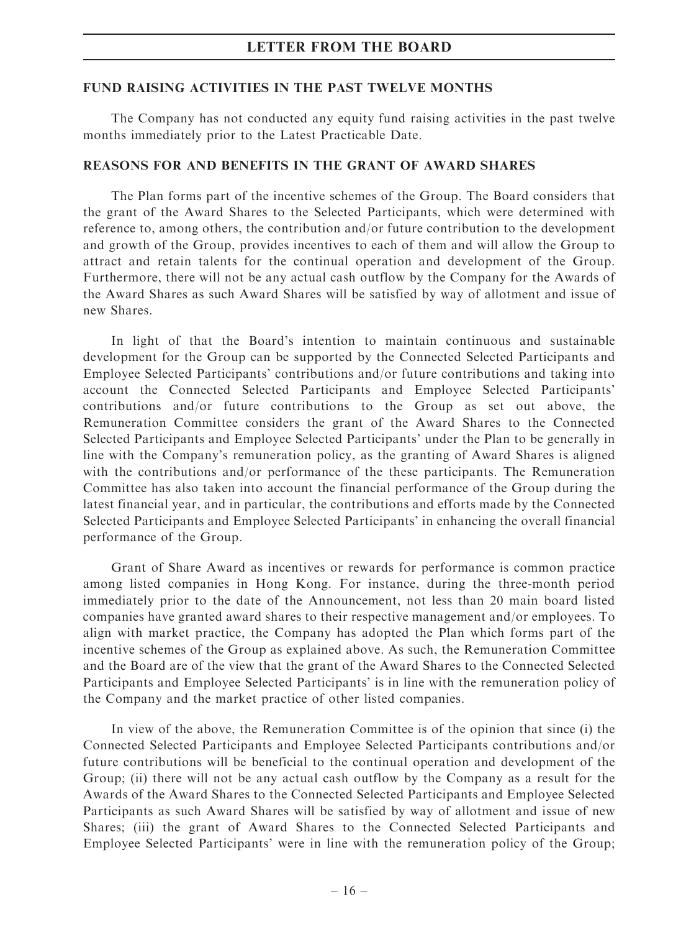#### FUND RAISING ACTIVITIES IN THE PAST TWELVE MONTHS

The Company has not conducted any equity fund raising activities in the past twelve months immediately prior to the Latest Practicable Date.

#### REASONS FOR AND BENEFITS IN THE GRANT OF AWARD SHARES

The Plan forms part of the incentive schemes of the Group. The Board considers that the grant of the Award Shares to the Selected Participants, which were determined with reference to, among others, the contribution and/or future contribution to the development and growth of the Group, provides incentives to each of them and will allow the Group to attract and retain talents for the continual operation and development of the Group. Furthermore, there will not be any actual cash outflow by the Company for the Awards of the Award Shares as such Award Shares will be satisfied by way of allotment and issue of new Shares.

In light of that the Board's intention to maintain continuous and sustainable development for the Group can be supported by the Connected Selected Participants and Employee Selected Participants' contributions and/or future contributions and taking into account the Connected Selected Participants and Employee Selected Participants' contributions and/or future contributions to the Group as set out above, the Remuneration Committee considers the grant of the Award Shares to the Connected Selected Participants and Employee Selected Participants' under the Plan to be generally in line with the Company's remuneration policy, as the granting of Award Shares is aligned with the contributions and/or performance of the these participants. The Remuneration Committee has also taken into account the financial performance of the Group during the latest financial year, and in particular, the contributions and efforts made by the Connected Selected Participants and Employee Selected Participants' in enhancing the overall financial performance of the Group.

Grant of Share Award as incentives or rewards for performance is common practice among listed companies in Hong Kong. For instance, during the three-month period immediately prior to the date of the Announcement, not less than 20 main board listed companies have granted award shares to their respective management and/or employees. To align with market practice, the Company has adopted the Plan which forms part of the incentive schemes of the Group as explained above. As such, the Remuneration Committee and the Board are of the view that the grant of the Award Shares to the Connected Selected Participants and Employee Selected Participants' is in line with the remuneration policy of the Company and the market practice of other listed companies.

In view of the above, the Remuneration Committee is of the opinion that since (i) the Connected Selected Participants and Employee Selected Participants contributions and/or future contributions will be beneficial to the continual operation and development of the Group; (ii) there will not be any actual cash outflow by the Company as a result for the Awards of the Award Shares to the Connected Selected Participants and Employee Selected Participants as such Award Shares will be satisfied by way of allotment and issue of new Shares; (iii) the grant of Award Shares to the Connected Selected Participants and Employee Selected Participants' were in line with the remuneration policy of the Group;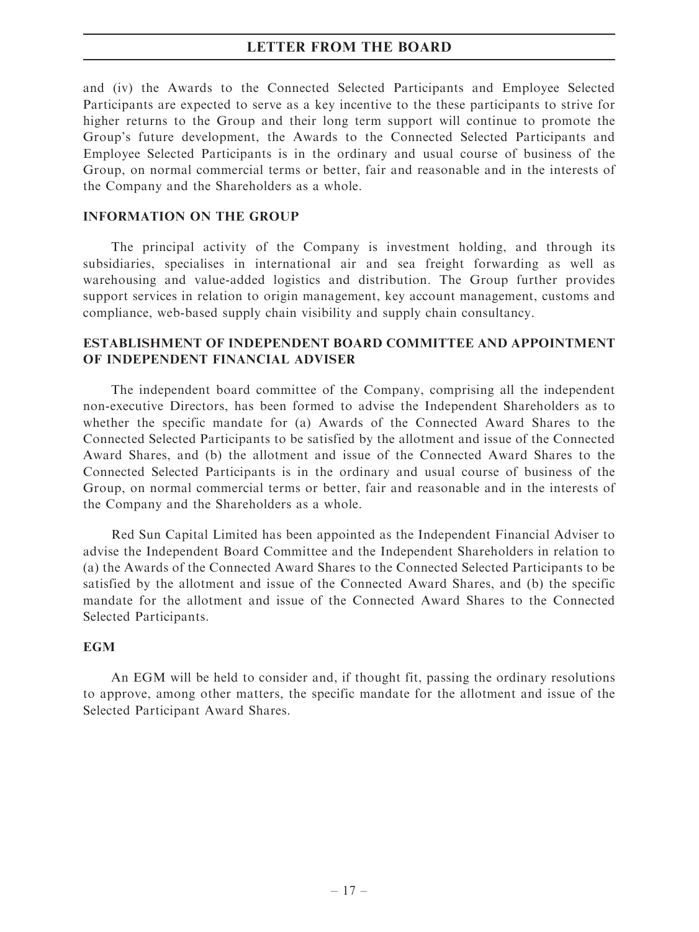and (iv) the Awards to the Connected Selected Participants and Employee Selected Participants are expected to serve as a key incentive to the these participants to strive for higher returns to the Group and their long term support will continue to promote the Group's future development, the Awards to the Connected Selected Participants and Employee Selected Participants is in the ordinary and usual course of business of the Group, on normal commercial terms or better, fair and reasonable and in the interests of the Company and the Shareholders as a whole.

#### INFORMATION ON THE GROUP

The principal activity of the Company is investment holding, and through its subsidiaries, specialises in international air and sea freight forwarding as well as warehousing and value-added logistics and distribution. The Group further provides support services in relation to origin management, key account management, customs and compliance, web-based supply chain visibility and supply chain consultancy.

### ESTABLISHMENT OF INDEPENDENT BOARD COMMITTEE AND APPOINTMENT OF INDEPENDENT FINANCIAL ADVISER

The independent board committee of the Company, comprising all the independent non-executive Directors, has been formed to advise the Independent Shareholders as to whether the specific mandate for (a) Awards of the Connected Award Shares to the Connected Selected Participants to be satisfied by the allotment and issue of the Connected Award Shares, and (b) the allotment and issue of the Connected Award Shares to the Connected Selected Participants is in the ordinary and usual course of business of the Group, on normal commercial terms or better, fair and reasonable and in the interests of the Company and the Shareholders as a whole.

Red Sun Capital Limited has been appointed as the Independent Financial Adviser to advise the Independent Board Committee and the Independent Shareholders in relation to (a) the Awards of the Connected Award Shares to the Connected Selected Participants to be satisfied by the allotment and issue of the Connected Award Shares, and (b) the specific mandate for the allotment and issue of the Connected Award Shares to the Connected Selected Participants.

#### **EGM**

An EGM will be held to consider and, if thought fit, passing the ordinary resolutions to approve, among other matters, the specific mandate for the allotment and issue of the Selected Participant Award Shares.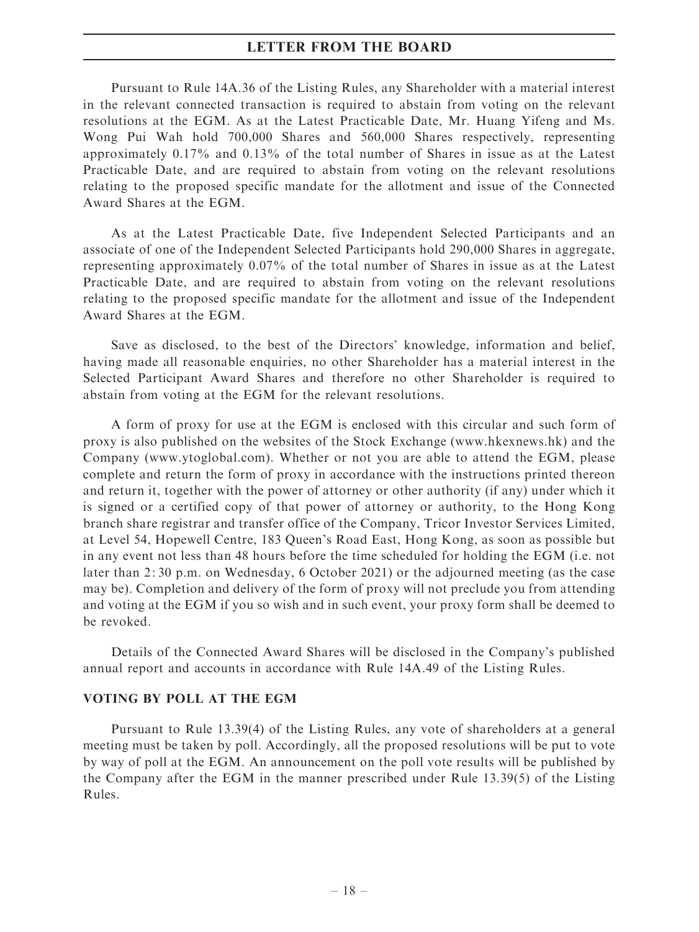Pursuant to Rule 14A.36 of the Listing Rules, any Shareholder with a material interest in the relevant connected transaction is required to abstain from voting on the relevant resolutions at the EGM. As at the Latest Practicable Date, Mr. Huang Yifeng and Ms. Wong Pui Wah hold 700,000 Shares and 560,000 Shares respectively, representing approximately 0.17% and 0.13% of the total number of Shares in issue as at the Latest Practicable Date, and are required to abstain from voting on the relevant resolutions relating to the proposed specific mandate for the allotment and issue of the Connected Award Shares at the EGM.

As at the Latest Practicable Date, five Independent Selected Participants and an associate of one of the Independent Selected Participants hold 290,000 Shares in aggregate, representing approximately 0.07% of the total number of Shares in issue as at the Latest Practicable Date, and are required to abstain from voting on the relevant resolutions relating to the proposed specific mandate for the allotment and issue of the Independent Award Shares at the EGM.

Save as disclosed, to the best of the Directors' knowledge, information and belief, having made all reasonable enquiries, no other Shareholder has a material interest in the Selected Participant Award Shares and therefore no other Shareholder is required to abstain from voting at the EGM for the relevant resolutions.

A form of proxy for use at the EGM is enclosed with this circular and such form of proxy is also published on the websites of the Stock Exchange (www.hkexnews.hk) and the Company (www.ytoglobal.com). Whether or not you are able to attend the EGM, please complete and return the form of proxy in accordance with the instructions printed thereon and return it, together with the power of attorney or other authority (if any) under which it is signed or a certified copy of that power of attorney or authority, to the Hong Kong branch share registrar and transfer office of the Company, Tricor Investor Services Limited, at Level 54, Hopewell Centre, 183 Queen's Road East, Hong Kong, as soon as possible but in any event not less than 48 hours before the time scheduled for holding the EGM (i.e. not later than 2: 30 p.m. on Wednesday, 6 October 2021) or the adjourned meeting (as the case may be). Completion and delivery of the form of proxy will not preclude you from attending and voting at the EGM if you so wish and in such event, your proxy form shall be deemed to be revoked.

Details of the Connected Award Shares will be disclosed in the Company's published annual report and accounts in accordance with Rule 14A.49 of the Listing Rules.

#### VOTING BY POLL AT THE EGM

Pursuant to Rule 13.39(4) of the Listing Rules, any vote of shareholders at a general meeting must be taken by poll. Accordingly, all the proposed resolutions will be put to vote by way of poll at the EGM. An announcement on the poll vote results will be published by the Company after the EGM in the manner prescribed under Rule 13.39(5) of the Listing Rules.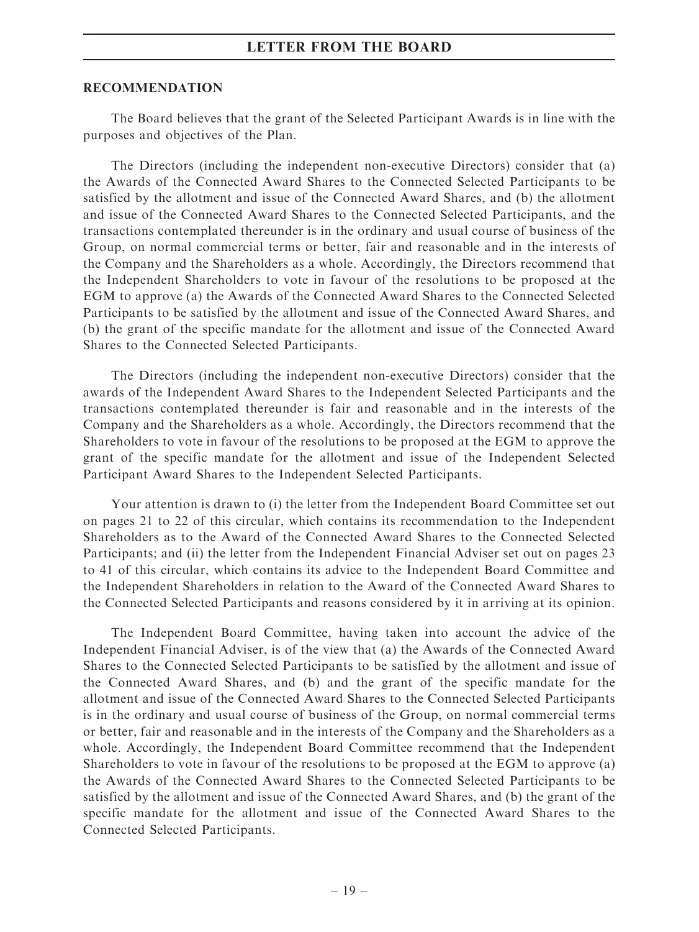#### RECOMMENDATION

The Board believes that the grant of the Selected Participant Awards is in line with the purposes and objectives of the Plan.

The Directors (including the independent non-executive Directors) consider that (a) the Awards of the Connected Award Shares to the Connected Selected Participants to be satisfied by the allotment and issue of the Connected Award Shares, and (b) the allotment and issue of the Connected Award Shares to the Connected Selected Participants, and the transactions contemplated thereunder is in the ordinary and usual course of business of the Group, on normal commercial terms or better, fair and reasonable and in the interests of the Company and the Shareholders as a whole. Accordingly, the Directors recommend that the Independent Shareholders to vote in favour of the resolutions to be proposed at the EGM to approve (a) the Awards of the Connected Award Shares to the Connected Selected Participants to be satisfied by the allotment and issue of the Connected Award Shares, and (b) the grant of the specific mandate for the allotment and issue of the Connected Award Shares to the Connected Selected Participants.

The Directors (including the independent non-executive Directors) consider that the awards of the Independent Award Shares to the Independent Selected Participants and the transactions contemplated thereunder is fair and reasonable and in the interests of the Company and the Shareholders as a whole. Accordingly, the Directors recommend that the Shareholders to vote in favour of the resolutions to be proposed at the EGM to approve the grant of the specific mandate for the allotment and issue of the Independent Selected Participant Award Shares to the Independent Selected Participants.

Your attention is drawn to (i) the letter from the Independent Board Committee set out on pages 21 to 22 of this circular, which contains its recommendation to the Independent Shareholders as to the Award of the Connected Award Shares to the Connected Selected Participants; and (ii) the letter from the Independent Financial Adviser set out on pages 23 to 41 of this circular, which contains its advice to the Independent Board Committee and the Independent Shareholders in relation to the Award of the Connected Award Shares to the Connected Selected Participants and reasons considered by it in arriving at its opinion.

The Independent Board Committee, having taken into account the advice of the Independent Financial Adviser, is of the view that (a) the Awards of the Connected Award Shares to the Connected Selected Participants to be satisfied by the allotment and issue of the Connected Award Shares, and (b) and the grant of the specific mandate for the allotment and issue of the Connected Award Shares to the Connected Selected Participants is in the ordinary and usual course of business of the Group, on normal commercial terms or better, fair and reasonable and in the interests of the Company and the Shareholders as a whole. Accordingly, the Independent Board Committee recommend that the Independent Shareholders to vote in favour of the resolutions to be proposed at the EGM to approve (a) the Awards of the Connected Award Shares to the Connected Selected Participants to be satisfied by the allotment and issue of the Connected Award Shares, and (b) the grant of the specific mandate for the allotment and issue of the Connected Award Shares to the Connected Selected Participants.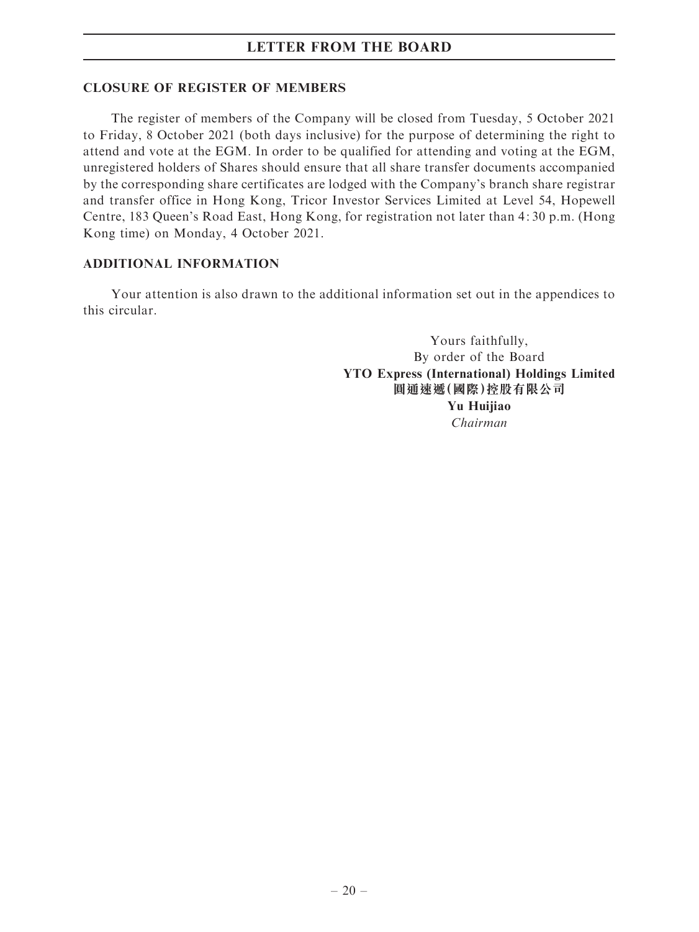#### CLOSURE OF REGISTER OF MEMBERS

The register of members of the Company will be closed from Tuesday, 5 October 2021 to Friday, 8 October 2021 (both days inclusive) for the purpose of determining the right to attend and vote at the EGM. In order to be qualified for attending and voting at the EGM, unregistered holders of Shares should ensure that all share transfer documents accompanied by the corresponding share certificates are lodged with the Company's branch share registrar and transfer office in Hong Kong, Tricor Investor Services Limited at Level 54, Hopewell Centre, 183 Queen's Road East, Hong Kong, for registration not later than 4: 30 p.m. (Hong Kong time) on Monday, 4 October 2021.

# ADDITIONAL INFORMATION

Your attention is also drawn to the additional information set out in the appendices to this circular.

> Yours faithfully, By order of the Board YTO Express (International) Holdings Limited 圓通速遞(國際)控股有限公司 Yu Huiiiao Chairman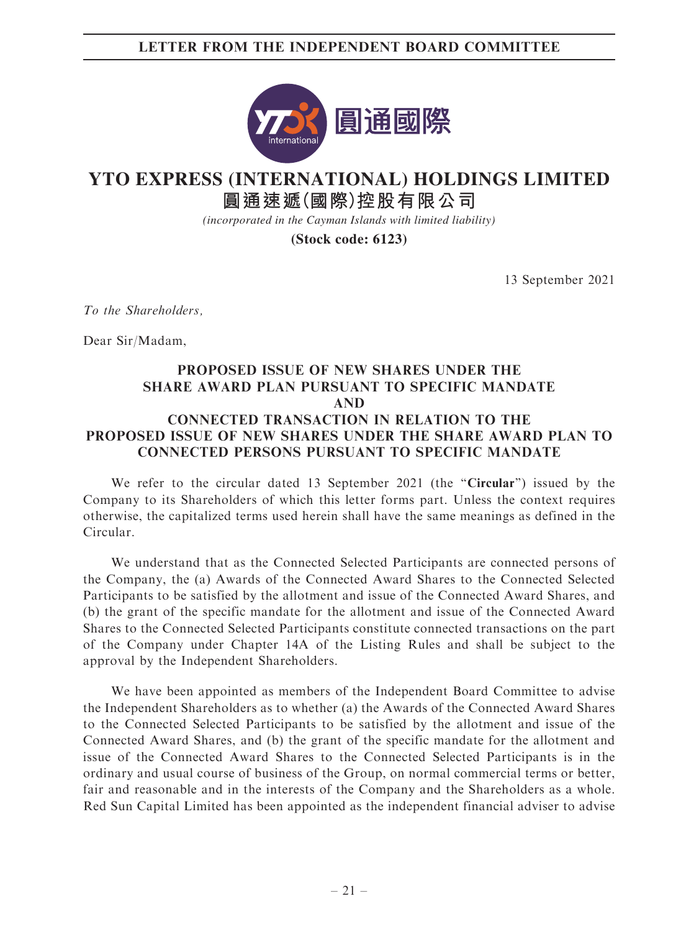# LETTER FROM THE INDEPENDENT BOARD COMMITTEE



# **YTO EXPRESS (INTERNATIONAL) HOLDINGS LIMITED**

**圓通速遞(國際)控股有限公司**

*(incorporated in the Cayman Islands with limited liability)*

**(Stock code: 6123)**

13 September 2021

To the Shareholders,

Dear Sir/Madam,

# PROPOSED ISSUE OF NEW SHARES UNDER THE SHARE AWARD PLAN PURSUANT TO SPECIFIC MANDATE AND CONNECTED TRANSACTION IN RELATION TO THE PROPOSED ISSUE OF NEW SHARES UNDER THE SHARE AWARD PLAN TO CONNECTED PERSONS PURSUANT TO SPECIFIC MANDATE

We refer to the circular dated 13 September 2021 (the "Circular") issued by the Company to its Shareholders of which this letter forms part. Unless the context requires otherwise, the capitalized terms used herein shall have the same meanings as defined in the Circular.

We understand that as the Connected Selected Participants are connected persons of the Company, the (a) Awards of the Connected Award Shares to the Connected Selected Participants to be satisfied by the allotment and issue of the Connected Award Shares, and (b) the grant of the specific mandate for the allotment and issue of the Connected Award Shares to the Connected Selected Participants constitute connected transactions on the part of the Company under Chapter 14A of the Listing Rules and shall be subject to the approval by the Independent Shareholders.

We have been appointed as members of the Independent Board Committee to advise the Independent Shareholders as to whether (a) the Awards of the Connected Award Shares to the Connected Selected Participants to be satisfied by the allotment and issue of the Connected Award Shares, and (b) the grant of the specific mandate for the allotment and issue of the Connected Award Shares to the Connected Selected Participants is in the ordinary and usual course of business of the Group, on normal commercial terms or better, fair and reasonable and in the interests of the Company and the Shareholders as a whole. Red Sun Capital Limited has been appointed as the independent financial adviser to advise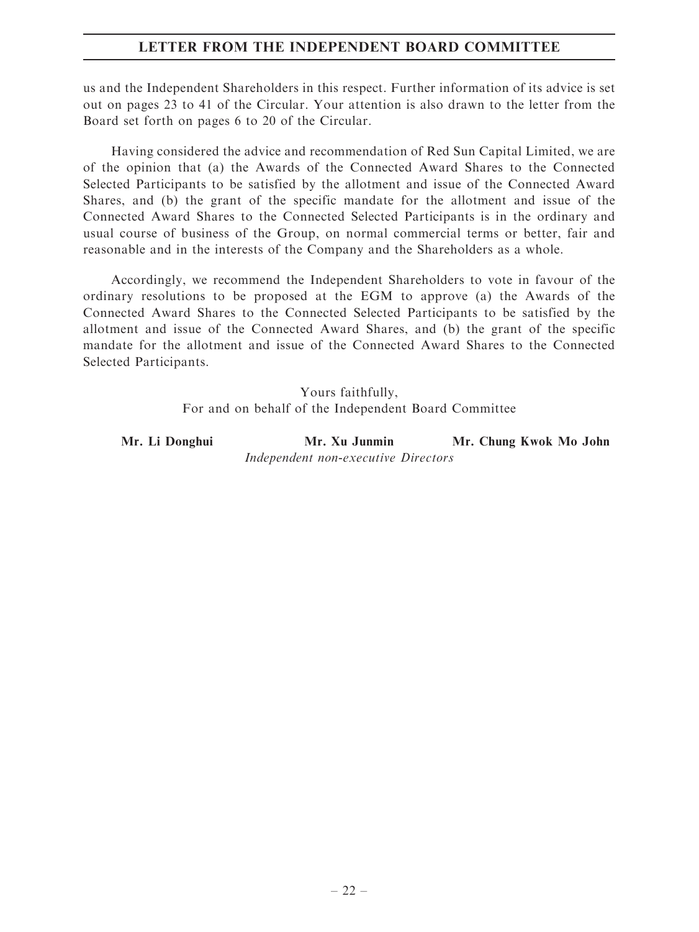# LETTER FROM THE INDEPENDENT BOARD COMMITTEE

us and the Independent Shareholders in this respect. Further information of its advice is set out on pages 23 to 41 of the Circular. Your attention is also drawn to the letter from the Board set forth on pages 6 to 20 of the Circular.

Having considered the advice and recommendation of Red Sun Capital Limited, we are of the opinion that (a) the Awards of the Connected Award Shares to the Connected Selected Participants to be satisfied by the allotment and issue of the Connected Award Shares, and (b) the grant of the specific mandate for the allotment and issue of the Connected Award Shares to the Connected Selected Participants is in the ordinary and usual course of business of the Group, on normal commercial terms or better, fair and reasonable and in the interests of the Company and the Shareholders as a whole.

Accordingly, we recommend the Independent Shareholders to vote in favour of the ordinary resolutions to be proposed at the EGM to approve (a) the Awards of the Connected Award Shares to the Connected Selected Participants to be satisfied by the allotment and issue of the Connected Award Shares, and (b) the grant of the specific mandate for the allotment and issue of the Connected Award Shares to the Connected Selected Participants.

> Yours faithfully, For and on behalf of the Independent Board Committee

Mr. Li Donghui Mr. Xu Junmin Mr. Chung Kwok Mo John Independent non-executive Directors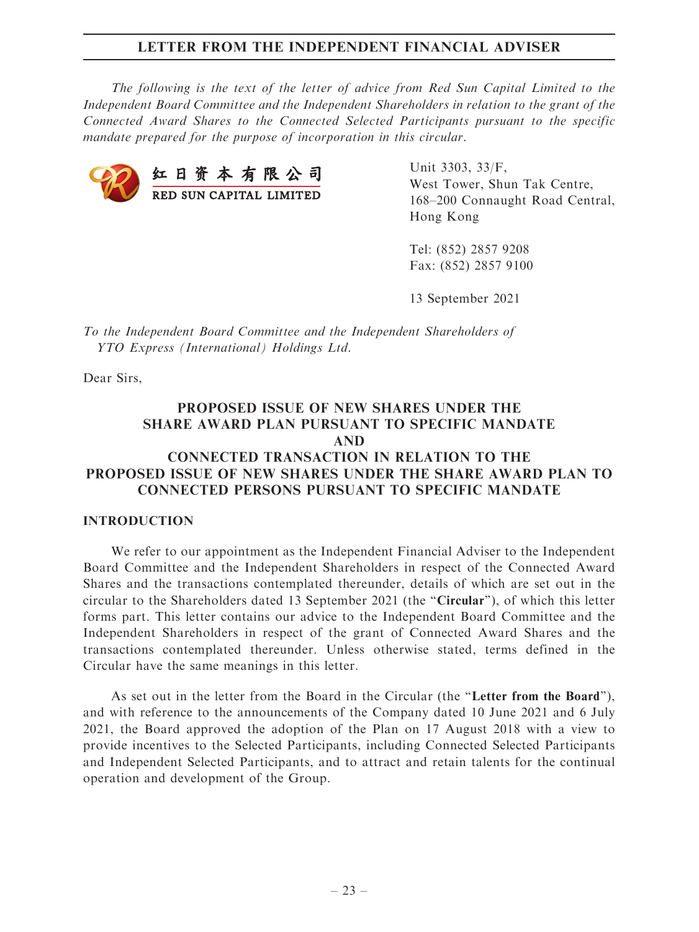The following is the text of the letter of advice from Red Sun Capital Limited to the Independent Board Committee and the Independent Shareholders in relation to the grant of the Connected Award Shares to the Connected Selected Participants pursuant to the specific mandate prepared for the purpose of incorporation in this circular.



Unit 3303, 33/F, West Tower, Shun Tak Centre, 168–200 Connaught Road Central, Hong Kong

Tel: (852) 2857 9208 Fax: (852) 2857 9100

13 September 2021

To the Independent Board Committee and the Independent Shareholders of YTO Express (International) Holdings Ltd.

Dear Sirs,

# PROPOSED ISSUE OF NEW SHARES UNDER THE SHARE AWARD PLAN PURSUANT TO SPECIFIC MANDATE AND CONNECTED TRANSACTION IN RELATION TO THE

# PROPOSED ISSUE OF NEW SHARES UNDER THE SHARE AWARD PLAN TO CONNECTED PERSONS PURSUANT TO SPECIFIC MANDATE

#### INTRODUCTION

We refer to our appointment as the Independent Financial Adviser to the Independent Board Committee and the Independent Shareholders in respect of the Connected Award Shares and the transactions contemplated thereunder, details of which are set out in the circular to the Shareholders dated 13 September 2021 (the ''Circular''), of which this letter forms part. This letter contains our advice to the Independent Board Committee and the Independent Shareholders in respect of the grant of Connected Award Shares and the transactions contemplated thereunder. Unless otherwise stated, terms defined in the Circular have the same meanings in this letter.

As set out in the letter from the Board in the Circular (the "Letter from the Board"), and with reference to the announcements of the Company dated 10 June 2021 and 6 July 2021, the Board approved the adoption of the Plan on 17 August 2018 with a view to provide incentives to the Selected Participants, including Connected Selected Participants and Independent Selected Participants, and to attract and retain talents for the continual operation and development of the Group.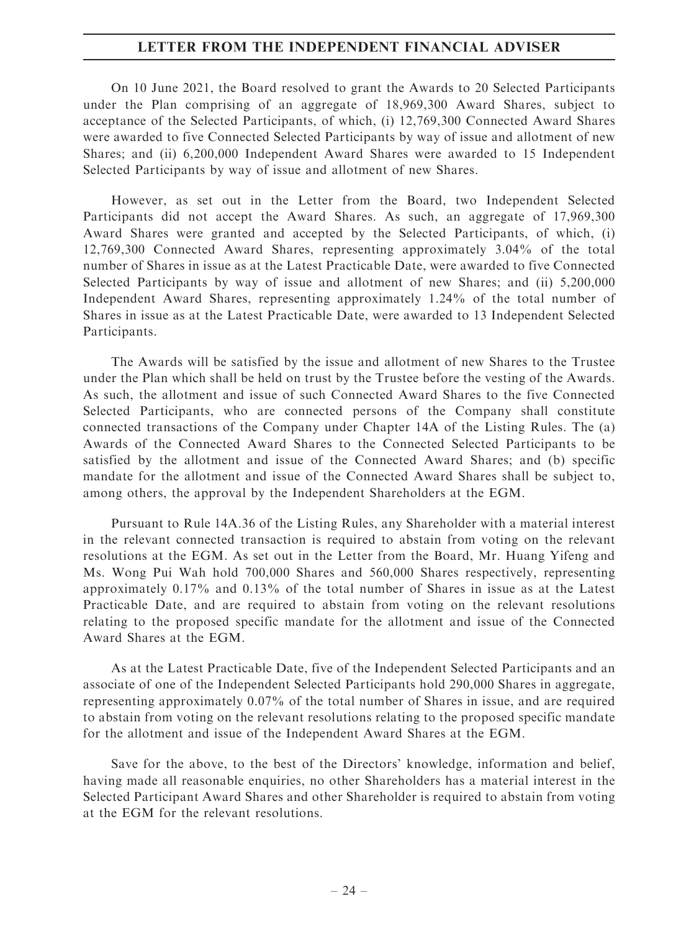On 10 June 2021, the Board resolved to grant the Awards to 20 Selected Participants under the Plan comprising of an aggregate of 18,969,300 Award Shares, subject to acceptance of the Selected Participants, of which, (i) 12,769,300 Connected Award Shares were awarded to five Connected Selected Participants by way of issue and allotment of new Shares; and (ii) 6,200,000 Independent Award Shares were awarded to 15 Independent Selected Participants by way of issue and allotment of new Shares.

However, as set out in the Letter from the Board, two Independent Selected Participants did not accept the Award Shares. As such, an aggregate of 17,969,300 Award Shares were granted and accepted by the Selected Participants, of which, (i) 12,769,300 Connected Award Shares, representing approximately 3.04% of the total number of Shares in issue as at the Latest Practicable Date, were awarded to five Connected Selected Participants by way of issue and allotment of new Shares; and (ii) 5,200,000 Independent Award Shares, representing approximately 1.24% of the total number of Shares in issue as at the Latest Practicable Date, were awarded to 13 Independent Selected Participants.

The Awards will be satisfied by the issue and allotment of new Shares to the Trustee under the Plan which shall be held on trust by the Trustee before the vesting of the Awards. As such, the allotment and issue of such Connected Award Shares to the five Connected Selected Participants, who are connected persons of the Company shall constitute connected transactions of the Company under Chapter 14A of the Listing Rules. The (a) Awards of the Connected Award Shares to the Connected Selected Participants to be satisfied by the allotment and issue of the Connected Award Shares; and (b) specific mandate for the allotment and issue of the Connected Award Shares shall be subject to, among others, the approval by the Independent Shareholders at the EGM.

Pursuant to Rule 14A.36 of the Listing Rules, any Shareholder with a material interest in the relevant connected transaction is required to abstain from voting on the relevant resolutions at the EGM. As set out in the Letter from the Board, Mr. Huang Yifeng and Ms. Wong Pui Wah hold 700,000 Shares and 560,000 Shares respectively, representing approximately 0.17% and 0.13% of the total number of Shares in issue as at the Latest Practicable Date, and are required to abstain from voting on the relevant resolutions relating to the proposed specific mandate for the allotment and issue of the Connected Award Shares at the EGM.

As at the Latest Practicable Date, five of the Independent Selected Participants and an associate of one of the Independent Selected Participants hold 290,000 Shares in aggregate, representing approximately 0.07% of the total number of Shares in issue, and are required to abstain from voting on the relevant resolutions relating to the proposed specific mandate for the allotment and issue of the Independent Award Shares at the EGM.

Save for the above, to the best of the Directors' knowledge, information and belief, having made all reasonable enquiries, no other Shareholders has a material interest in the Selected Participant Award Shares and other Shareholder is required to abstain from voting at the EGM for the relevant resolutions.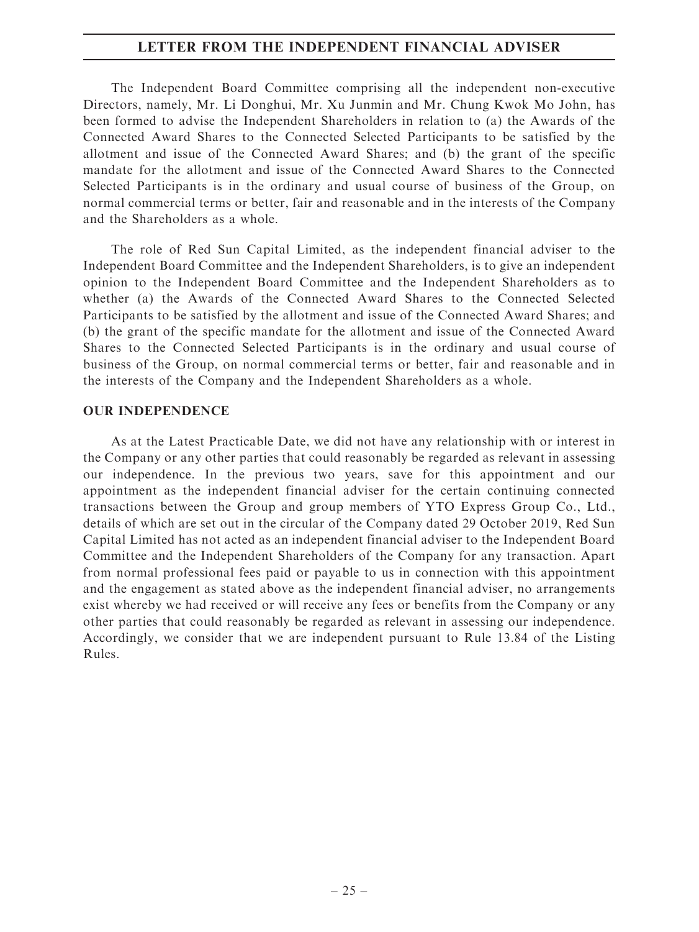The Independent Board Committee comprising all the independent non-executive Directors, namely, Mr. Li Donghui, Mr. Xu Junmin and Mr. Chung Kwok Mo John, has been formed to advise the Independent Shareholders in relation to (a) the Awards of the Connected Award Shares to the Connected Selected Participants to be satisfied by the allotment and issue of the Connected Award Shares; and (b) the grant of the specific mandate for the allotment and issue of the Connected Award Shares to the Connected Selected Participants is in the ordinary and usual course of business of the Group, on normal commercial terms or better, fair and reasonable and in the interests of the Company and the Shareholders as a whole.

The role of Red Sun Capital Limited, as the independent financial adviser to the Independent Board Committee and the Independent Shareholders, is to give an independent opinion to the Independent Board Committee and the Independent Shareholders as to whether (a) the Awards of the Connected Award Shares to the Connected Selected Participants to be satisfied by the allotment and issue of the Connected Award Shares; and (b) the grant of the specific mandate for the allotment and issue of the Connected Award Shares to the Connected Selected Participants is in the ordinary and usual course of business of the Group, on normal commercial terms or better, fair and reasonable and in the interests of the Company and the Independent Shareholders as a whole.

#### OUR INDEPENDENCE

As at the Latest Practicable Date, we did not have any relationship with or interest in the Company or any other parties that could reasonably be regarded as relevant in assessing our independence. In the previous two years, save for this appointment and our appointment as the independent financial adviser for the certain continuing connected transactions between the Group and group members of YTO Express Group Co., Ltd., details of which are set out in the circular of the Company dated 29 October 2019, Red Sun Capital Limited has not acted as an independent financial adviser to the Independent Board Committee and the Independent Shareholders of the Company for any transaction. Apart from normal professional fees paid or payable to us in connection with this appointment and the engagement as stated above as the independent financial adviser, no arrangements exist whereby we had received or will receive any fees or benefits from the Company or any other parties that could reasonably be regarded as relevant in assessing our independence. Accordingly, we consider that we are independent pursuant to Rule 13.84 of the Listing Rules.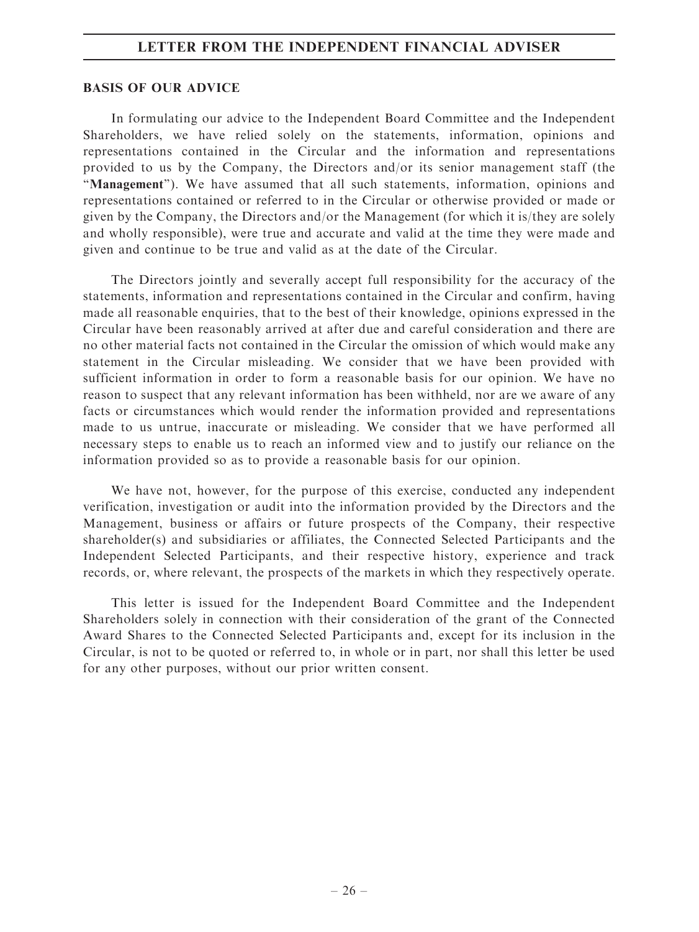#### BASIS OF OUR ADVICE

In formulating our advice to the Independent Board Committee and the Independent Shareholders, we have relied solely on the statements, information, opinions and representations contained in the Circular and the information and representations provided to us by the Company, the Directors and/or its senior management staff (the "Management"). We have assumed that all such statements, information, opinions and representations contained or referred to in the Circular or otherwise provided or made or given by the Company, the Directors and/or the Management (for which it is/they are solely and wholly responsible), were true and accurate and valid at the time they were made and given and continue to be true and valid as at the date of the Circular.

The Directors jointly and severally accept full responsibility for the accuracy of the statements, information and representations contained in the Circular and confirm, having made all reasonable enquiries, that to the best of their knowledge, opinions expressed in the Circular have been reasonably arrived at after due and careful consideration and there are no other material facts not contained in the Circular the omission of which would make any statement in the Circular misleading. We consider that we have been provided with sufficient information in order to form a reasonable basis for our opinion. We have no reason to suspect that any relevant information has been withheld, nor are we aware of any facts or circumstances which would render the information provided and representations made to us untrue, inaccurate or misleading. We consider that we have performed all necessary steps to enable us to reach an informed view and to justify our reliance on the information provided so as to provide a reasonable basis for our opinion.

We have not, however, for the purpose of this exercise, conducted any independent verification, investigation or audit into the information provided by the Directors and the Management, business or affairs or future prospects of the Company, their respective shareholder(s) and subsidiaries or affiliates, the Connected Selected Participants and the Independent Selected Participants, and their respective history, experience and track records, or, where relevant, the prospects of the markets in which they respectively operate.

This letter is issued for the Independent Board Committee and the Independent Shareholders solely in connection with their consideration of the grant of the Connected Award Shares to the Connected Selected Participants and, except for its inclusion in the Circular, is not to be quoted or referred to, in whole or in part, nor shall this letter be used for any other purposes, without our prior written consent.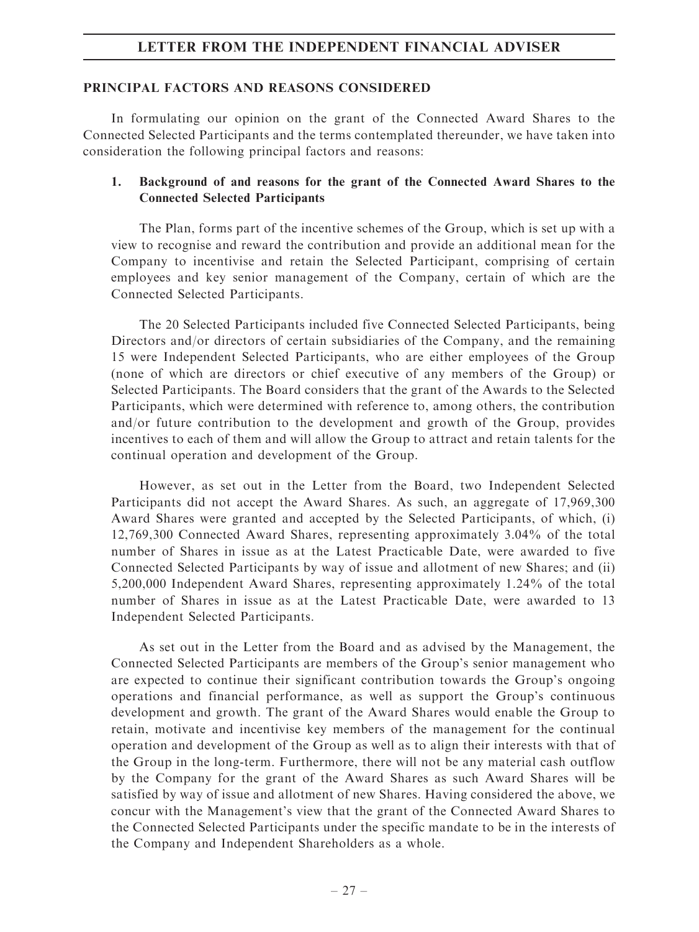#### PRINCIPAL FACTORS AND REASONS CONSIDERED

In formulating our opinion on the grant of the Connected Award Shares to the Connected Selected Participants and the terms contemplated thereunder, we have taken into consideration the following principal factors and reasons:

# 1. Background of and reasons for the grant of the Connected Award Shares to the Connected Selected Participants

The Plan, forms part of the incentive schemes of the Group, which is set up with a view to recognise and reward the contribution and provide an additional mean for the Company to incentivise and retain the Selected Participant, comprising of certain employees and key senior management of the Company, certain of which are the Connected Selected Participants.

The 20 Selected Participants included five Connected Selected Participants, being Directors and/or directors of certain subsidiaries of the Company, and the remaining 15 were Independent Selected Participants, who are either employees of the Group (none of which are directors or chief executive of any members of the Group) or Selected Participants. The Board considers that the grant of the Awards to the Selected Participants, which were determined with reference to, among others, the contribution and/or future contribution to the development and growth of the Group, provides incentives to each of them and will allow the Group to attract and retain talents for the continual operation and development of the Group.

However, as set out in the Letter from the Board, two Independent Selected Participants did not accept the Award Shares. As such, an aggregate of 17,969,300 Award Shares were granted and accepted by the Selected Participants, of which, (i) 12,769,300 Connected Award Shares, representing approximately 3.04% of the total number of Shares in issue as at the Latest Practicable Date, were awarded to five Connected Selected Participants by way of issue and allotment of new Shares; and (ii) 5,200,000 Independent Award Shares, representing approximately 1.24% of the total number of Shares in issue as at the Latest Practicable Date, were awarded to 13 Independent Selected Participants.

As set out in the Letter from the Board and as advised by the Management, the Connected Selected Participants are members of the Group's senior management who are expected to continue their significant contribution towards the Group's ongoing operations and financial performance, as well as support the Group's continuous development and growth. The grant of the Award Shares would enable the Group to retain, motivate and incentivise key members of the management for the continual operation and development of the Group as well as to align their interests with that of the Group in the long-term. Furthermore, there will not be any material cash outflow by the Company for the grant of the Award Shares as such Award Shares will be satisfied by way of issue and allotment of new Shares. Having considered the above, we concur with the Management's view that the grant of the Connected Award Shares to the Connected Selected Participants under the specific mandate to be in the interests of the Company and Independent Shareholders as a whole.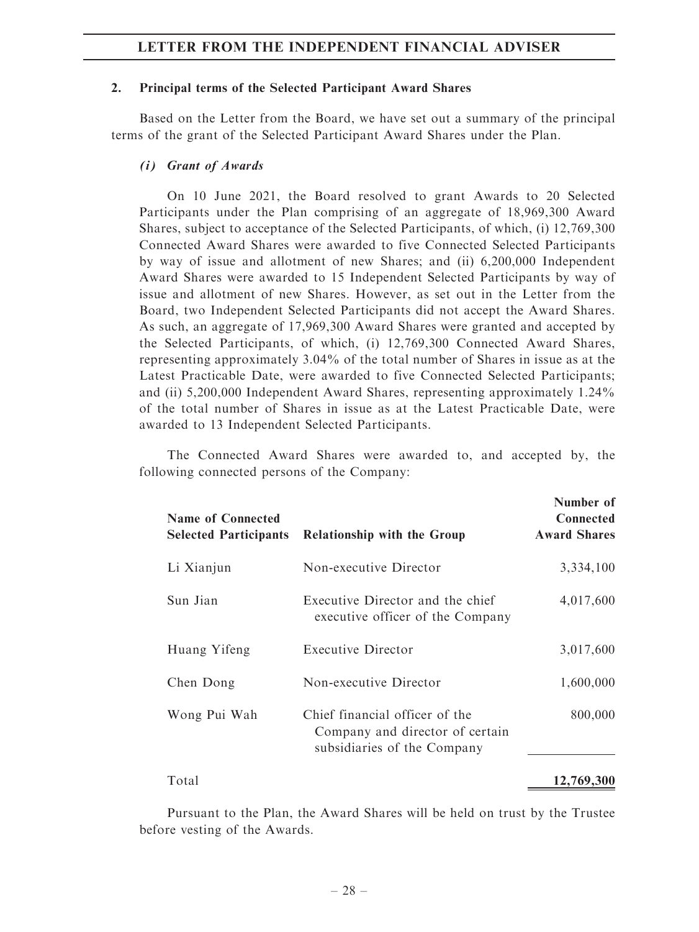#### 2. Principal terms of the Selected Participant Award Shares

Based on the Letter from the Board, we have set out a summary of the principal terms of the grant of the Selected Participant Award Shares under the Plan.

#### (i) Grant of Awards

On 10 June 2021, the Board resolved to grant Awards to 20 Selected Participants under the Plan comprising of an aggregate of 18,969,300 Award Shares, subject to acceptance of the Selected Participants, of which, (i) 12,769,300 Connected Award Shares were awarded to five Connected Selected Participants by way of issue and allotment of new Shares; and (ii) 6,200,000 Independent Award Shares were awarded to 15 Independent Selected Participants by way of issue and allotment of new Shares. However, as set out in the Letter from the Board, two Independent Selected Participants did not accept the Award Shares. As such, an aggregate of 17,969,300 Award Shares were granted and accepted by the Selected Participants, of which, (i) 12,769,300 Connected Award Shares, representing approximately 3.04% of the total number of Shares in issue as at the Latest Practicable Date, were awarded to five Connected Selected Participants; and (ii) 5,200,000 Independent Award Shares, representing approximately 1.24% of the total number of Shares in issue as at the Latest Practicable Date, were awarded to 13 Independent Selected Participants.

The Connected Award Shares were awarded to, and accepted by, the following connected persons of the Company:

| <b>Name of Connected</b><br><b>Selected Participants</b> | <b>Relationship with the Group</b>                                                               | Number of<br>Connected<br><b>Award Shares</b> |
|----------------------------------------------------------|--------------------------------------------------------------------------------------------------|-----------------------------------------------|
| Li Xianjun                                               | Non-executive Director                                                                           | 3,334,100                                     |
| Sun Jian                                                 | Executive Director and the chief<br>executive officer of the Company                             | 4,017,600                                     |
| Huang Yifeng                                             | <b>Executive Director</b>                                                                        | 3,017,600                                     |
| Chen Dong                                                | Non-executive Director                                                                           | 1,600,000                                     |
| Wong Pui Wah                                             | Chief financial officer of the<br>Company and director of certain<br>subsidiaries of the Company | 800,000                                       |
| Total                                                    |                                                                                                  | 12,769,300                                    |

Pursuant to the Plan, the Award Shares will be held on trust by the Trustee before vesting of the Awards.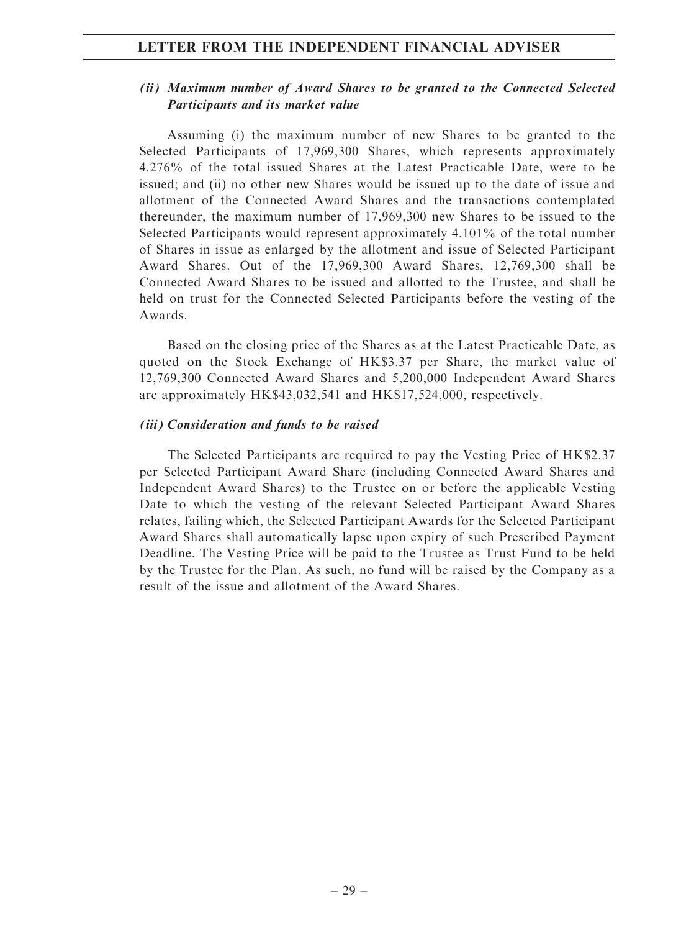# (ii) Maximum number of Award Shares to be granted to the Connected Selected Participants and its market value

Assuming (i) the maximum number of new Shares to be granted to the Selected Participants of 17,969,300 Shares, which represents approximately 4.276% of the total issued Shares at the Latest Practicable Date, were to be issued; and (ii) no other new Shares would be issued up to the date of issue and allotment of the Connected Award Shares and the transactions contemplated thereunder, the maximum number of 17,969,300 new Shares to be issued to the Selected Participants would represent approximately 4.101% of the total number of Shares in issue as enlarged by the allotment and issue of Selected Participant Award Shares. Out of the 17,969,300 Award Shares, 12,769,300 shall be Connected Award Shares to be issued and allotted to the Trustee, and shall be held on trust for the Connected Selected Participants before the vesting of the Awards.

Based on the closing price of the Shares as at the Latest Practicable Date, as quoted on the Stock Exchange of HK\$3.37 per Share, the market value of 12,769,300 Connected Award Shares and 5,200,000 Independent Award Shares are approximately HK\$43,032,541 and HK\$17,524,000, respectively.

#### (iii) Consideration and funds to be raised

The Selected Participants are required to pay the Vesting Price of HK\$2.37 per Selected Participant Award Share (including Connected Award Shares and Independent Award Shares) to the Trustee on or before the applicable Vesting Date to which the vesting of the relevant Selected Participant Award Shares relates, failing which, the Selected Participant Awards for the Selected Participant Award Shares shall automatically lapse upon expiry of such Prescribed Payment Deadline. The Vesting Price will be paid to the Trustee as Trust Fund to be held by the Trustee for the Plan. As such, no fund will be raised by the Company as a result of the issue and allotment of the Award Shares.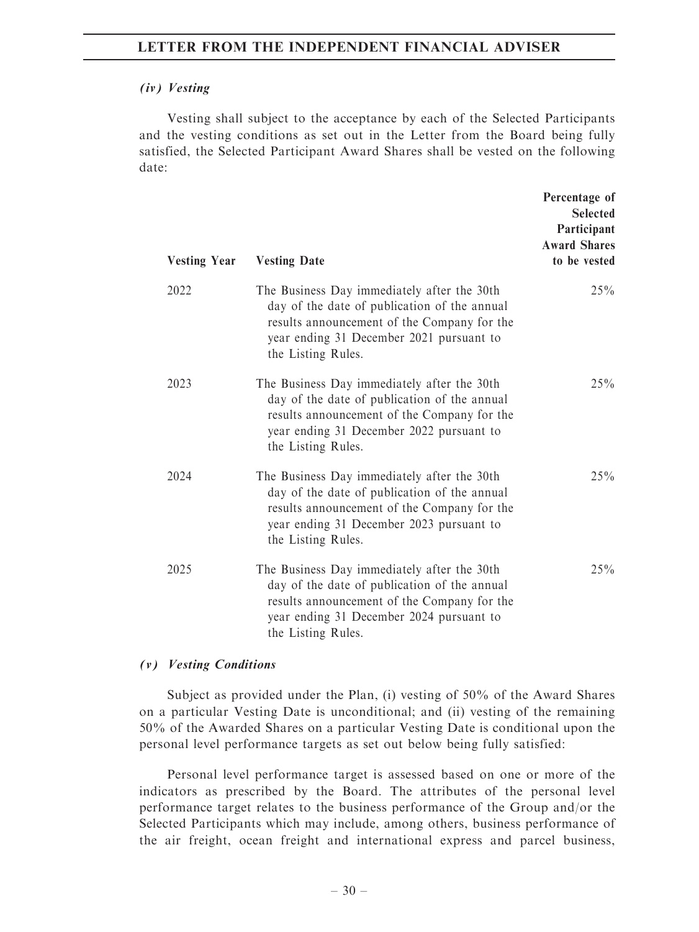#### (iv) Vesting

Vesting shall subject to the acceptance by each of the Selected Participants and the vesting conditions as set out in the Letter from the Board being fully satisfied, the Selected Participant Award Shares shall be vested on the following date:

| <b>Vesting Year</b> | <b>Vesting Date</b>                                                                                                                                                                                          | Percentage of<br><b>Selected</b><br>Participant<br><b>Award Shares</b><br>to be vested |
|---------------------|--------------------------------------------------------------------------------------------------------------------------------------------------------------------------------------------------------------|----------------------------------------------------------------------------------------|
| 2022                | The Business Day immediately after the 30th<br>day of the date of publication of the annual<br>results announcement of the Company for the<br>year ending 31 December 2021 pursuant to<br>the Listing Rules. | 25%                                                                                    |
| 2023                | The Business Day immediately after the 30th<br>day of the date of publication of the annual<br>results announcement of the Company for the<br>year ending 31 December 2022 pursuant to<br>the Listing Rules. | 25%                                                                                    |
| 2024                | The Business Day immediately after the 30th<br>day of the date of publication of the annual<br>results announcement of the Company for the<br>year ending 31 December 2023 pursuant to<br>the Listing Rules. | 25%                                                                                    |
| 2025                | The Business Day immediately after the 30th<br>day of the date of publication of the annual<br>results announcement of the Company for the<br>year ending 31 December 2024 pursuant to<br>the Listing Rules. | 25%                                                                                    |

#### (v) Vesting Conditions

Subject as provided under the Plan, (i) vesting of 50% of the Award Shares on a particular Vesting Date is unconditional; and (ii) vesting of the remaining 50% of the Awarded Shares on a particular Vesting Date is conditional upon the personal level performance targets as set out below being fully satisfied:

Personal level performance target is assessed based on one or more of the indicators as prescribed by the Board. The attributes of the personal level performance target relates to the business performance of the Group and/or the Selected Participants which may include, among others, business performance of the air freight, ocean freight and international express and parcel business,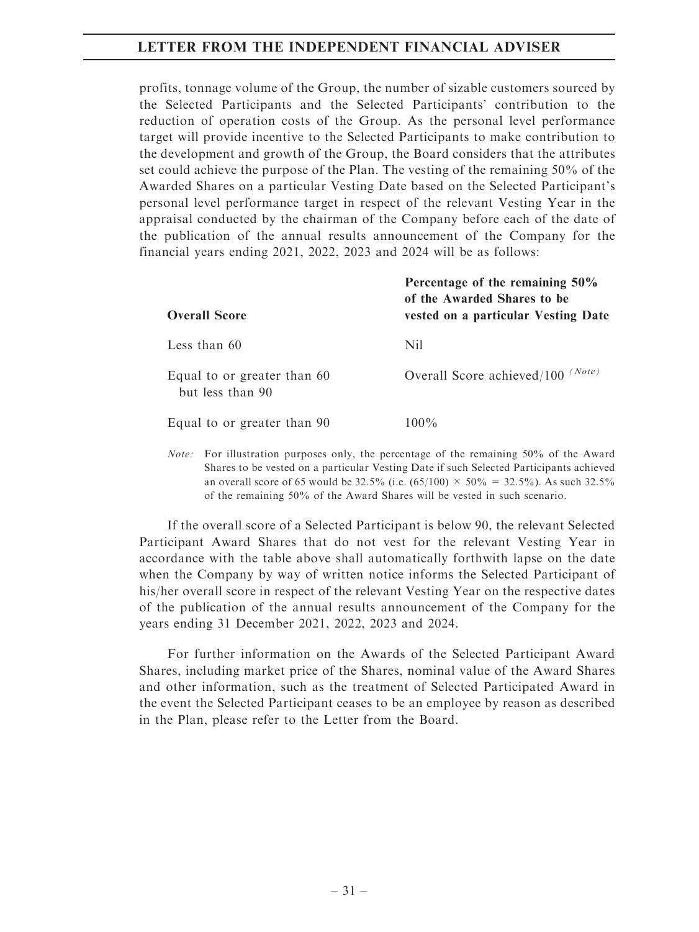profits, tonnage volume of the Group, the number of sizable customers sourced by the Selected Participants and the Selected Participants' contribution to the reduction of operation costs of the Group. As the personal level performance target will provide incentive to the Selected Participants to make contribution to the development and growth of the Group, the Board considers that the attributes set could achieve the purpose of the Plan. The vesting of the remaining 50% of the Awarded Shares on a particular Vesting Date based on the Selected Participant's personal level performance target in respect of the relevant Vesting Year in the appraisal conducted by the chairman of the Company before each of the date of the publication of the annual results announcement of the Company for the financial years ending 2021, 2022, 2023 and 2024 will be as follows:

| <b>Overall Score</b>                            | Percentage of the remaining 50%<br>of the Awarded Shares to be<br>vested on a particular Vesting Date |
|-------------------------------------------------|-------------------------------------------------------------------------------------------------------|
| Less than $60$                                  | Nil                                                                                                   |
| Equal to or greater than 60<br>but less than 90 | (Note)<br>Overall Score achieved/100                                                                  |
| Equal to or greater than 90                     | $100\%$                                                                                               |

Note: For illustration purposes only, the percentage of the remaining 50% of the Award Shares to be vested on a particular Vesting Date if such Selected Participants achieved an overall score of 65 would be 32.5% (i.e.  $(65/100) \times 50\% = 32.5\%$ ). As such 32.5% of the remaining 50% of the Award Shares will be vested in such scenario.

If the overall score of a Selected Participant is below 90, the relevant Selected Participant Award Shares that do not vest for the relevant Vesting Year in accordance with the table above shall automatically forthwith lapse on the date when the Company by way of written notice informs the Selected Participant of his/her overall score in respect of the relevant Vesting Year on the respective dates of the publication of the annual results announcement of the Company for the years ending 31 December 2021, 2022, 2023 and 2024.

For further information on the Awards of the Selected Participant Award Shares, including market price of the Shares, nominal value of the Award Shares and other information, such as the treatment of Selected Participated Award in the event the Selected Participant ceases to be an employee by reason as described in the Plan, please refer to the Letter from the Board.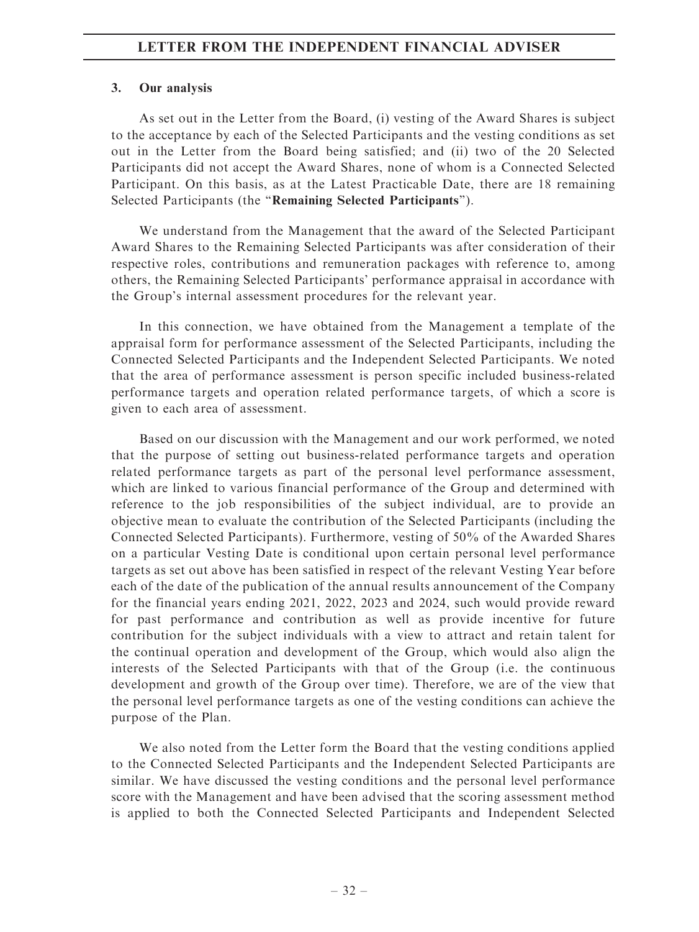#### 3. Our analysis

As set out in the Letter from the Board, (i) vesting of the Award Shares is subject to the acceptance by each of the Selected Participants and the vesting conditions as set out in the Letter from the Board being satisfied; and (ii) two of the 20 Selected Participants did not accept the Award Shares, none of whom is a Connected Selected Participant. On this basis, as at the Latest Practicable Date, there are 18 remaining Selected Participants (the ''Remaining Selected Participants'').

We understand from the Management that the award of the Selected Participant Award Shares to the Remaining Selected Participants was after consideration of their respective roles, contributions and remuneration packages with reference to, among others, the Remaining Selected Participants' performance appraisal in accordance with the Group's internal assessment procedures for the relevant year.

In this connection, we have obtained from the Management a template of the appraisal form for performance assessment of the Selected Participants, including the Connected Selected Participants and the Independent Selected Participants. We noted that the area of performance assessment is person specific included business-related performance targets and operation related performance targets, of which a score is given to each area of assessment.

Based on our discussion with the Management and our work performed, we noted that the purpose of setting out business-related performance targets and operation related performance targets as part of the personal level performance assessment, which are linked to various financial performance of the Group and determined with reference to the job responsibilities of the subject individual, are to provide an objective mean to evaluate the contribution of the Selected Participants (including the Connected Selected Participants). Furthermore, vesting of 50% of the Awarded Shares on a particular Vesting Date is conditional upon certain personal level performance targets as set out above has been satisfied in respect of the relevant Vesting Year before each of the date of the publication of the annual results announcement of the Company for the financial years ending 2021, 2022, 2023 and 2024, such would provide reward for past performance and contribution as well as provide incentive for future contribution for the subject individuals with a view to attract and retain talent for the continual operation and development of the Group, which would also align the interests of the Selected Participants with that of the Group (i.e. the continuous development and growth of the Group over time). Therefore, we are of the view that the personal level performance targets as one of the vesting conditions can achieve the purpose of the Plan.

We also noted from the Letter form the Board that the vesting conditions applied to the Connected Selected Participants and the Independent Selected Participants are similar. We have discussed the vesting conditions and the personal level performance score with the Management and have been advised that the scoring assessment method is applied to both the Connected Selected Participants and Independent Selected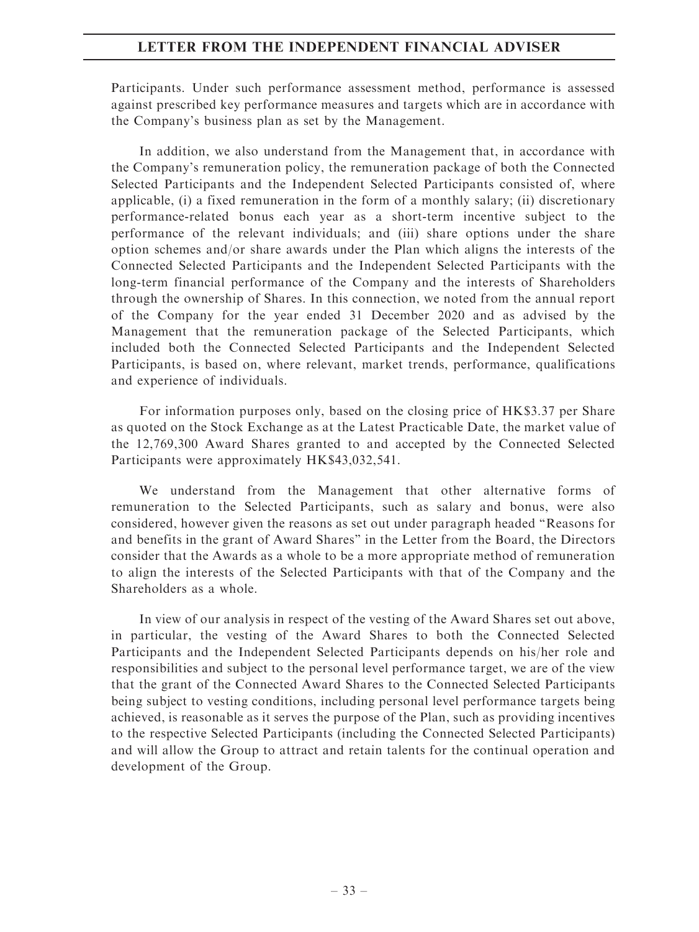Participants. Under such performance assessment method, performance is assessed against prescribed key performance measures and targets which are in accordance with the Company's business plan as set by the Management.

In addition, we also understand from the Management that, in accordance with the Company's remuneration policy, the remuneration package of both the Connected Selected Participants and the Independent Selected Participants consisted of, where applicable, (i) a fixed remuneration in the form of a monthly salary; (ii) discretionary performance-related bonus each year as a short-term incentive subject to the performance of the relevant individuals; and (iii) share options under the share option schemes and/or share awards under the Plan which aligns the interests of the Connected Selected Participants and the Independent Selected Participants with the long-term financial performance of the Company and the interests of Shareholders through the ownership of Shares. In this connection, we noted from the annual report of the Company for the year ended 31 December 2020 and as advised by the Management that the remuneration package of the Selected Participants, which included both the Connected Selected Participants and the Independent Selected Participants, is based on, where relevant, market trends, performance, qualifications and experience of individuals.

For information purposes only, based on the closing price of HK\$3.37 per Share as quoted on the Stock Exchange as at the Latest Practicable Date, the market value of the 12,769,300 Award Shares granted to and accepted by the Connected Selected Participants were approximately HK\$43,032,541.

We understand from the Management that other alternative forms of remuneration to the Selected Participants, such as salary and bonus, were also considered, however given the reasons as set out under paragraph headed ''Reasons for and benefits in the grant of Award Shares'' in the Letter from the Board, the Directors consider that the Awards as a whole to be a more appropriate method of remuneration to align the interests of the Selected Participants with that of the Company and the Shareholders as a whole.

In view of our analysis in respect of the vesting of the Award Shares set out above, in particular, the vesting of the Award Shares to both the Connected Selected Participants and the Independent Selected Participants depends on his/her role and responsibilities and subject to the personal level performance target, we are of the view that the grant of the Connected Award Shares to the Connected Selected Participants being subject to vesting conditions, including personal level performance targets being achieved, is reasonable as it serves the purpose of the Plan, such as providing incentives to the respective Selected Participants (including the Connected Selected Participants) and will allow the Group to attract and retain talents for the continual operation and development of the Group.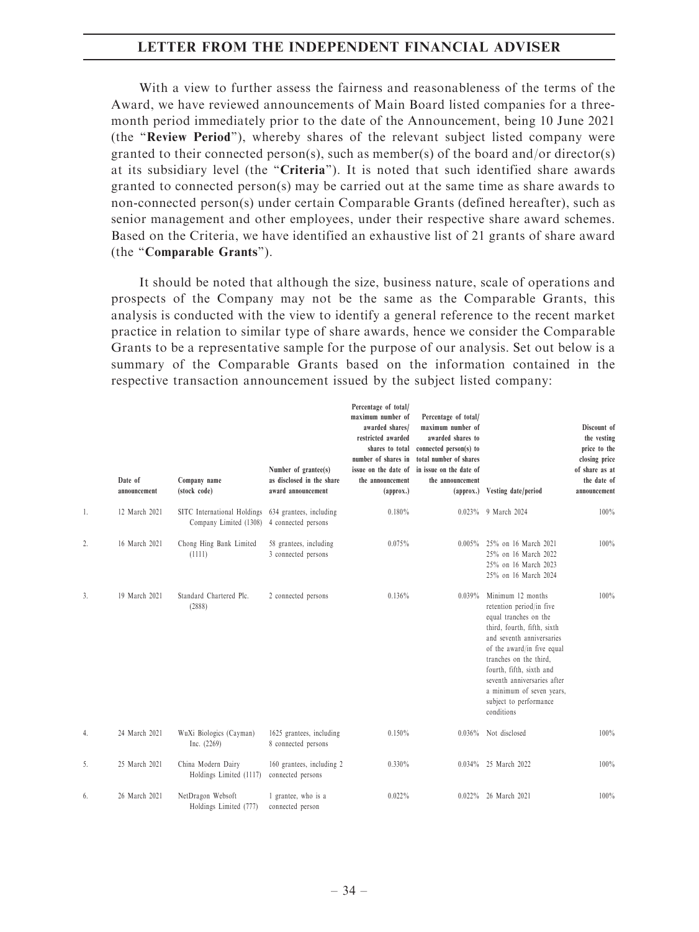With a view to further assess the fairness and reasonableness of the terms of the Award, we have reviewed announcements of Main Board listed companies for a threemonth period immediately prior to the date of the Announcement, being 10 June 2021 (the ''Review Period''), whereby shares of the relevant subject listed company were granted to their connected person(s), such as member(s) of the board and/or director(s) at its subsidiary level (the "Criteria"). It is noted that such identified share awards granted to connected person(s) may be carried out at the same time as share awards to non-connected person(s) under certain Comparable Grants (defined hereafter), such as senior management and other employees, under their respective share award schemes. Based on the Criteria, we have identified an exhaustive list of 21 grants of share award (the ''Comparable Grants'').

It should be noted that although the size, business nature, scale of operations and prospects of the Company may not be the same as the Comparable Grants, this analysis is conducted with the view to identify a general reference to the recent market practice in relation to similar type of share awards, hence we consider the Comparable Grants to be a representative sample for the purpose of our analysis. Set out below is a summary of the Comparable Grants based on the information contained in the respective transaction announcement issued by the subject listed company:

|    | Date of<br>announcement | Company name<br>(stock code)                          | Number of grantee(s)<br>as disclosed in the share<br>award announcement | Percentage of total/<br>maximum number of<br>awarded shares/<br>restricted awarded<br>shares to total<br>number of shares in<br>issue on the date of<br>the announcement<br>(approx.) | Percentage of total/<br>maximum number of<br>awarded shares to<br>connected person(s) to<br>total number of shares<br>in issue on the date of<br>the announcement<br>${\rm (approx.)}$ | Vesting date/period                                                                                                                                                                                                                                                                                                        | Discount of<br>the vesting<br>price to the<br>closing price<br>of share as at<br>the date of<br>announcement |
|----|-------------------------|-------------------------------------------------------|-------------------------------------------------------------------------|---------------------------------------------------------------------------------------------------------------------------------------------------------------------------------------|----------------------------------------------------------------------------------------------------------------------------------------------------------------------------------------|----------------------------------------------------------------------------------------------------------------------------------------------------------------------------------------------------------------------------------------------------------------------------------------------------------------------------|--------------------------------------------------------------------------------------------------------------|
| 1. | 12 March 2021           | SITC International Holdings<br>Company Limited (1308) | 634 grantees, including<br>4 connected persons                          | 0.180%                                                                                                                                                                                | 0.023%                                                                                                                                                                                 | 9 March 2024                                                                                                                                                                                                                                                                                                               | 100%                                                                                                         |
| 2. | 16 March 2021           | Chong Hing Bank Limited<br>(1111)                     | 58 grantees, including<br>3 connected persons                           | 0.075%                                                                                                                                                                                | $0.005\%$                                                                                                                                                                              | 25% on 16 March 2021<br>25% on 16 March 2022<br>25% on 16 March 2023<br>25% on 16 March 2024                                                                                                                                                                                                                               | 100%                                                                                                         |
| 3. | 19 March 2021           | Standard Chartered Plc.<br>(2888)                     | 2 connected persons                                                     | 0.136%                                                                                                                                                                                | 0.039%                                                                                                                                                                                 | Minimum 12 months<br>retention period/in five<br>equal tranches on the<br>third, fourth, fifth, sixth<br>and seventh anniversaries<br>of the award/in five equal<br>tranches on the third,<br>fourth, fifth, sixth and<br>seventh anniversaries after<br>a minimum of seven years,<br>subject to performance<br>conditions | 100%                                                                                                         |
| 4. | 24 March 2021           | WuXi Biologics (Cayman)<br>Inc. $(2269)$              | 1625 grantees, including<br>8 connected persons                         | 0.150%                                                                                                                                                                                | 0.036%                                                                                                                                                                                 | Not disclosed                                                                                                                                                                                                                                                                                                              | 100%                                                                                                         |
| 5. | 25 March 2021           | China Modern Dairy<br>Holdings Limited (1117)         | 160 grantees, including 2<br>connected persons                          | 0.330%                                                                                                                                                                                | $0.034\%$                                                                                                                                                                              | 25 March 2022                                                                                                                                                                                                                                                                                                              | 100%                                                                                                         |
| 6. | 26 March 2021           | NetDragon Websoft<br>Holdings Limited (777)           | 1 grantee, who is a<br>connected person                                 | 0.022%                                                                                                                                                                                | $0.022\%$                                                                                                                                                                              | 26 March 2021                                                                                                                                                                                                                                                                                                              | 100%                                                                                                         |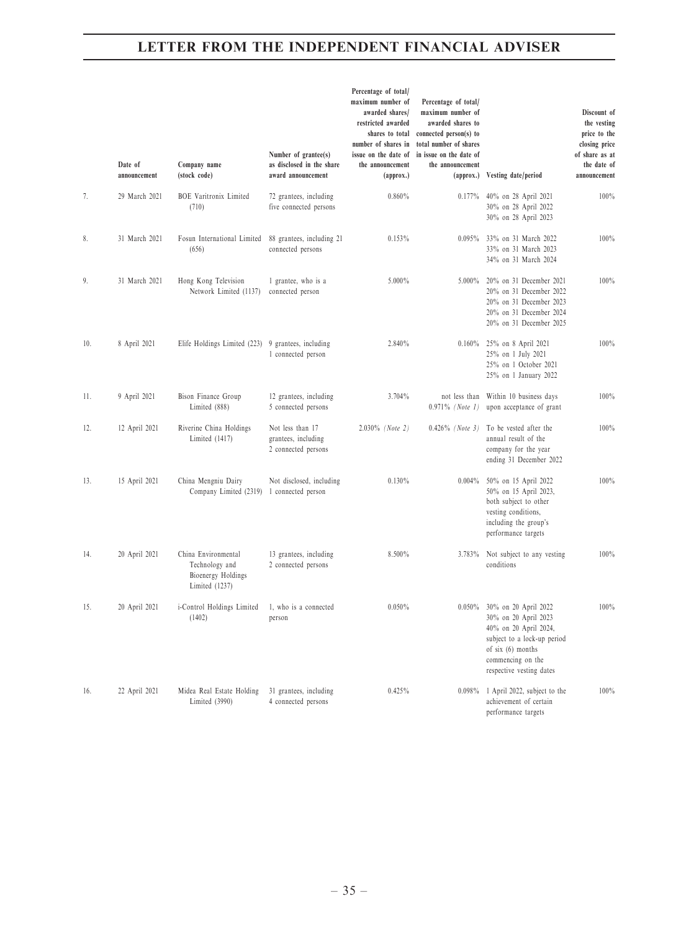|     | Date of<br>announcement | Company name<br>(stock code)                                                  | Number of grantee(s)<br>as disclosed in the share<br>award announcement | Percentage of total/<br>maximum number of<br>awarded shares/<br>restricted awarded<br>shares to total<br>number of shares in<br>issue on the date of<br>the announcement<br>(approx.) | Percentage of total/<br>maximum number of<br>awarded shares to<br>connected person(s) to<br>total number of shares<br>in issue on the date of<br>the announcement<br>(approx.) | Vesting date/period                                                                                                                                                               | Discount of<br>the vesting<br>price to the<br>closing price<br>of share as at<br>the date of<br>announcement |
|-----|-------------------------|-------------------------------------------------------------------------------|-------------------------------------------------------------------------|---------------------------------------------------------------------------------------------------------------------------------------------------------------------------------------|--------------------------------------------------------------------------------------------------------------------------------------------------------------------------------|-----------------------------------------------------------------------------------------------------------------------------------------------------------------------------------|--------------------------------------------------------------------------------------------------------------|
| 7.  | 29 March 2021           | <b>BOE</b> Varitronix Limited<br>(710)                                        | 72 grantees, including<br>five connected persons                        | 0.860%                                                                                                                                                                                | 0.177%                                                                                                                                                                         | 40% on 28 April 2021<br>30% on 28 April 2022<br>30% on 28 April 2023                                                                                                              | 100%                                                                                                         |
| 8.  | 31 March 2021           | Fosun International Limited<br>(656)                                          | 88 grantees, including 21<br>connected persons                          | 0.153%                                                                                                                                                                                | 0.095%                                                                                                                                                                         | 33% on 31 March 2022<br>33% on 31 March 2023<br>34% on 31 March 2024                                                                                                              | 100%                                                                                                         |
| 9.  | 31 March 2021           | Hong Kong Television<br>Network Limited (1137)                                | 1 grantee, who is a<br>connected person                                 | 5.000%                                                                                                                                                                                | $5.000\%$                                                                                                                                                                      | 20% on 31 December 2021<br>20% on 31 December 2022<br>20% on 31 December 2023<br>20% on 31 December 2024<br>20% on 31 December 2025                                               | 100%                                                                                                         |
| 10. | 8 April 2021            | Elife Holdings Limited (223) 9 grantees, including                            | 1 connected person                                                      | 2.840%                                                                                                                                                                                | 0.160%                                                                                                                                                                         | 25% on 8 April 2021<br>25% on 1 July 2021<br>25% on 1 October 2021<br>25% on 1 January 2022                                                                                       | 100%                                                                                                         |
| 11. | 9 April 2021            | Bison Finance Group<br>Limited (888)                                          | 12 grantees, including<br>5 connected persons                           | 3.704%                                                                                                                                                                                | not less than<br>$0.971\%$ (Note 1)                                                                                                                                            | Within 10 business days<br>upon acceptance of grant                                                                                                                               | 100%                                                                                                         |
| 12. | 12 April 2021           | Riverine China Holdings<br>Limited (1417)                                     | Not less than 17<br>grantees, including<br>2 connected persons          | $2.030\%$ (Note 2)                                                                                                                                                                    | $0.426\%$ (Note 3)                                                                                                                                                             | To be vested after the<br>annual result of the<br>company for the year<br>ending 31 December 2022                                                                                 | 100%                                                                                                         |
| 13. | 15 April 2021           | China Mengniu Dairy<br>Company Limited (2319) 1 connected person              | Not disclosed, including                                                | 0.130%                                                                                                                                                                                | 0.004%                                                                                                                                                                         | 50% on 15 April 2022<br>50% on 15 April 2023,<br>both subject to other<br>vesting conditions,<br>including the group's<br>performance targets                                     | 100%                                                                                                         |
| 14. | 20 April 2021           | China Environmental<br>Technology and<br>Bioenergy Holdings<br>Limited (1237) | 13 grantees, including<br>2 connected persons                           | 8.500%                                                                                                                                                                                | 3.783%                                                                                                                                                                         | Not subject to any vesting<br>conditions                                                                                                                                          | 100%                                                                                                         |
| 15. | 20 April 2021           | i-Control Holdings Limited<br>(1402)                                          | 1, who is a connected<br>person                                         | 0.050%                                                                                                                                                                                |                                                                                                                                                                                | 0.050% 30% on 20 April 2022<br>30% on 20 April 2023<br>40% on 20 April 2024,<br>subject to a lock-up period<br>of six (6) months<br>commencing on the<br>respective vesting dates | 100%                                                                                                         |
| 16. | 22 April 2021           | Midea Real Estate Holding<br>Limited (3990)                                   | 31 grantees, including<br>4 connected persons                           | 0.425%                                                                                                                                                                                | $0.098\%$                                                                                                                                                                      | 1 April 2022, subject to the<br>achievement of certain<br>performance targets                                                                                                     | 100%                                                                                                         |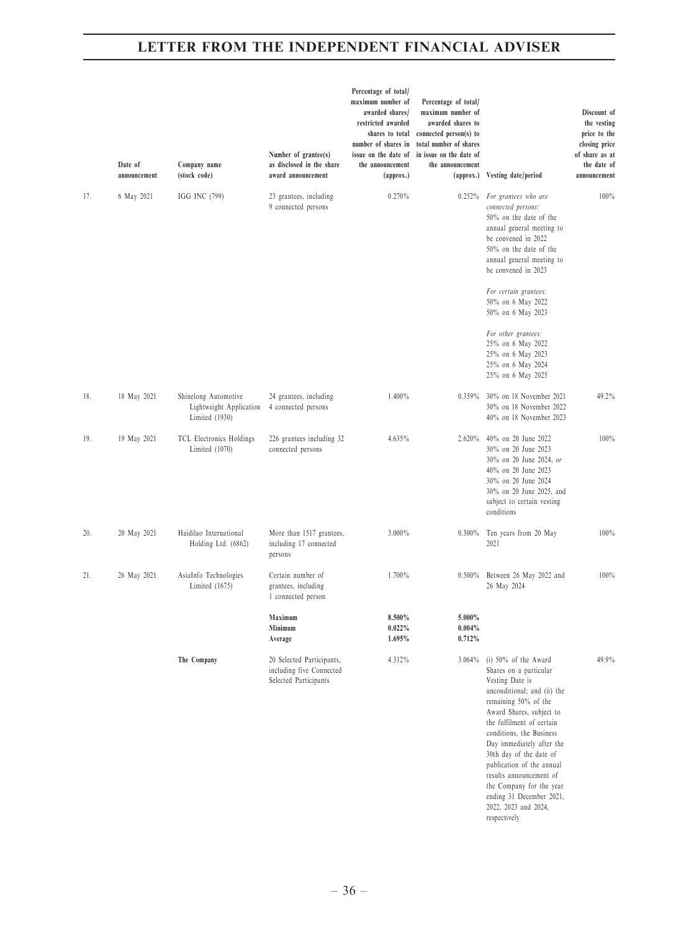|     | Date of<br>announcement | Company name<br>(stock code)                                        | Number of grantee(s)<br>as disclosed in the share<br>award announcement        | Percentage of total/<br>maximum number of<br>awarded shares/<br>restricted awarded<br>shares to total<br>number of shares in<br>issue on the date of<br>the announcement<br>(approx.) | Percentage of total/<br>maximum number of<br>awarded shares to<br>connected person(s) to<br>total number of shares<br>in issue on the date of<br>the announcement<br>${\rm (approx.)}$ | Vesting date/period                                                                                                                                                                                                                                                                                                                                                                                                              | Discount of<br>the vesting<br>price to the<br>closing price<br>of share as at<br>the date of<br>announcement |
|-----|-------------------------|---------------------------------------------------------------------|--------------------------------------------------------------------------------|---------------------------------------------------------------------------------------------------------------------------------------------------------------------------------------|----------------------------------------------------------------------------------------------------------------------------------------------------------------------------------------|----------------------------------------------------------------------------------------------------------------------------------------------------------------------------------------------------------------------------------------------------------------------------------------------------------------------------------------------------------------------------------------------------------------------------------|--------------------------------------------------------------------------------------------------------------|
| 17. | 6 May 2021              | IGG INC (799)                                                       | 23 grantees, including<br>9 connected persons                                  | 0.270%                                                                                                                                                                                | $0.252\%$                                                                                                                                                                              | For grantees who are<br>connected persons:<br>50% on the date of the<br>annual general meeting to<br>be convened in 2022<br>$50\%$ on the date of the<br>annual general meeting to<br>be convened in 2023                                                                                                                                                                                                                        | 100%                                                                                                         |
|     |                         |                                                                     |                                                                                |                                                                                                                                                                                       |                                                                                                                                                                                        | For certain grantees:<br>50% on 6 May 2022<br>50% on 6 May 2023                                                                                                                                                                                                                                                                                                                                                                  |                                                                                                              |
|     |                         |                                                                     |                                                                                |                                                                                                                                                                                       |                                                                                                                                                                                        | For other grantees:<br>25% on 6 May 2022<br>25% on 6 May 2023<br>25% on 6 May 2024<br>25% on 6 May 2025                                                                                                                                                                                                                                                                                                                          |                                                                                                              |
| 18. | 18 May 2021             | Shinelong Automotive<br>Lightweight Application<br>Limited $(1930)$ | 24 grantees, including<br>4 connected persons                                  | 1.400%                                                                                                                                                                                | 0.359%                                                                                                                                                                                 | 30% on 18 November 2021<br>30% on 18 November 2022<br>40% on 18 November 2023                                                                                                                                                                                                                                                                                                                                                    | 49.2%                                                                                                        |
| 19. | 19 May 2021             | TCL Electronics Holdings<br>Limited (1070)                          | 226 grantees including 32<br>connected persons                                 | 4.635%                                                                                                                                                                                | 2.620%                                                                                                                                                                                 | 40% on 20 June 2022<br>30% on 20 June 2023<br>30% on 20 June 2024, or<br>40% on 20 June 2023<br>30% on 20 June 2024<br>30% on 20 June 2025, and<br>subject to certain vesting<br>conditions                                                                                                                                                                                                                                      | 100%                                                                                                         |
| 20. | 20 May 2021             | Haidilao International<br>Holding Ltd. (6862)                       | More than 1517 grantees,<br>including 17 connected<br>persons                  | 3.000%                                                                                                                                                                                | $0.300\%$                                                                                                                                                                              | Ten years from 20 May<br>2021                                                                                                                                                                                                                                                                                                                                                                                                    | 100%                                                                                                         |
| 21. | 26 May 2021             | AsiaInfo Technologies<br>Limited (1675)                             | Certain number of<br>grantees, including<br>1 connected person                 | 1.700%                                                                                                                                                                                | $0.500\%$                                                                                                                                                                              | Between 26 May 2022 and<br>26 May 2024                                                                                                                                                                                                                                                                                                                                                                                           | 100%                                                                                                         |
|     |                         |                                                                     | Maximum<br>Minimum<br>Average                                                  | 8.500%<br>$0.022\%$<br>1.695%                                                                                                                                                         | 5.000%<br>$0.004\%$<br>0.712%                                                                                                                                                          |                                                                                                                                                                                                                                                                                                                                                                                                                                  |                                                                                                              |
|     |                         | The Company                                                         | 20 Selected Participants,<br>including five Connected<br>Selected Participants | 4.312%                                                                                                                                                                                | $3.064\%$                                                                                                                                                                              | (i) $50\%$ of the Award<br>Shares on a particular<br>Vesting Date is<br>unconditional; and (ii) the<br>remaining 50% of the<br>Award Shares, subject to<br>the fulfilment of certain<br>conditions, the Business<br>Day immediately after the<br>30th day of the date of<br>publication of the annual<br>results announcement of<br>the Company for the year<br>ending 31 December 2021,<br>2022, 2023 and 2024,<br>respectively | 49.9%                                                                                                        |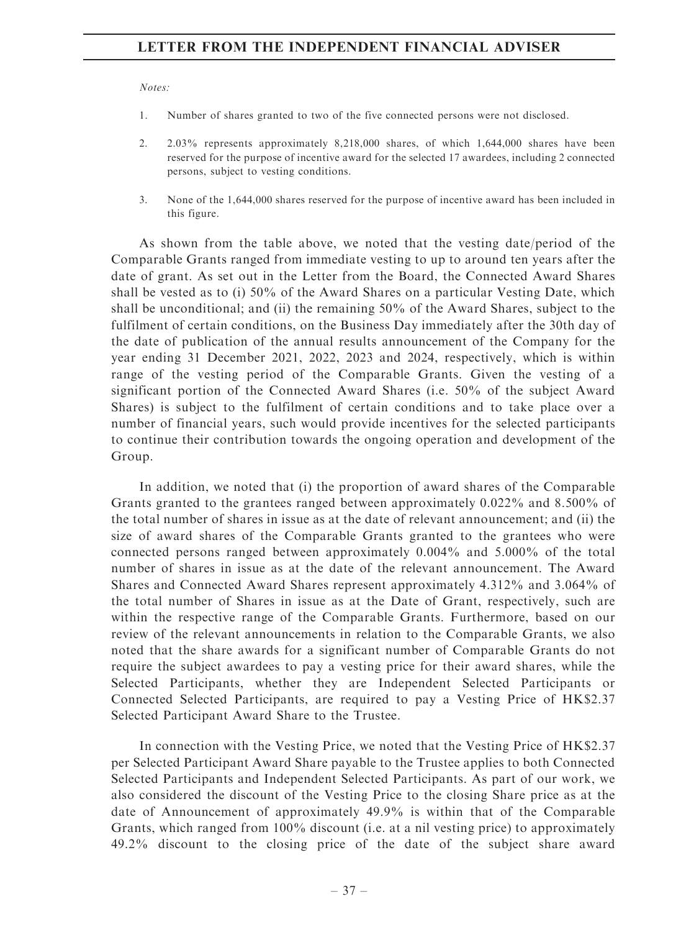Notes:

- 1. Number of shares granted to two of the five connected persons were not disclosed.
- 2. 2.03% represents approximately 8,218,000 shares, of which 1,644,000 shares have been reserved for the purpose of incentive award for the selected 17 awardees, including 2 connected persons, subject to vesting conditions.
- 3. None of the 1,644,000 shares reserved for the purpose of incentive award has been included in this figure.

As shown from the table above, we noted that the vesting date/period of the Comparable Grants ranged from immediate vesting to up to around ten years after the date of grant. As set out in the Letter from the Board, the Connected Award Shares shall be vested as to (i) 50% of the Award Shares on a particular Vesting Date, which shall be unconditional; and (ii) the remaining 50% of the Award Shares, subject to the fulfilment of certain conditions, on the Business Day immediately after the 30th day of the date of publication of the annual results announcement of the Company for the year ending 31 December 2021, 2022, 2023 and 2024, respectively, which is within range of the vesting period of the Comparable Grants. Given the vesting of a significant portion of the Connected Award Shares (i.e. 50% of the subject Award Shares) is subject to the fulfilment of certain conditions and to take place over a number of financial years, such would provide incentives for the selected participants to continue their contribution towards the ongoing operation and development of the Group.

In addition, we noted that (i) the proportion of award shares of the Comparable Grants granted to the grantees ranged between approximately 0.022% and 8.500% of the total number of shares in issue as at the date of relevant announcement; and (ii) the size of award shares of the Comparable Grants granted to the grantees who were connected persons ranged between approximately 0.004% and 5.000% of the total number of shares in issue as at the date of the relevant announcement. The Award Shares and Connected Award Shares represent approximately 4.312% and 3.064% of the total number of Shares in issue as at the Date of Grant, respectively, such are within the respective range of the Comparable Grants. Furthermore, based on our review of the relevant announcements in relation to the Comparable Grants, we also noted that the share awards for a significant number of Comparable Grants do not require the subject awardees to pay a vesting price for their award shares, while the Selected Participants, whether they are Independent Selected Participants or Connected Selected Participants, are required to pay a Vesting Price of HK\$2.37 Selected Participant Award Share to the Trustee.

In connection with the Vesting Price, we noted that the Vesting Price of HK\$2.37 per Selected Participant Award Share payable to the Trustee applies to both Connected Selected Participants and Independent Selected Participants. As part of our work, we also considered the discount of the Vesting Price to the closing Share price as at the date of Announcement of approximately 49.9% is within that of the Comparable Grants, which ranged from 100% discount (i.e. at a nil vesting price) to approximately 49.2% discount to the closing price of the date of the subject share award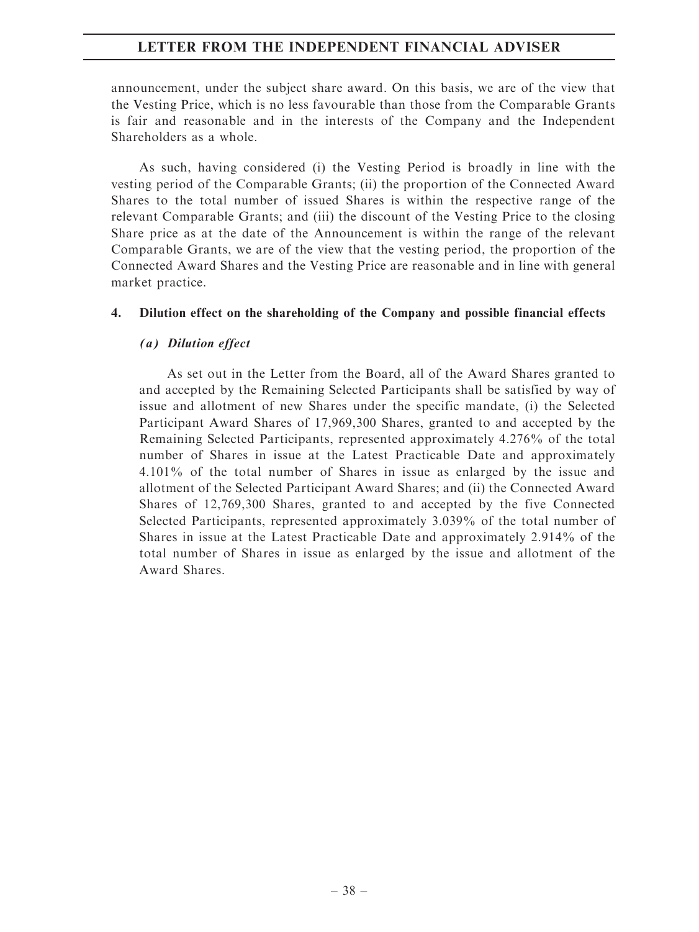announcement, under the subject share award. On this basis, we are of the view that the Vesting Price, which is no less favourable than those from the Comparable Grants is fair and reasonable and in the interests of the Company and the Independent Shareholders as a whole.

As such, having considered (i) the Vesting Period is broadly in line with the vesting period of the Comparable Grants; (ii) the proportion of the Connected Award Shares to the total number of issued Shares is within the respective range of the relevant Comparable Grants; and (iii) the discount of the Vesting Price to the closing Share price as at the date of the Announcement is within the range of the relevant Comparable Grants, we are of the view that the vesting period, the proportion of the Connected Award Shares and the Vesting Price are reasonable and in line with general market practice.

# 4. Dilution effect on the shareholding of the Company and possible financial effects

# (a) Dilution effect

As set out in the Letter from the Board, all of the Award Shares granted to and accepted by the Remaining Selected Participants shall be satisfied by way of issue and allotment of new Shares under the specific mandate, (i) the Selected Participant Award Shares of 17,969,300 Shares, granted to and accepted by the Remaining Selected Participants, represented approximately 4.276% of the total number of Shares in issue at the Latest Practicable Date and approximately 4.101% of the total number of Shares in issue as enlarged by the issue and allotment of the Selected Participant Award Shares; and (ii) the Connected Award Shares of 12,769,300 Shares, granted to and accepted by the five Connected Selected Participants, represented approximately 3.039% of the total number of Shares in issue at the Latest Practicable Date and approximately 2.914% of the total number of Shares in issue as enlarged by the issue and allotment of the Award Shares.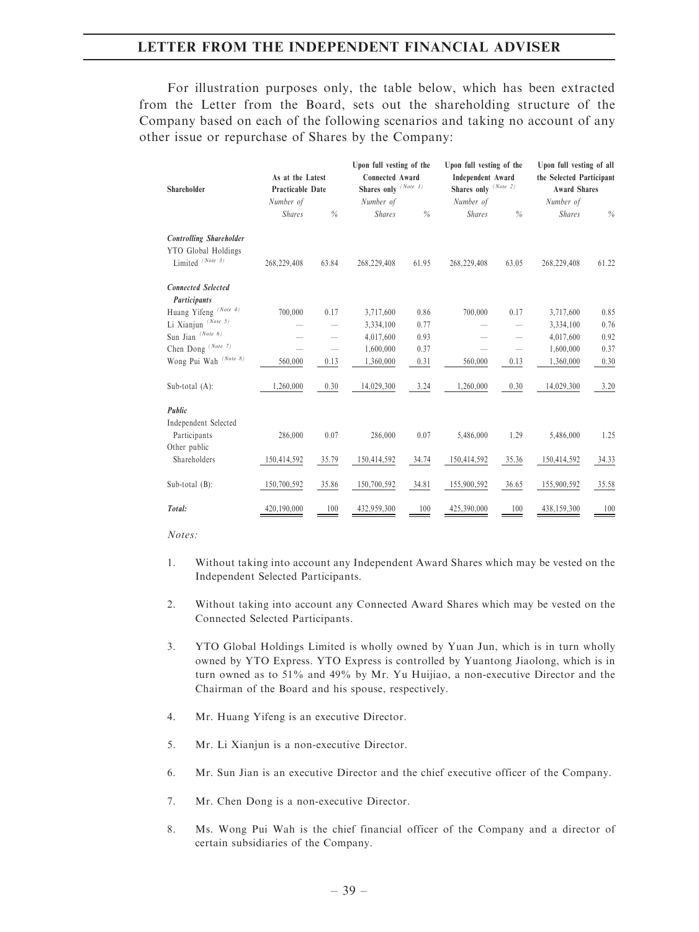For illustration purposes only, the table below, which has been extracted from the Letter from the Board, sets out the shareholding structure of the Company based on each of the following scenarios and taking no account of any other issue or repurchase of Shares by the Company:

|                                  |                         |                          | Upon full vesting of the |       | Upon full vesting of the |       | Upon full vesting of all |       |
|----------------------------------|-------------------------|--------------------------|--------------------------|-------|--------------------------|-------|--------------------------|-------|
|                                  | As at the Latest        |                          | <b>Connected Award</b>   |       | <b>Independent Award</b> |       | the Selected Participant |       |
| Shareholder                      | <b>Practicable Date</b> |                          | Shares only $(Note 1)$   |       | Shares only (Note 2)     |       | <b>Award Shares</b>      |       |
|                                  | Number of               |                          | Number of                |       | Number of                |       | Number of                |       |
|                                  | <b>Shares</b>           | $\%$                     | <b>Shares</b>            | $\%$  | <b>Shares</b>            | $\%$  | <b>Shares</b>            | %     |
| <b>Controlling Shareholder</b>   |                         |                          |                          |       |                          |       |                          |       |
| YTO Global Holdings              |                         |                          |                          |       |                          |       |                          |       |
| Limited (Note 3)                 | 268,229,408             | 63.84                    | 268,229,408              | 61.95 | 268,229,408              | 63.05 | 268,229,408              | 61.22 |
| <b>Connected Selected</b>        |                         |                          |                          |       |                          |       |                          |       |
| Participants                     |                         |                          |                          |       |                          |       |                          |       |
| Huang Yifeng (Note 4)            | 700,000                 | 0.17                     | 3,717,600                | 0.86  | 700,000                  | 0.17  | 3,717,600                | 0.85  |
| Li Xianjun (Note 5)              |                         |                          | 3,334,100                | 0.77  |                          |       | 3,334,100                | 0.76  |
| Sun Jian $\,^{(Note \ 6)}$       |                         |                          | 4,017,600                | 0.93  |                          |       | 4,017,600                | 0.92  |
| Chen Dong $^{(Note 7)}$          |                         | $\overline{\phantom{0}}$ | 1,600,000                | 0.37  |                          |       | 1,600,000                | 0.37  |
| Wong Pui Wah <sup>(Note 8)</sup> | 560,000                 | 0.13                     | 1,360,000                | 0.31  | 560,000                  | 0.13  | 1,360,000                | 0.30  |
| Sub-total $(A)$ :                | 1,260,000               | 0.30                     | 14,029,300               | 3.24  | 1,260,000                | 0.30  | 14,029,300               | 3.20  |
| Public                           |                         |                          |                          |       |                          |       |                          |       |
| Independent Selected             |                         |                          |                          |       |                          |       |                          |       |
| Participants                     | 286,000                 | 0.07                     | 286,000                  | 0.07  | 5,486,000                | 1.29  | 5,486,000                | 1.25  |
| Other public                     |                         |                          |                          |       |                          |       |                          |       |
| Shareholders                     | 150,414,592             | 35.79                    | 150,414,592              | 34.74 | 150,414,592              | 35.36 | 150,414,592              | 34.33 |
| Sub-total (B):                   | 150,700,592             | 35.86                    | 150,700,592              | 34.81 | 155,900,592              | 36.65 | 155,900,592              | 35.58 |
| Total:                           | 420,190,000             | 100                      | 432,959,300              | 100   | 425,390,000              | 100   | 438,159,300              | 100   |

Notes:

- 1. Without taking into account any Independent Award Shares which may be vested on the Independent Selected Participants.
- 2. Without taking into account any Connected Award Shares which may be vested on the Connected Selected Participants.
- 3. YTO Global Holdings Limited is wholly owned by Yuan Jun, which is in turn wholly owned by YTO Express. YTO Express is controlled by Yuantong Jiaolong, which is in turn owned as to 51% and 49% by Mr. Yu Huijiao, a non-executive Director and the Chairman of the Board and his spouse, respectively.
- 4. Mr. Huang Yifeng is an executive Director.
- 5. Mr. Li Xianjun is a non-executive Director.
- 6. Mr. Sun Jian is an executive Director and the chief executive officer of the Company.
- 7. Mr. Chen Dong is a non-executive Director.
- 8. Ms. Wong Pui Wah is the chief financial officer of the Company and a director of certain subsidiaries of the Company.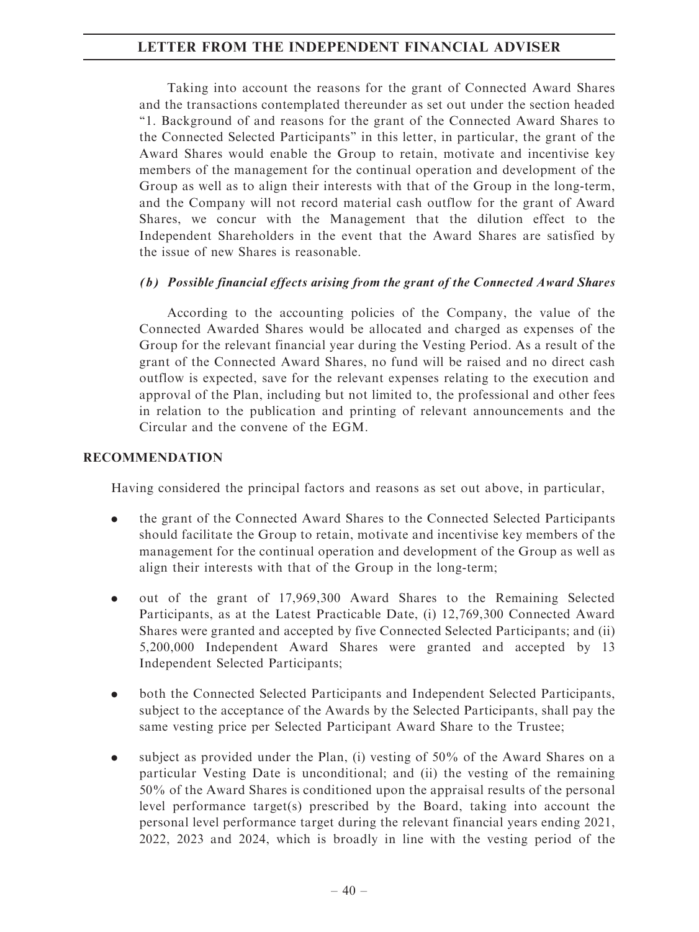Taking into account the reasons for the grant of Connected Award Shares and the transactions contemplated thereunder as set out under the section headed ''1. Background of and reasons for the grant of the Connected Award Shares to the Connected Selected Participants'' in this letter, in particular, the grant of the Award Shares would enable the Group to retain, motivate and incentivise key members of the management for the continual operation and development of the Group as well as to align their interests with that of the Group in the long-term, and the Company will not record material cash outflow for the grant of Award Shares, we concur with the Management that the dilution effect to the Independent Shareholders in the event that the Award Shares are satisfied by the issue of new Shares is reasonable.

# (b) Possible financial effects arising from the grant of the Connected Award Shares

According to the accounting policies of the Company, the value of the Connected Awarded Shares would be allocated and charged as expenses of the Group for the relevant financial year during the Vesting Period. As a result of the grant of the Connected Award Shares, no fund will be raised and no direct cash outflow is expected, save for the relevant expenses relating to the execution and approval of the Plan, including but not limited to, the professional and other fees in relation to the publication and printing of relevant announcements and the Circular and the convene of the EGM.

# RECOMMENDATION

Having considered the principal factors and reasons as set out above, in particular,

- . the grant of the Connected Award Shares to the Connected Selected Participants should facilitate the Group to retain, motivate and incentivise key members of the management for the continual operation and development of the Group as well as align their interests with that of the Group in the long-term;
- . out of the grant of 17,969,300 Award Shares to the Remaining Selected Participants, as at the Latest Practicable Date, (i) 12,769,300 Connected Award Shares were granted and accepted by five Connected Selected Participants; and (ii) 5,200,000 Independent Award Shares were granted and accepted by 13 Independent Selected Participants;
- . both the Connected Selected Participants and Independent Selected Participants, subject to the acceptance of the Awards by the Selected Participants, shall pay the same vesting price per Selected Participant Award Share to the Trustee;
- . subject as provided under the Plan, (i) vesting of 50% of the Award Shares on a particular Vesting Date is unconditional; and (ii) the vesting of the remaining 50% of the Award Shares is conditioned upon the appraisal results of the personal level performance target(s) prescribed by the Board, taking into account the personal level performance target during the relevant financial years ending 2021, 2022, 2023 and 2024, which is broadly in line with the vesting period of the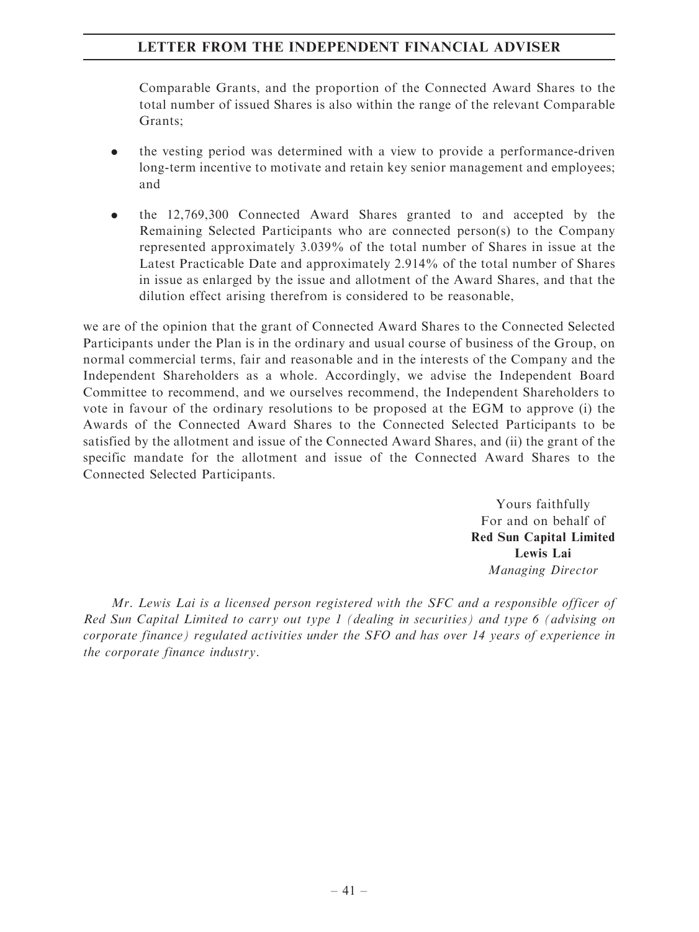Comparable Grants, and the proportion of the Connected Award Shares to the total number of issued Shares is also within the range of the relevant Comparable Grants;

- . the vesting period was determined with a view to provide a performance-driven long-term incentive to motivate and retain key senior management and employees; and
- . the 12,769,300 Connected Award Shares granted to and accepted by the Remaining Selected Participants who are connected person(s) to the Company represented approximately 3.039% of the total number of Shares in issue at the Latest Practicable Date and approximately 2.914% of the total number of Shares in issue as enlarged by the issue and allotment of the Award Shares, and that the dilution effect arising therefrom is considered to be reasonable,

we are of the opinion that the grant of Connected Award Shares to the Connected Selected Participants under the Plan is in the ordinary and usual course of business of the Group, on normal commercial terms, fair and reasonable and in the interests of the Company and the Independent Shareholders as a whole. Accordingly, we advise the Independent Board Committee to recommend, and we ourselves recommend, the Independent Shareholders to vote in favour of the ordinary resolutions to be proposed at the EGM to approve (i) the Awards of the Connected Award Shares to the Connected Selected Participants to be satisfied by the allotment and issue of the Connected Award Shares, and (ii) the grant of the specific mandate for the allotment and issue of the Connected Award Shares to the Connected Selected Participants.

> Yours faithfully For and on behalf of Red Sun Capital Limited Lewis Lai Managing Director

Mr. Lewis Lai is a licensed person registered with the SFC and a responsible officer of Red Sun Capital Limited to carry out type 1 (dealing in securities) and type 6 (advising on corporate finance) regulated activities under the SFO and has over 14 years of experience in the corporate finance industry.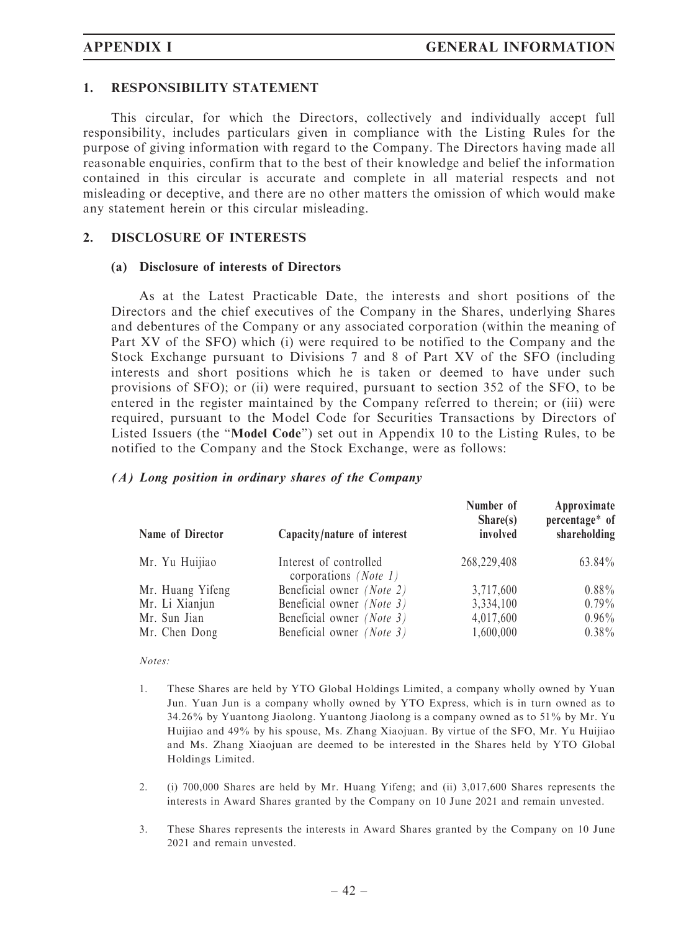#### 1. RESPONSIBILITY STATEMENT

This circular, for which the Directors, collectively and individually accept full responsibility, includes particulars given in compliance with the Listing Rules for the purpose of giving information with regard to the Company. The Directors having made all reasonable enquiries, confirm that to the best of their knowledge and belief the information contained in this circular is accurate and complete in all material respects and not misleading or deceptive, and there are no other matters the omission of which would make any statement herein or this circular misleading.

#### 2. DISCLOSURE OF INTERESTS

#### (a) Disclosure of interests of Directors

As at the Latest Practicable Date, the interests and short positions of the Directors and the chief executives of the Company in the Shares, underlying Shares and debentures of the Company or any associated corporation (within the meaning of Part XV of the SFO) which (i) were required to be notified to the Company and the Stock Exchange pursuant to Divisions 7 and 8 of Part XV of the SFO (including interests and short positions which he is taken or deemed to have under such provisions of SFO); or (ii) were required, pursuant to section 352 of the SFO, to be entered in the register maintained by the Company referred to therein; or (iii) were required, pursuant to the Model Code for Securities Transactions by Directors of Listed Issuers (the ''Model Code'') set out in Appendix 10 to the Listing Rules, to be notified to the Company and the Stock Exchange, were as follows:

#### (A) Long position in ordinary shares of the Company

| Name of Director | Capacity/nature of interest                              | Number of<br>Share(s)<br>involved | Approximate<br>percentage* of<br>shareholding |
|------------------|----------------------------------------------------------|-----------------------------------|-----------------------------------------------|
|                  |                                                          |                                   |                                               |
| Mr. Yu Huijiao   | Interest of controlled<br>corporations ( <i>Note 1</i> ) | 268,229,408                       | 63.84%                                        |
| Mr. Huang Yifeng | Beneficial owner (Note 2)                                | 3,717,600                         | $0.88\%$                                      |
| Mr. Li Xianjun   | Beneficial owner (Note 3)                                | 3,334,100                         | $0.79\%$                                      |
| Mr. Sun Jian     | Beneficial owner (Note 3)                                | 4,017,600                         | $0.96\%$                                      |
| Mr. Chen Dong    | Beneficial owner (Note 3)                                | 1,600,000                         | $0.38\%$                                      |

#### Notes:

- 1. These Shares are held by YTO Global Holdings Limited, a company wholly owned by Yuan Jun. Yuan Jun is a company wholly owned by YTO Express, which is in turn owned as to 34.26% by Yuantong Jiaolong. Yuantong Jiaolong is a company owned as to 51% by Mr. Yu Huijiao and 49% by his spouse, Ms. Zhang Xiaojuan. By virtue of the SFO, Mr. Yu Huijiao and Ms. Zhang Xiaojuan are deemed to be interested in the Shares held by YTO Global Holdings Limited.
- 2. (i) 700,000 Shares are held by Mr. Huang Yifeng; and (ii) 3,017,600 Shares represents the interests in Award Shares granted by the Company on 10 June 2021 and remain unvested.
- 3. These Shares represents the interests in Award Shares granted by the Company on 10 June 2021 and remain unvested.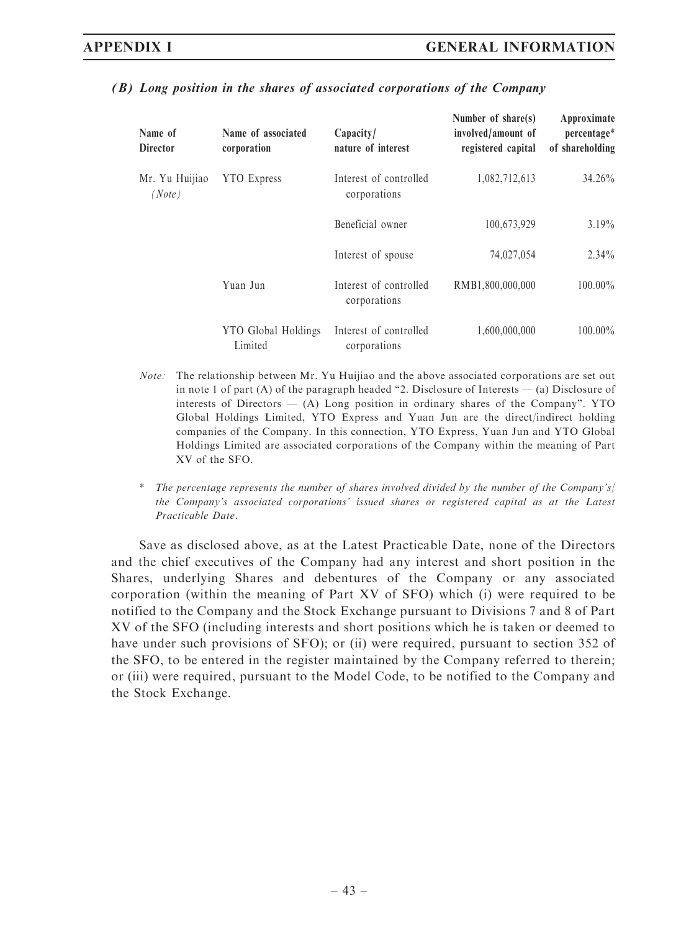| Name of<br><b>Director</b> | Name of associated<br>corporation | Capacity/<br>nature of interest        | Number of share(s)<br>involved/amount of<br>registered capital | Approximate<br>percentage*<br>of shareholding |
|----------------------------|-----------------------------------|----------------------------------------|----------------------------------------------------------------|-----------------------------------------------|
| Mr. Yu Huijiao<br>(Note)   | <b>YTO</b> Express                | Interest of controlled<br>corporations | 1,082,712,613                                                  | $34.26\%$                                     |
|                            |                                   | Beneficial owner                       | 100,673,929                                                    | $3.19\%$                                      |
|                            |                                   | Interest of spouse                     | 74,027,054                                                     | $2.34\%$                                      |
|                            | Yuan Jun                          | Interest of controlled<br>corporations | RMB1.800.000.000                                               | $100.00\%$                                    |
|                            | YTO Global Holdings<br>Limited    | Interest of controlled<br>corporations | 1,600,000,000                                                  | $100.00\%$                                    |

#### (B) Long position in the shares of associated corporations of the Company

- Note: The relationship between Mr. Yu Huijiao and the above associated corporations are set out in note 1 of part (A) of the paragraph headed "2. Disclosure of Interests — (a) Disclosure of interests of Directors  $-$  (A) Long position in ordinary shares of the Company". YTO Global Holdings Limited, YTO Express and Yuan Jun are the direct/indirect holding companies of the Company. In this connection, YTO Express, Yuan Jun and YTO Global Holdings Limited are associated corporations of the Company within the meaning of Part XV of the SFO.
- \* The percentage represents the number of shares involved divided by the number of the Company's/ the Company's associated corporations' issued shares or registered capital as at the Latest Practicable Date.

Save as disclosed above, as at the Latest Practicable Date, none of the Directors and the chief executives of the Company had any interest and short position in the Shares, underlying Shares and debentures of the Company or any associated corporation (within the meaning of Part XV of SFO) which (i) were required to be notified to the Company and the Stock Exchange pursuant to Divisions 7 and 8 of Part XV of the SFO (including interests and short positions which he is taken or deemed to have under such provisions of SFO); or (ii) were required, pursuant to section 352 of the SFO, to be entered in the register maintained by the Company referred to therein; or (iii) were required, pursuant to the Model Code, to be notified to the Company and the Stock Exchange.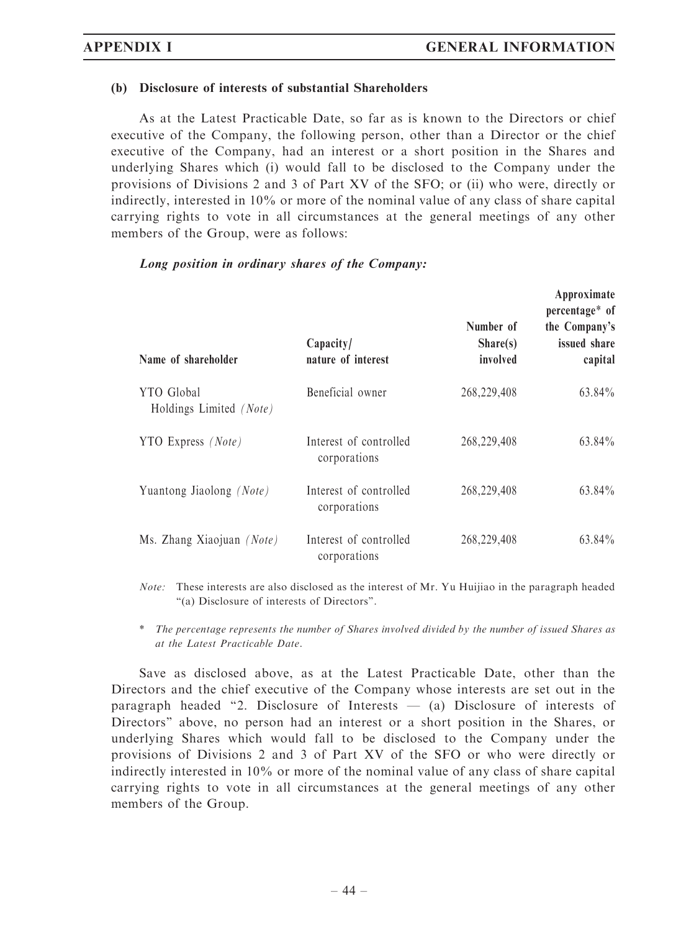#### (b) Disclosure of interests of substantial Shareholders

As at the Latest Practicable Date, so far as is known to the Directors or chief executive of the Company, the following person, other than a Director or the chief executive of the Company, had an interest or a short position in the Shares and underlying Shares which (i) would fall to be disclosed to the Company under the provisions of Divisions 2 and 3 of Part XV of the SFO; or (ii) who were, directly or indirectly, interested in 10% or more of the nominal value of any class of share capital carrying rights to vote in all circumstances at the general meetings of any other members of the Group, were as follows:

| Name of shareholder                   | Capacity/<br>nature of interest        | Number of<br>Share(s)<br>involved | Approximate<br>percentage* of<br>the Company's<br>issued share<br>capital |
|---------------------------------------|----------------------------------------|-----------------------------------|---------------------------------------------------------------------------|
| YTO Global<br>Holdings Limited (Note) | Beneficial owner                       | 268,229,408                       | 63.84%                                                                    |
| YTO Express <i>(Note)</i>             | Interest of controlled<br>corporations | 268,229,408                       | 63.84%                                                                    |
| Yuantong Jiaolong (Note)              | Interest of controlled<br>corporations | 268,229,408                       | 63.84%                                                                    |
| Ms. Zhang Xiaojuan (Note)             | Interest of controlled<br>corporations | 268,229,408                       | $63.84\%$                                                                 |

#### Long position in ordinary shares of the Company:

Note: These interests are also disclosed as the interest of Mr. Yu Huijiao in the paragraph headed ''(a) Disclosure of interests of Directors''.

\* The percentage represents the number of Shares involved divided by the number of issued Shares as at the Latest Practicable Date.

Save as disclosed above, as at the Latest Practicable Date, other than the Directors and the chief executive of the Company whose interests are set out in the paragraph headed "2. Disclosure of Interests  $-$  (a) Disclosure of interests of Directors'' above, no person had an interest or a short position in the Shares, or underlying Shares which would fall to be disclosed to the Company under the provisions of Divisions 2 and 3 of Part XV of the SFO or who were directly or indirectly interested in 10% or more of the nominal value of any class of share capital carrying rights to vote in all circumstances at the general meetings of any other members of the Group.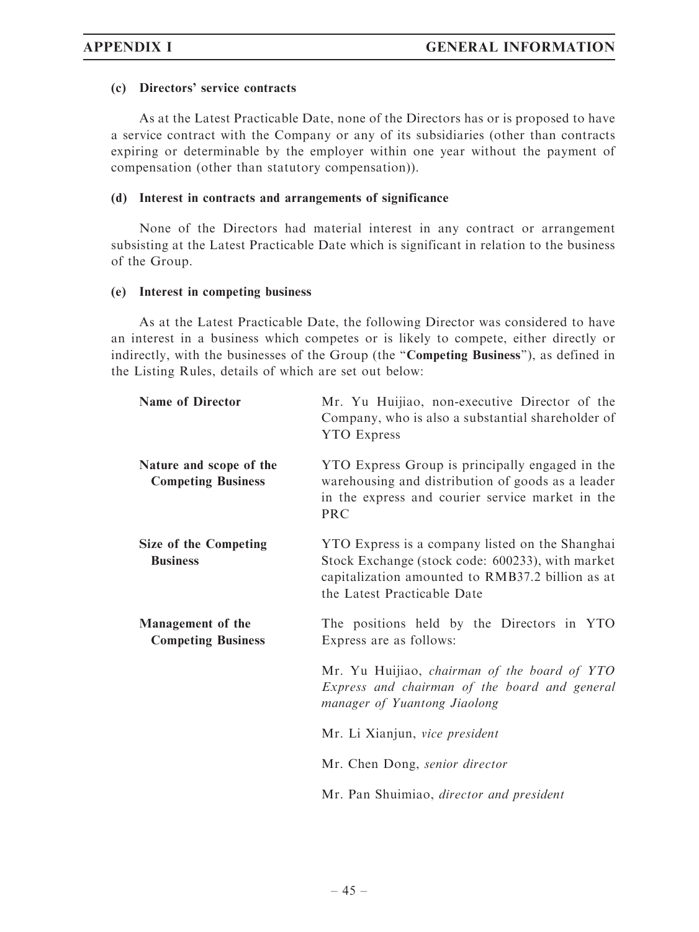#### (c) Directors' service contracts

As at the Latest Practicable Date, none of the Directors has or is proposed to have a service contract with the Company or any of its subsidiaries (other than contracts expiring or determinable by the employer within one year without the payment of compensation (other than statutory compensation)).

#### (d) Interest in contracts and arrangements of significance

None of the Directors had material interest in any contract or arrangement subsisting at the Latest Practicable Date which is significant in relation to the business of the Group.

#### (e) Interest in competing business

As at the Latest Practicable Date, the following Director was considered to have an interest in a business which competes or is likely to compete, either directly or indirectly, with the businesses of the Group (the "Competing Business"), as defined in the Listing Rules, details of which are set out below:

| <b>Name of Director</b>                               | Mr. Yu Huijiao, non-executive Director of the<br>Company, who is also a substantial shareholder of<br><b>YTO</b> Express                                                               |
|-------------------------------------------------------|----------------------------------------------------------------------------------------------------------------------------------------------------------------------------------------|
| Nature and scope of the<br><b>Competing Business</b>  | YTO Express Group is principally engaged in the<br>warehousing and distribution of goods as a leader<br>in the express and courier service market in the<br><b>PRC</b>                 |
| <b>Size of the Competing</b><br><b>Business</b>       | YTO Express is a company listed on the Shanghai<br>Stock Exchange (stock code: 600233), with market<br>capitalization amounted to RMB37.2 billion as at<br>the Latest Practicable Date |
| <b>Management</b> of the<br><b>Competing Business</b> | The positions held by the Directors in YTO<br>Express are as follows:                                                                                                                  |
|                                                       | Mr. Yu Huijiao, chairman of the board of YTO<br>Express and chairman of the board and general<br>manager of Yuantong Jiaolong                                                          |
|                                                       | Mr. Li Xianjun, vice president                                                                                                                                                         |
|                                                       | Mr. Chen Dong, senior director                                                                                                                                                         |
|                                                       | Mr. Pan Shuimiao, director and president                                                                                                                                               |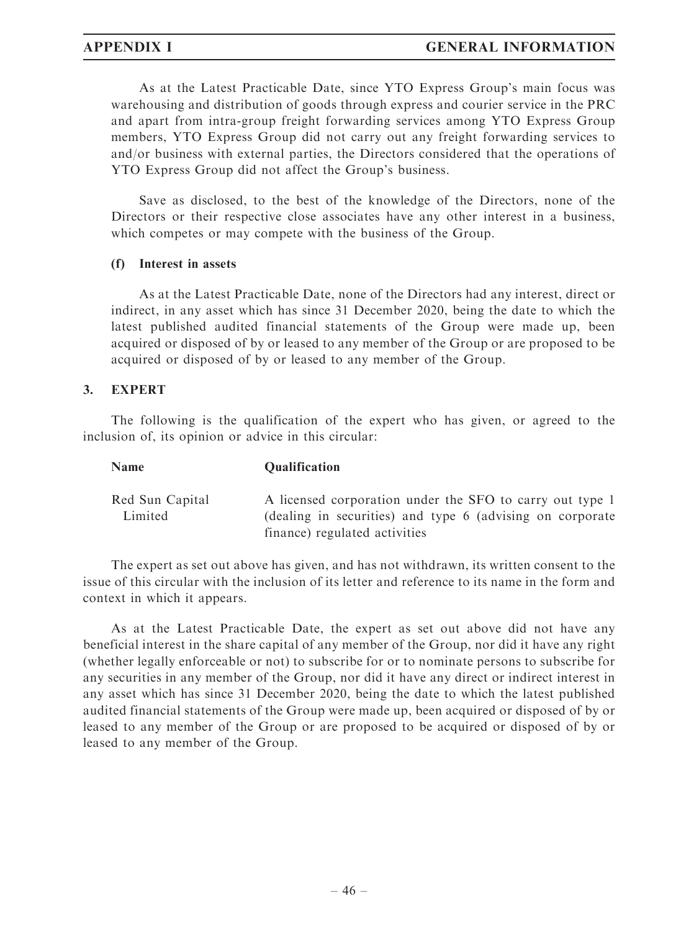# APPENDIX I GENERAL INFORMATION

As at the Latest Practicable Date, since YTO Express Group's main focus was warehousing and distribution of goods through express and courier service in the PRC and apart from intra-group freight forwarding services among YTO Express Group members, YTO Express Group did not carry out any freight forwarding services to and/or business with external parties, the Directors considered that the operations of YTO Express Group did not affect the Group's business.

Save as disclosed, to the best of the knowledge of the Directors, none of the Directors or their respective close associates have any other interest in a business, which competes or may compete with the business of the Group.

#### (f) Interest in assets

As at the Latest Practicable Date, none of the Directors had any interest, direct or indirect, in any asset which has since 31 December 2020, being the date to which the latest published audited financial statements of the Group were made up, been acquired or disposed of by or leased to any member of the Group or are proposed to be acquired or disposed of by or leased to any member of the Group.

# 3. EXPERT

The following is the qualification of the expert who has given, or agreed to the inclusion of, its opinion or advice in this circular:

#### Name Qualification Red Sun Capital Limited A licensed corporation under the SFO to carry out type 1 (dealing in securities) and type 6 (advising on corporate finance) regulated activities

The expert as set out above has given, and has not withdrawn, its written consent to the issue of this circular with the inclusion of its letter and reference to its name in the form and context in which it appears.

As at the Latest Practicable Date, the expert as set out above did not have any beneficial interest in the share capital of any member of the Group, nor did it have any right (whether legally enforceable or not) to subscribe for or to nominate persons to subscribe for any securities in any member of the Group, nor did it have any direct or indirect interest in any asset which has since 31 December 2020, being the date to which the latest published audited financial statements of the Group were made up, been acquired or disposed of by or leased to any member of the Group or are proposed to be acquired or disposed of by or leased to any member of the Group.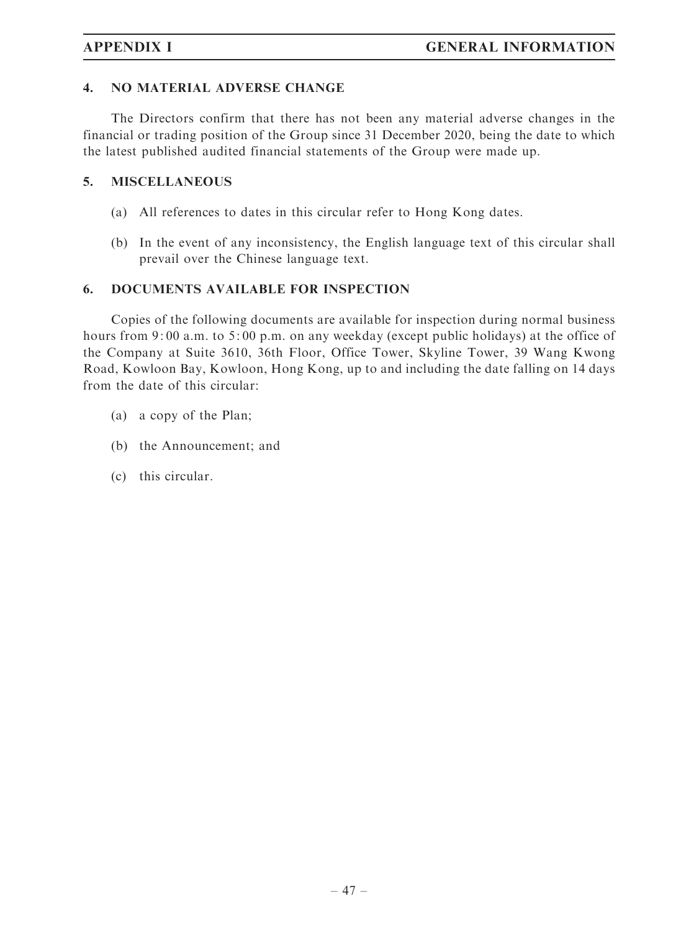#### 4. NO MATERIAL ADVERSE CHANGE

The Directors confirm that there has not been any material adverse changes in the financial or trading position of the Group since 31 December 2020, being the date to which the latest published audited financial statements of the Group were made up.

#### 5. MISCELLANEOUS

- (a) All references to dates in this circular refer to Hong Kong dates.
- (b) In the event of any inconsistency, the English language text of this circular shall prevail over the Chinese language text.

#### 6. DOCUMENTS AVAILABLE FOR INSPECTION

Copies of the following documents are available for inspection during normal business hours from 9:00 a.m. to 5:00 p.m. on any weekday (except public holidays) at the office of the Company at Suite 3610, 36th Floor, Office Tower, Skyline Tower, 39 Wang Kwong Road, Kowloon Bay, Kowloon, Hong Kong, up to and including the date falling on 14 days from the date of this circular:

- (a) a copy of the Plan;
- (b) the Announcement; and
- (c) this circular.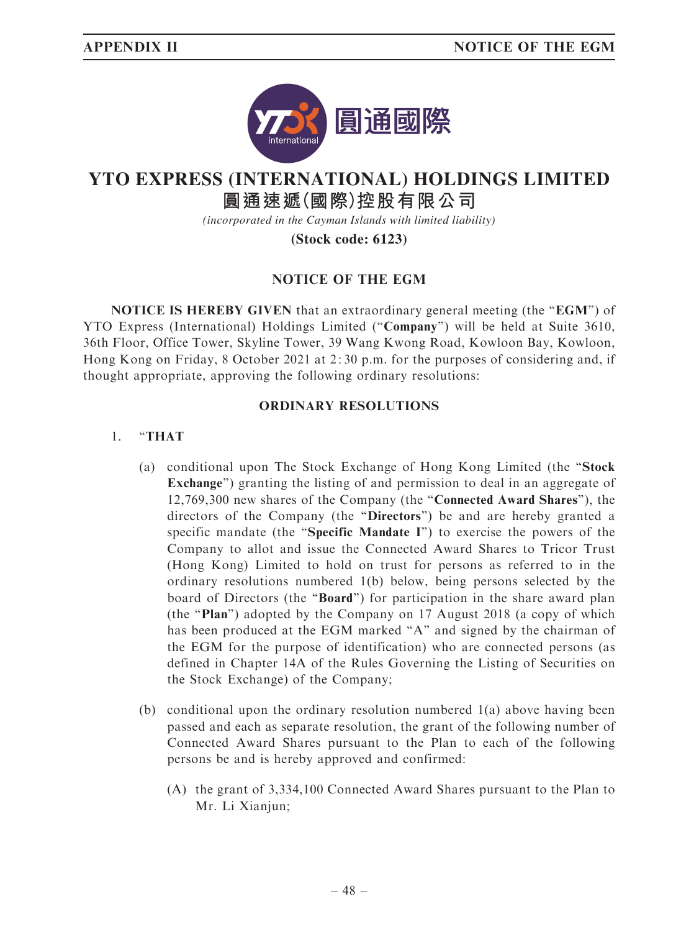

# **YTO EXPRESS (INTERNATIONAL) HOLDINGS LIMITED**

# **圓通速遞(國際)控股有限公司**

*(incorporated in the Cayman Islands with limited liability)*

**(Stock code: 6123)**

# NOTICE OF THE EGM

NOTICE IS HEREBY GIVEN that an extraordinary general meeting (the "EGM") of YTO Express (International) Holdings Limited (''Company'') will be held at Suite 3610, 36th Floor, Office Tower, Skyline Tower, 39 Wang Kwong Road, Kowloon Bay, Kowloon, Hong Kong on Friday, 8 October 2021 at 2: 30 p.m. for the purposes of considering and, if thought appropriate, approving the following ordinary resolutions:

# ORDINARY RESOLUTIONS

# 1. ''THAT

- (a) conditional upon The Stock Exchange of Hong Kong Limited (the ''Stock Exchange'') granting the listing of and permission to deal in an aggregate of 12,769,300 new shares of the Company (the ''Connected Award Shares''), the directors of the Company (the ''Directors'') be and are hereby granted a specific mandate (the "Specific Mandate I") to exercise the powers of the Company to allot and issue the Connected Award Shares to Tricor Trust (Hong Kong) Limited to hold on trust for persons as referred to in the ordinary resolutions numbered 1(b) below, being persons selected by the board of Directors (the "Board") for participation in the share award plan (the ''Plan'') adopted by the Company on 17 August 2018 (a copy of which has been produced at the EGM marked "A" and signed by the chairman of the EGM for the purpose of identification) who are connected persons (as defined in Chapter 14A of the Rules Governing the Listing of Securities on the Stock Exchange) of the Company;
- (b) conditional upon the ordinary resolution numbered  $1(a)$  above having been passed and each as separate resolution, the grant of the following number of Connected Award Shares pursuant to the Plan to each of the following persons be and is hereby approved and confirmed:
	- (A) the grant of 3,334,100 Connected Award Shares pursuant to the Plan to Mr. Li Xianjun;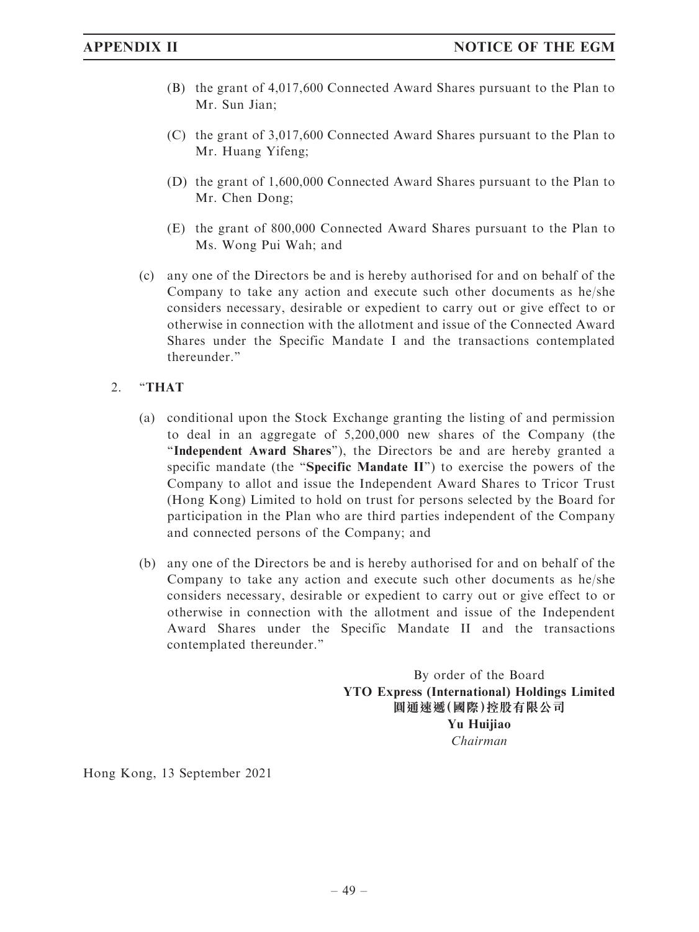- (B) the grant of 4,017,600 Connected Award Shares pursuant to the Plan to Mr. Sun Jian;
- (C) the grant of 3,017,600 Connected Award Shares pursuant to the Plan to Mr. Huang Yifeng;
- (D) the grant of 1,600,000 Connected Award Shares pursuant to the Plan to Mr. Chen Dong;
- (E) the grant of 800,000 Connected Award Shares pursuant to the Plan to Ms. Wong Pui Wah; and
- (c) any one of the Directors be and is hereby authorised for and on behalf of the Company to take any action and execute such other documents as he/she considers necessary, desirable or expedient to carry out or give effect to or otherwise in connection with the allotment and issue of the Connected Award Shares under the Specific Mandate I and the transactions contemplated thereunder.''

### 2. ''THAT

- (a) conditional upon the Stock Exchange granting the listing of and permission to deal in an aggregate of 5,200,000 new shares of the Company (the ''Independent Award Shares''), the Directors be and are hereby granted a specific mandate (the "Specific Mandate  $II$ ") to exercise the powers of the Company to allot and issue the Independent Award Shares to Tricor Trust (Hong Kong) Limited to hold on trust for persons selected by the Board for participation in the Plan who are third parties independent of the Company and connected persons of the Company; and
- (b) any one of the Directors be and is hereby authorised for and on behalf of the Company to take any action and execute such other documents as he/she considers necessary, desirable or expedient to carry out or give effect to or otherwise in connection with the allotment and issue of the Independent Award Shares under the Specific Mandate II and the transactions contemplated thereunder.''

By order of the Board YTO Express (International) Holdings Limited 圓通速遞(國際)控股有限公司 Yu Huijiao Chairman

Hong Kong, 13 September 2021